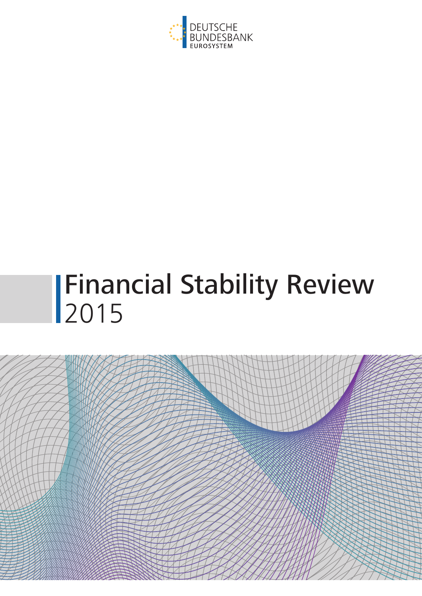

# Financial Stability Review 2015

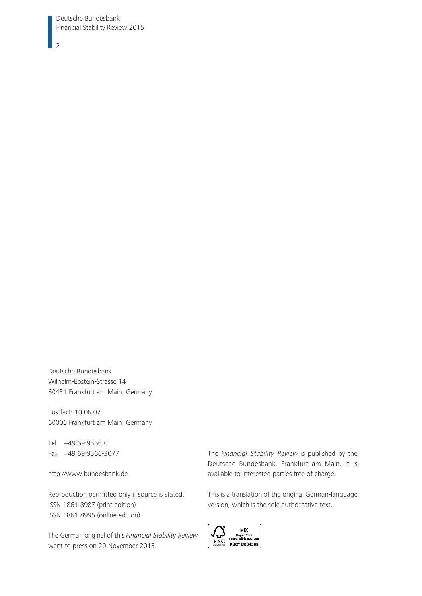Deutsche Bundesbank Financial Stability Review 2015

Deutsche Bundesbank Wilhelm-Epstein-Strasse 14 60431 Frankfurt am Main, Germany

Postfach 10 06 02 60006 Frankfurt am Main, Germany

Tel +49 69 9566-0 Fax +49 69 9566-3077

http://www.bundesbank.de

Reproduction permitted only if source is stated. ISSN 1861-8987 (print edition) ISSN 1861-8995 (online edition)

The German original of this *Financial Stability Review* went to press on 20 November 2015.

The *Financial Stability Review* is published by the Deutsche Bundesbank, Frankfurt am Main. It is available to interested parties free of charge.

This is a translation of the original German-Ianguage version, which is the sole authoritative text.

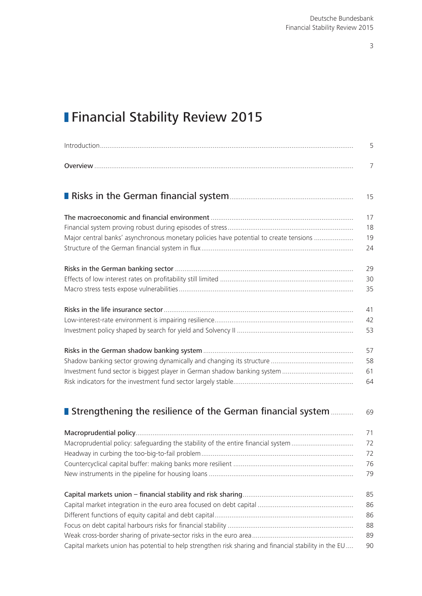## **Financial Stability Review 2015**

|                                                                                                       | 5              |
|-------------------------------------------------------------------------------------------------------|----------------|
|                                                                                                       | $\overline{7}$ |
|                                                                                                       | 15             |
|                                                                                                       | 17             |
|                                                                                                       | 18             |
| Major central banks' asynchronous monetary policies have potential to create tensions                 | 19             |
|                                                                                                       | 24             |
|                                                                                                       | 29             |
|                                                                                                       | 30             |
|                                                                                                       | 35             |
|                                                                                                       | 41             |
|                                                                                                       | 42             |
|                                                                                                       | 53             |
|                                                                                                       | 57             |
|                                                                                                       | 58             |
|                                                                                                       | 61             |
|                                                                                                       | 64             |
| <b>Strengthening the resilience of the German financial system </b>                                   | 69             |
|                                                                                                       | 71             |
| Macroprudential policy: safeguarding the stability of the entire financial system                     | 72             |
|                                                                                                       | 72             |
|                                                                                                       | 76             |
|                                                                                                       | 79             |
|                                                                                                       | 85             |
|                                                                                                       | 86             |
|                                                                                                       | 86             |
|                                                                                                       | 88             |
|                                                                                                       | 89             |
| Capital markets union has potential to help strengthen risk sharing and financial stability in the EU | 90             |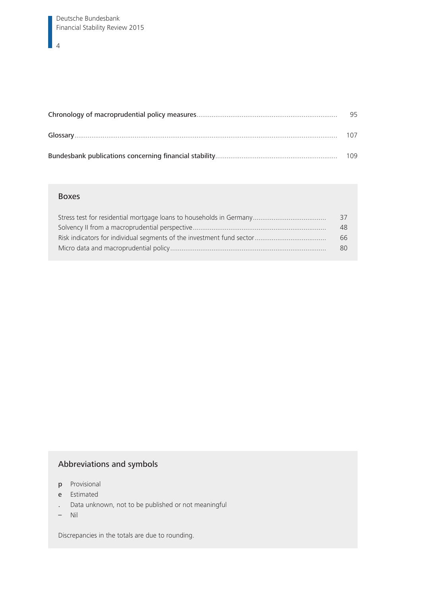### 4

|  | 107 |  |  |  |  |  |  |
|--|-----|--|--|--|--|--|--|
|  | 109 |  |  |  |  |  |  |

## Boxes

| $\frac{3}{2}$ |
|---------------|
| 48.           |
| 66.           |
| -80           |

## Abbreviations and symbols

- p Provisional
- e Estimated
- . Data unknown, not to be published or not meaningful
- Nil

Discrepancies in the totals are due to rounding.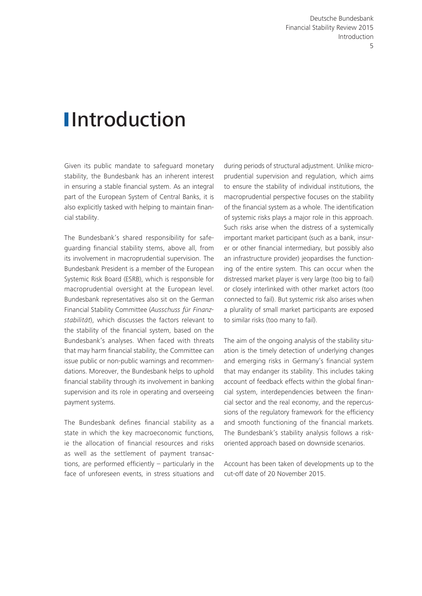## **Introduction**

Given its public mandate to safeguard monetary stability, the Bundesbank has an inherent interest in ensuring a stable financial system. As an integral part of the European System of Central Banks, it is also explicitly tasked with helping to maintain financial stability.

The Bundesbank's shared responsibility for safeguarding financial stability stems, above all, from its involvement in macroprudential supervision. The Bundesbank President is a member of the European Systemic Risk Board (ESRB), which is responsible for macroprudential oversight at the European level. Bundesbank representatives also sit on the German Financial Stability Committee (*Ausschuss für Finanzstabilität*), which discusses the factors relevant to the stability of the financial system, based on the Bundesbank's analyses. When faced with threats that may harm financial stability, the Committee can issue public or non-public warnings and recommendations. Moreover, the Bundesbank helps to uphold financial stability through its involvement in banking supervision and its role in operating and overseeing payment systems.

The Bundesbank defines financial stability as a state in which the key macroeconomic functions, ie the allocation of financial resources and risks as well as the settlement of payment transactions, are performed efficiently – particularly in the face of unforeseen events, in stress situations and during periods of structural adjustment. Unlike microprudential supervision and regulation, which aims to ensure the stability of individual institutions, the macroprudential perspective focuses on the stability of the financial system as a whole. The identification of systemic risks plays a major role in this approach. Such risks arise when the distress of a systemically important market participant (such as a bank, insurer or other financial intermediary, but possibly also an infrastructure provider) jeopardises the functioning of the entire system. This can occur when the distressed market player is very large (too big to fail) or closely interlinked with other market actors (too connected to fail). But systemic risk also arises when a plurality of small market participants are exposed to similar risks (too many to fail).

The aim of the ongoing analysis of the stability situation is the timely detection of underlying changes and emerging risks in Germany's financial system that may endanger its stability. This includes taking account of feedback effects within the global financial system, interdependencies between the financial sector and the real economy, and the repercussions of the regulatory framework for the efficiency and smooth functioning of the financial markets. The Bundesbank's stability analysis follows a riskoriented approach based on downside scenarios.

Account has been taken of developments up to the cut-off date of 20 November 2015.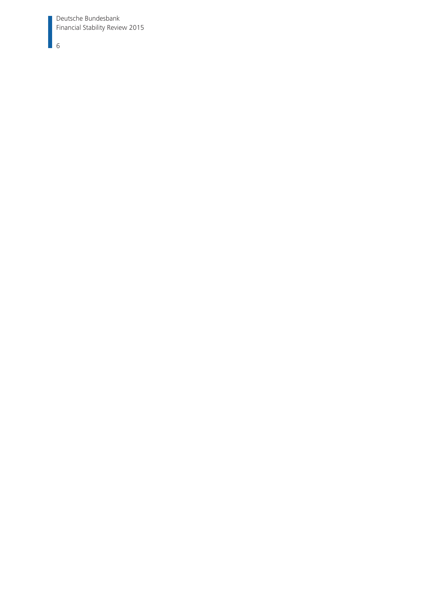Deutsche Bundesbank Financial Stability Review 2015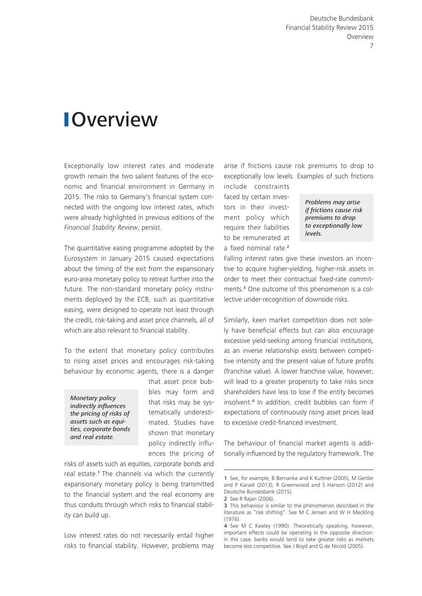## **I**Overview

Exceptionally low interest rates and moderate growth remain the two salient features of the economic and financial environment in Germany in 2015. The risks to Germany's financial system connected with the ongoing low interest rates, which were already highlighted in previous editions of the *Financial Stability Review*, persist.

The quantitative easing programme adopted by the Eurosystem in January 2015 caused expectations about the timing of the exit from the expansionary euro-area monetary policy to retreat further into the future. The non-standard monetary policy instruments deployed by the ECB, such as quantitative easing, were designed to operate not least through the credit, risk-taking and asset price channels, all of which are also relevant to financial stability.

To the extent that monetary policy contributes to rising asset prices and encourages risk-taking behaviour by economic agents, there is a danger

*Monetary policy indirectly influences the pricing of risks of assets such as equities, corporate bonds and real estate.*

that asset price bubbles may form and that risks may be systematically underestimated. Studies have shown that monetary policy indirectly influences the pricing of

risks of assets such as equities, corporate bonds and real estate.<sup>1</sup> The channels via which the currently expansionary monetary policy is being transmitted to the financial system and the real economy are thus conduits through which risks to financial stability can build up.

Low interest rates do not necessarily entail higher risks to financial stability. However, problems may arise if frictions cause risk premiums to drop to exceptionally low levels. Examples of such frictions

include constraints faced by certain investors in their investment policy which require their liabilities to be remunerated at a fixed nominal rate.<sup>2</sup>

*Problems may arise if frictions cause risk premiums to drop to exceptionally low levels.*

Falling interest rates give these investors an incentive to acquire higher-yielding, higher-risk assets in order to meet their contractual fixed-rate commitments.<sup>3</sup> One outcome of this phenomenon is a collective under-recognition of downside risks.

Similarly, keen market competition does not solely have beneficial effects but can also encourage excessive yield-seeking among financial institutions, as an inverse relationship exists between competitive intensity and the present value of future profits (franchise value). A lower franchise value, however, will lead to a greater propensity to take risks since shareholders have less to lose if the entity becomes insolvent.<sup>4</sup> In addition, credit bubbles can form if expectations of continuously rising asset prices lead to excessive credit-financed investment.

The behaviour of financial market agents is additionally influenced by the regulatory framework. The

<sup>1</sup> See, for example, B Bernanke and K Kuttner (2005), M Gertler and P Karadi (2013), R Greenwood and S Hanson (2012) and Deutsche Bundesbank (2015).

<sup>2</sup> See R Rajan (2006).

<sup>3</sup> This behaviour is similar to the phenomenon described in the literature as "risk shifting". See M C Jensen and W H Meckling  $(1976)$ 

<sup>4</sup> See M C Keeley (1990). Theoretically speaking, however, important effects could be operating in the opposite direction: in this case, banks would tend to take greater risks as markets become less competitive. See J Boyd and G de Nicoló (2005).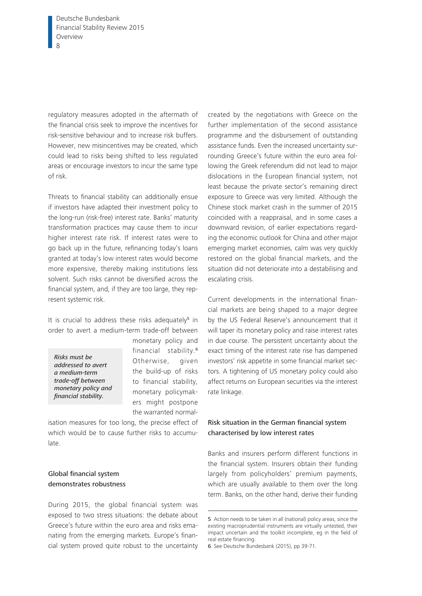regulatory measures adopted in the aftermath of the financial crisis seek to improve the incentives for risk-sensitive behaviour and to increase risk buffers. However, new misincentives may be created, which could lead to risks being shifted to less regulated areas or encourage investors to incur the same type of risk.

Threats to financial stability can additionally ensue if investors have adapted their investment policy to the long-run (risk-free) interest rate. Banks' maturity transformation practices may cause them to incur higher interest rate risk. If interest rates were to go back up in the future, refinancing today's loans granted at today's low interest rates would become more expensive, thereby making institutions less solvent. Such risks cannot be diversified across the financial system, and, if they are too large, they represent systemic risk.

It is crucial to address these risks adequately<sup>5</sup> in order to avert a medium-term trade-off between

*Risks must be addressed to avert a medium-term trade-off between monetary policy and financial stability.*

monetary policy and financial stability.<sup>6</sup> Otherwise, given the build-up of risks to financial stability, monetary policymakers might postpone the warranted normal-

isation measures for too long, the precise effect of which would be to cause further risks to accumulate.

## Global financial system demonstrates robustness

During 2015, the global financial system was exposed to two stress situations: the debate about Greece's future within the euro area and risks emanating from the emerging markets. Europe's financial system proved quite robust to the uncertainty

created by the negotiations with Greece on the further implementation of the second assistance programme and the disbursement of outstanding assistance funds. Even the increased uncertainty surrounding Greece's future within the euro area following the Greek referendum did not lead to major dislocations in the European financial system, not least because the private sector's remaining direct exposure to Greece was very limited. Although the Chinese stock market crash in the summer of 2015 coincided with a reappraisal, and in some cases a downward revision, of earlier expectations regarding the economic outlook for China and other major emerging market economies, calm was very quickly restored on the global financial markets, and the situation did not deteriorate into a destabilising and escalating crisis.

Current developments in the international financial markets are being shaped to a major degree by the US Federal Reserve's announcement that it will taper its monetary policy and raise interest rates in due course. The persistent uncertainty about the exact timing of the interest rate rise has dampened investors' risk appetite in some financial market sectors. A tightening of US monetary policy could also affect returns on European securities via the interest rate linkage.

## Risk situation in the German financial system characterised by low interest rates

Banks and insurers perform different functions in the financial system. Insurers obtain their funding largely from policyholders' premium payments, which are usually available to them over the long term. Banks, on the other hand, derive their funding

<sup>5</sup> Action needs to be taken in all (national) policy areas, since the existing macroprudential instruments are virtually untested, their impact uncertain and the toolkit incomplete, eg in the field of real estate financing.

<sup>6</sup> See Deutsche Bundesbank (2015), pp 39-71.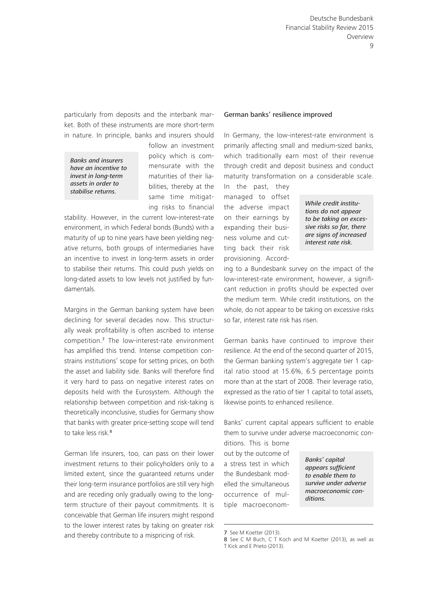particularly from deposits and the interbank market. Both of these instruments are more short-term in nature. In principle, banks and insurers should

*Banks and insurers have an incentive to invest in long-term assets in order to stabilise returns.*

follow an investment policy which is commensurate with the maturities of their liabilities, thereby at the same time mitigating risks to financial

stability. However, in the current low-interest-rate environment, in which Federal bonds (Bunds) with a maturity of up to nine years have been yielding negative returns, both groups of intermediaries have an incentive to invest in long-term assets in order to stabilise their returns. This could push yields on long-dated assets to low levels not justified by fundamentals.

Margins in the German banking system have been declining for several decades now. This structurally weak profitability is often ascribed to intense competition.<sup>7</sup> The low-interest-rate environment has amplified this trend. Intense competition constrains institutions' scope for setting prices, on both the asset and liability side. Banks will therefore find it very hard to pass on negative interest rates on deposits held with the Eurosystem. Although the relationship between competition and risk-taking is theoretically inconclusive, studies for Germany show that banks with greater price-setting scope will tend to take less risk.<sup>8</sup>

German life insurers, too, can pass on their lower investment returns to their policyholders only to a limited extent, since the guaranteed returns under their long-term insurance portfolios are still very high and are receding only gradually owing to the longterm structure of their payout commitments. It is conceivable that German life insurers might respond to the lower interest rates by taking on greater risk and thereby contribute to a mispricing of risk.  $\frac{7}{2}$  See M Koetter (2013).

### German banks' resilience improved

In Germany, the low-interest-rate environment is primarily affecting small and medium-sized banks, which traditionally earn most of their revenue through credit and deposit business and conduct maturity transformation on a considerable scale.

In the past, they managed to offset the adverse impact on their earnings by expanding their business volume and cutting back their risk provisioning. Accord-

*While credit institutions do not appear to be taking on excessive risks so far, there are signs of increased interest rate risk.*

ing to a Bundesbank survey on the impact of the low-interest-rate environment, however, a significant reduction in profits should be expected over the medium term. While credit institutions, on the whole, do not appear to be taking on excessive risks so far, interest rate risk has risen.

German banks have continued to improve their resilience. At the end of the second quarter of 2015, the German banking system's aggregate tier 1 capital ratio stood at 15.6%, 6.5 percentage points more than at the start of 2008. Their leverage ratio, expressed as the ratio of tier 1 capital to total assets, likewise points to enhanced resilience.

Banks' current capital appears sufficient to enable them to survive under adverse macroeconomic con-

ditions. This is borne out by the outcome of a stress test in which the Bundesbank modelled the simultaneous occurrence of multiple macroeconom-

*Banks' capital appears sufficient to enable them to survive under adverse macroeconomic conditions.*

<sup>8</sup> See C M Buch, C T Koch and M Koetter (2013), as well as T Kick and E Prieto (2013).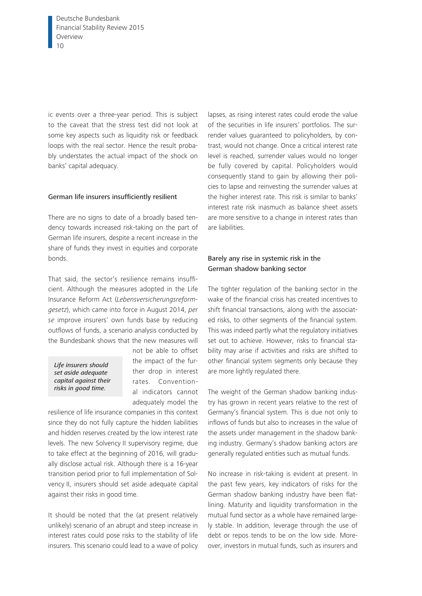ic events over a three-year period. This is subject to the caveat that the stress test did not look at some key aspects such as liquidity risk or feedback loops with the real sector. Hence the result probably understates the actual impact of the shock on banks' capital adequacy.

### German life insurers insufficiently resilient

There are no signs to date of a broadly based tendency towards increased risk-taking on the part of German life insurers, despite a recent increase in the share of funds they invest in equities and corporate bonds.

That said, the sector's resilience remains insufficient. Although the measures adopted in the Life Insurance Reform Act (*Lebensversicherungsreformgesetz*), which came into force in August 2014, *per se* improve insurers' own funds base by reducing outflows of funds, a scenario analysis conducted by the Bundesbank shows that the new measures will

*Life insurers should set aside adequate capital against their risks in good time.*

not be able to offset the impact of the further drop in interest rates. Conventional indicators cannot adequately model the

resilience of life insurance companies in this context since they do not fully capture the hidden liabilities and hidden reserves created by the low interest rate levels. The new Solvency II supervisory regime, due to take effect at the beginning of 2016, will gradually disclose actual risk. Although there is a 16-year transition period prior to full implementation of Solvency II, insurers should set aside adequate capital against their risks in good time.

It should be noted that the (at present relatively unlikely) scenario of an abrupt and steep increase in interest rates could pose risks to the stability of life insurers. This scenario could lead to a wave of policy

lapses, as rising interest rates could erode the value of the securities in life insurers' portfolios. The surrender values guaranteed to policyholders, by contrast, would not change. Once a critical interest rate level is reached, surrender values would no longer be fully covered by capital. Policyholders would consequently stand to gain by allowing their policies to lapse and reinvesting the surrender values at the higher interest rate. This risk is similar to banks' interest rate risk inasmuch as balance sheet assets are more sensitive to a change in interest rates than are liabilities.

## Barely any rise in systemic risk in the German shadow banking sector

The tighter regulation of the banking sector in the wake of the financial crisis has created incentives to shift financial transactions, along with the associated risks, to other segments of the financial system. This was indeed partly what the regulatory initiatives set out to achieve. However, risks to financial stability may arise if activities and risks are shifted to other financial system segments only because they are more lightly regulated there.

The weight of the German shadow banking industry has grown in recent years relative to the rest of Germany's financial system. This is due not only to inflows of funds but also to increases in the value of the assets under management in the shadow banking industry. Germany's shadow banking actors are generally regulated entities such as mutual funds.

No increase in risk-taking is evident at present. In the past few years, key indicators of risks for the German shadow banking industry have been flatlining. Maturity and liquidity transformation in the mutual fund sector as a whole have remained largely stable. In addition, leverage through the use of debt or repos tends to be on the low side. Moreover, investors in mutual funds, such as insurers and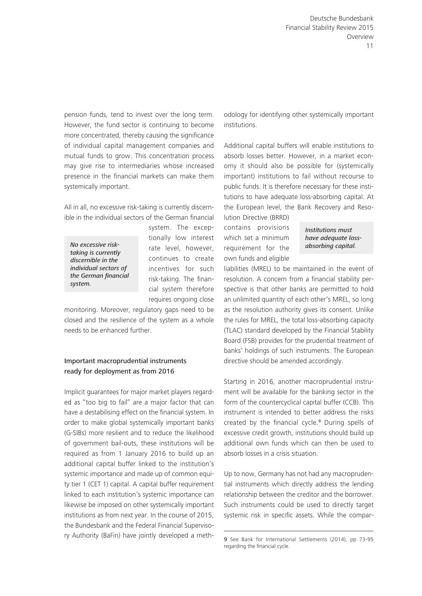pension funds, tend to invest over the long term. However, the fund sector is continuing to become more concentrated, thereby causing the significance of individual capital management companies and mutual funds to grow. This concentration process may give rise to intermediaries whose increased presence in the financial markets can make them systemically important.

All in all, no excessive risk-taking is currently discernible in the individual sectors of the German financial

*No excessive risktaking is currently discernible in the individual sectors of the German financial system.*

system. The exceptionally low interest rate level, however, continues to create incentives for such risk-taking. The financial system therefore requires ongoing close

monitoring. Moreover, regulatory gaps need to be closed and the resilience of the system as a whole needs to be enhanced further.

## Important macroprudential instruments ready for deployment as from 2016

Implicit guarantees for major market players regarded as "too big to fail" are a major factor that can have a destabilising effect on the financial system. In order to make global systemically important banks (G-SIBs) more resilient and to reduce the likelihood of government bail-outs, these institutions will be required as from 1 January 2016 to build up an additional capital buffer linked to the institution's systemic importance and made up of common equity tier 1 (CET 1) capital. A capital buffer requirement linked to each institution's systemic importance can likewise be imposed on other systemically important institutions as from next year. In the course of 2015, the Bundesbank and the Federal Financial Supervisory Authority (BaFin) have jointly developed a methodology for identifying other systemically important institutions.

Additional capital buffers will enable institutions to absorb losses better. However, in a market economy it should also be possible for (systemically important) institutions to fail without recourse to public funds. It is therefore necessary for these institutions to have adequate loss-absorbing capital. At the European level, the Bank Recovery and Reso-

lution Directive (BRRD) contains provisions which set a minimum requirement for the own funds and eligible

*Institutions must have adequate lossabsorbing capital.*

liabilities (MREL) to be maintained in the event of resolution. A concern from a financial stability perspective is that other banks are permitted to hold an unlimited quantity of each other's MREL, so long as the resolution authority gives its consent. Unlike the rules for MREL, the total loss-absorbing capacity (TLAC) standard developed by the Financial Stability Board (FSB) provides for the prudential treatment of banks' holdings of such instruments. The European directive should be amended accordingly.

Starting in 2016, another macroprudential instrument will be available for the banking sector in the form of the countercyclical capital buffer (CCB). This instrument is intended to better address the risks created by the financial cycle.<sup>9</sup> During spells of excessive credit growth, institutions should build up additional own funds which can then be used to absorb losses in a crisis situation.

Up to now, Germany has not had any macroprudential instruments which directly address the lending relationship between the creditor and the borrower. Such instruments could be used to directly target systemic risk in specific assets. While the compar-

<sup>9</sup> See Bank for International Settlements (2014), pp 73-95 regarding the financial cycle.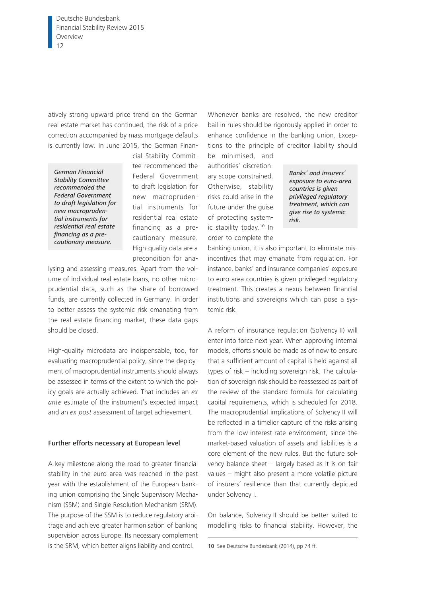atively strong upward price trend on the German real estate market has continued, the risk of a price correction accompanied by mass mortgage defaults is currently low. In June 2015, the German Finan-

*German Financial Stability Committee recommended the Federal Government to draft legislation for new macroprudential instruments for residential real estate financing as a precautionary measure.*

cial Stability Committee recommended the Federal Government to draft legislation for new macroprudential instruments for residential real estate financing as a precautionary measure. High-quality data are a precondition for ana-

lysing and assessing measures. Apart from the volume of individual real estate loans, no other microprudential data, such as the share of borrowed funds, are currently collected in Germany. In order to better assess the systemic risk emanating from the real estate financing market, these data gaps should be closed.

High-quality microdata are indispensable, too, for evaluating macroprudential policy, since the deployment of macroprudential instruments should always be assessed in terms of the extent to which the policy goals are actually achieved. That includes an *ex ante* estimate of the instrument's expected impact and an *ex post* assessment of target achievement.

#### Further efforts necessary at European level

A key milestone along the road to greater financial stability in the euro area was reached in the past year with the establishment of the European banking union comprising the Single Supervisory Mechanism (SSM) and Single Resolution Mechanism (SRM). The purpose of the SSM is to reduce regulatory arbitrage and achieve greater harmonisation of banking supervision across Europe. Its necessary complement is the SRM, which better aligns liability and control. 10 See Deutsche Bundesbank (2014), pp 74 ff.

Whenever banks are resolved, the new creditor bail-in rules should be rigorously applied in order to enhance confidence in the banking union. Exceptions to the principle of creditor liability should

be minimised, and authorities' discretionary scope constrained. Otherwise, stability risks could arise in the future under the guise of protecting systemic stability today.<sup>10</sup> In order to complete the

*Banks' and insurers' exposure to euro-area countries is given privileged regulatory treatment, which can give rise to systemic risk.*

banking union, it is also important to eliminate misincentives that may emanate from regulation. For instance, banks' and insurance companies' exposure to euro-area countries is given privileged regulatory treatment. This creates a nexus between financial institutions and sovereigns which can pose a systemic risk.

A reform of insurance regulation (Solvency II) will enter into force next year. When approving internal models, efforts should be made as of now to ensure that a sufficient amount of capital is held against all types of risk – including sovereign risk. The calculation of sovereign risk should be reassessed as part of the review of the standard formula for calculating capital requirements, which is scheduled for 2018. The macroprudential implications of Solvency II will be reflected in a timelier capture of the risks arising from the low-interest-rate environment, since the market-based valuation of assets and liabilities is a core element of the new rules. But the future solvency balance sheet – largely based as it is on fair values – might also present a more volatile picture of insurers' resilience than that currently depicted under Solvency I.

On balance, Solvency II should be better suited to modelling risks to financial stability. However, the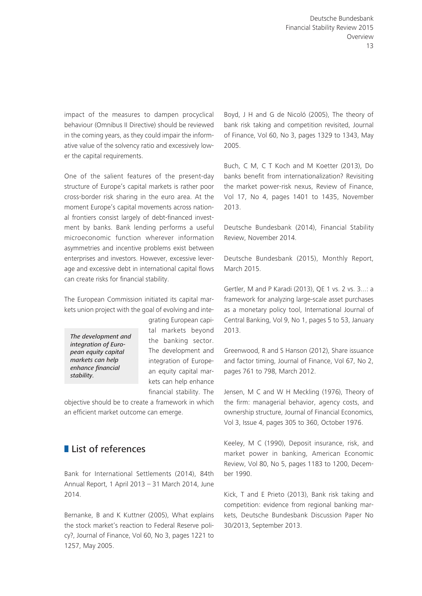impact of the measures to dampen procyclical behaviour (Omnibus II Directive) should be reviewed in the coming years, as they could impair the informative value of the solvency ratio and excessively lower the capital requirements.

One of the salient features of the present-day structure of Europe's capital markets is rather poor cross-border risk sharing in the euro area. At the moment Europe's capital movements across national frontiers consist largely of debt-financed investment by banks. Bank lending performs a useful microeconomic function wherever information asymmetries and incentive problems exist between enterprises and investors. However, excessive leverage and excessive debt in international capital flows can create risks for financial stability.

The European Commission initiated its capital markets union project with the goal of evolving and inte-

*The development and integration of European equity capital markets can help enhance financial stability.*

grating European capital markets beyond the banking sector. The development and integration of European equity capital markets can help enhance financial stability. The

objective should be to create a framework in which an efficient market outcome can emerge.

## **List of references**

Bank for International Settlements (2014), 84th Annual Report, 1 April 2013 – 31 March 2014, June 2014.

Bernanke, B and K Kuttner (2005), What explains the stock market's reaction to Federal Reserve policy?, Journal of Finance, Vol 60, No 3, pages 1221 to 1257, May 2005.

Boyd, J H and G de Nicoló (2005), The theory of bank risk taking and competition revisited, Journal of Finance, Vol 60, No 3, pages 1329 to 1343, May 2005.

Buch, C M, C T Koch and M Koetter (2013), Do banks benefit from internationalization? Revisiting the market power-risk nexus, Review of Finance, Vol 17, No 4, pages 1401 to 1435, November 2013.

Deutsche Bundesbank (2014), Financial Stability Review, November 2014.

Deutsche Bundesbank (2015), Monthly Report, March 2015.

Gertler, M and P Karadi (2013), QE 1 vs. 2 vs. 3...: a framework for analyzing large-scale asset purchases as a monetary policy tool, International Journal of Central Banking, Vol 9, No 1, pages 5 to 53, January 2013.

Greenwood, R and S Hanson (2012), Share issuance and factor timing, Journal of Finance, Vol 67, No 2, pages 761 to 798, March 2012.

Jensen, M C and W H Meckling (1976), Theory of the firm: managerial behavior, agency costs, and ownership structure, Journal of Financial Economics, Vol 3, Issue 4, pages 305 to 360, October 1976.

Keeley, M C (1990), Deposit insurance, risk, and market power in banking, American Economic Review, Vol 80, No 5, pages 1183 to 1200, December 1990.

Kick, T and E Prieto (2013), Bank risk taking and competition: evidence from regional banking markets, Deutsche Bundesbank Discussion Paper No 30/2013, September 2013.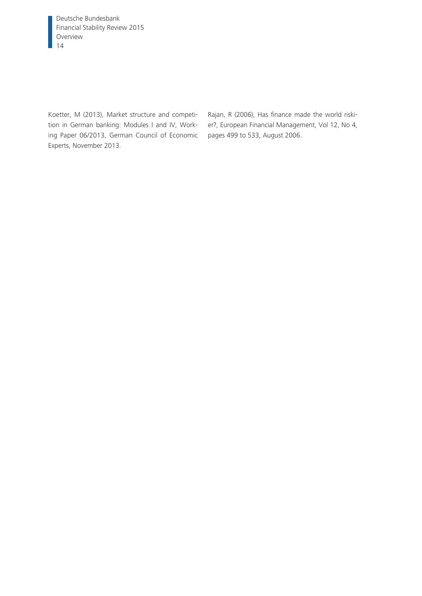Koetter, M (2013), Market structure and competition in German banking: Modules I and IV, Working Paper 06/2013, German Council of Economic Experts, November 2013.

Rajan, R (2006), Has finance made the world riskier?, European Financial Management, Vol 12, No 4, pages 499 to 533, August 2006.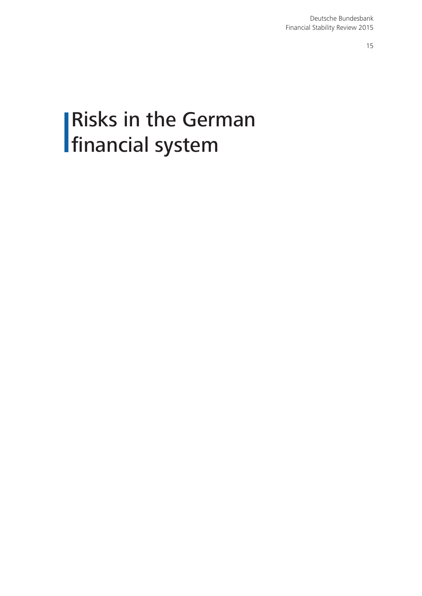Deutsche Bundesbank Financial Stability Review 2015

## 15

## Risks in the German financial system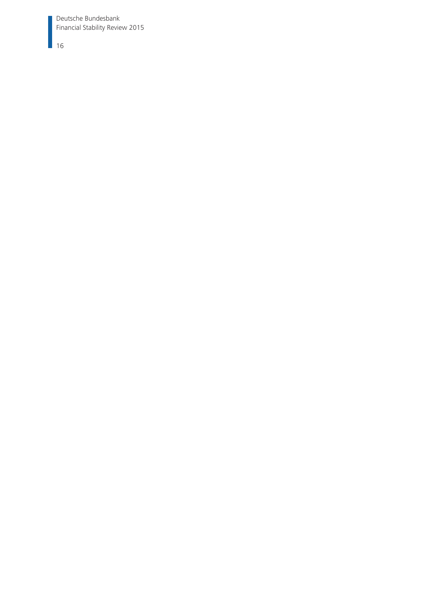Deutsche Bundesbank Financial Stability Review 2015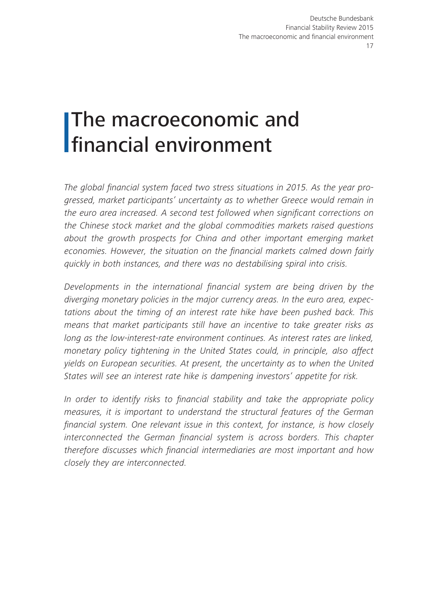## The macroeconomic and financial environment

*The global financial system faced two stress situations in 2015. As the year progressed, market participants' uncertainty as to whether Greece would remain in the euro area increased. A second test followed when significant corrections on the Chinese stock market and the global commodities markets raised questions about the growth prospects for China and other important emerging market economies. However, the situation on the financial markets calmed down fairly quickly in both instances, and there was no destabilising spiral into crisis.* 

*Developments in the international financial system are being driven by the diverging monetary policies in the major currency areas. In the euro area, expectations about the timing of an interest rate hike have been pushed back. This means that market participants still have an incentive to take greater risks as long as the low-interest-rate environment continues. As interest rates are linked, monetary policy tightening in the United States could, in principle, also affect yields on European securities. At present, the uncertainty as to when the United States will see an interest rate hike is dampening investors' appetite for risk.* 

*In order to identify risks to financial stability and take the appropriate policy measures, it is important to understand the structural features of the German financial system. One relevant issue in this context, for instance, is how closely interconnected the German financial system is across borders. This chapter therefore discusses which financial intermediaries are most important and how closely they are interconnected.*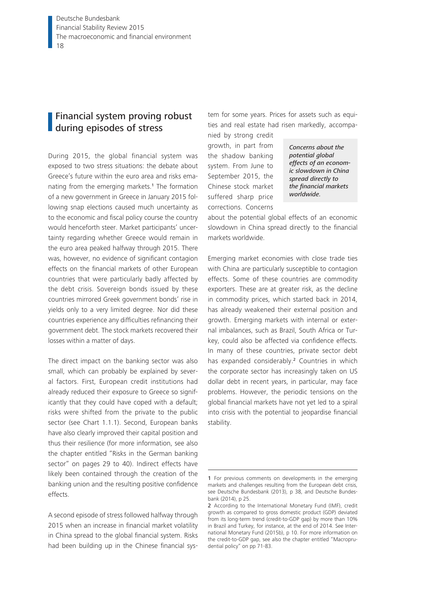## **Financial system proving robust d** during episodes of stress

During 2015, the global financial system was exposed to two stress situations: the debate about Greece's future within the euro area and risks emanating from the emerging markets.<sup>1</sup> The formation of a new government in Greece in January 2015 following snap elections caused much uncertainty as to the economic and fiscal policy course the country would henceforth steer. Market participants' uncertainty regarding whether Greece would remain in the euro area peaked halfway through 2015. There was, however, no evidence of significant contagion effects on the financial markets of other European countries that were particularly badly affected by the debt crisis. Sovereign bonds issued by these countries mirrored Greek government bonds' rise in yields only to a very limited degree. Nor did these countries experience any difficulties refinancing their government debt. The stock markets recovered their losses within a matter of days.

The direct impact on the banking sector was also small, which can probably be explained by several factors. First, European credit institutions had already reduced their exposure to Greece so significantly that they could have coped with a default; risks were shifted from the private to the public sector (see Chart 1.1.1). Second, European banks have also clearly improved their capital position and thus their resilience (for more information, see also the chapter entitled "Risks in the German banking sector" on pages 29 to 40). Indirect effects have likely been contained through the creation of the banking union and the resulting positive confidence effects.

A second episode of stress followed halfway through 2015 when an increase in financial market volatility in China spread to the global financial system. Risks had been building up in the Chinese financial system for some years. Prices for assets such as equities and real estate had risen markedly, accompa-

nied by strong credit growth, in part from the shadow banking system. From June to September 2015, the Chinese stock market suffered sharp price corrections. Concerns

*Concerns about the potential global effects of an economic slowdown in China spread directly to the financial markets worldwide.*

about the potential global effects of an economic slowdown in China spread directly to the financial markets worldwide.

Emerging market economies with close trade ties with China are particularly susceptible to contagion effects. Some of these countries are commodity exporters. These are at greater risk, as the decline in commodity prices, which started back in 2014, has already weakened their external position and growth. Emerging markets with internal or external imbalances, such as Brazil, South Africa or Turkey, could also be affected via confidence effects. In many of these countries, private sector debt has expanded considerably.<sup>2</sup> Countries in which the corporate sector has increasingly taken on US dollar debt in recent years, in particular, may face problems. However, the periodic tensions on the global financial markets have not yet led to a spiral into crisis with the potential to jeopardise financial stability.

<sup>1</sup> For previous comments on developments in the emerging markets and challenges resulting from the European debt crisis, see Deutsche Bundesbank (2013), p 38, and Deutsche Bundesbank (2014), p 25.

<sup>2</sup> According to the International Monetary Fund (IMF), credit growth as compared to gross domestic product (GDP) deviated from its long-term trend (credit-to-GDP gap) by more than 10% in Brazil and Turkey, for instance, at the end of 2014. See International Monetary Fund (2015b), p 10. For more information on the credit-to-GDP gap, see also the chapter entitled "Macroprudential policy" on pp 71-83.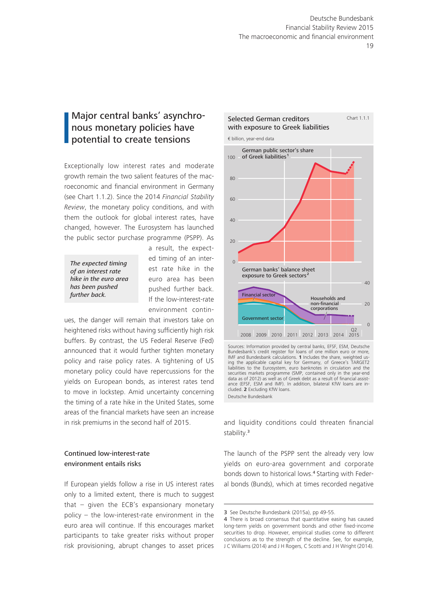Chart 1.1.1

## Major central banks' asynchronous monetary policies have potential to create tensions

Exceptionally low interest rates and moderate growth remain the two salient features of the macroeconomic and financial environment in Germany (see Chart 1.1.2). Since the 2014 *Financial Stability Review*, the monetary policy conditions, and with them the outlook for global interest rates, have changed, however. The Eurosystem has launched the public sector purchase programme (PSPP). As

*The expected timing of an interest rate hike in the euro area has been pushed further back.*

a result, the expected timing of an interest rate hike in the euro area has been pushed further back. If the low-interest-rate environment contin-

ues, the danger will remain that investors take on heightened risks without having sufficiently high risk buffers. By contrast, the US Federal Reserve (Fed) announced that it would further tighten monetary policy and raise policy rates. A tightening of US monetary policy could have repercussions for the yields on European bonds, as interest rates tend to move in lockstep. Amid uncertainty concerning the timing of a rate hike in the United States, some areas of the financial markets have seen an increase in risk premiums in the second half of 2015.

## Continued low-interest-rate environment entails risks

If European yields follow a rise in US interest rates only to a limited extent, there is much to suggest that – given the ECB's expansionary monetary policy – the low-interest-rate environment in the euro area will continue. If this encourages market participants to take greater risks without proper risk provisioning, abrupt changes to asset prices

### Selected German creditors with exposure to Greek liabilities





Sources: Information provided by central banks, EFSF, ESM, Deutsche Bundesbank's credit register for loans of one million euro or more, IMF and Bundesbank calculations. **1** Includes the share, weighted using the applicable capital key for Germany, of Greece's TARGET2 liabilities to the Eurosystem, euro banknotes in circulation and the securities markets programme (SMP, contained only in the year-end data as of 2012) as well as of Greek debt as a result of financial assist-ance (EFSF, ESM and IMF). In addition, bilateral KfW loans are included. **2** Excluding KfW loans. Deutsche Bundesbank

and liquidity conditions could threaten financial stability.<sup>3</sup>

The launch of the PSPP sent the already very low yields on euro-area government and corporate bonds down to historical lows.<sup>4</sup> Starting with Federal bonds (Bunds), which at times recorded negative

<sup>3</sup> See Deutsche Bundesbank (2015a), pp 49-55.

<sup>4</sup> There is broad consensus that quantitative easing has caused long-term yields on government bonds and other fixed-income securities to drop. However, empirical studies come to different conclusions as to the strength of the decline. See, for example, J C Williams (2014) and J H Rogers, C Scotti and J H Wright (2014).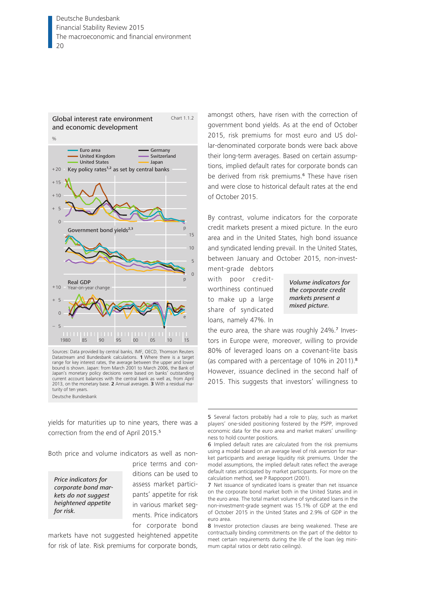Global interest rate environment and economic development Chart 1.1.2



Sources: Data provided by central banks, IMF, OECD, Thomson Reuters Datastream and Bundesbank calculations. **1** Where there is a target range for key interest rates, the average between the upper and lower bound is shown. Japan: from March 2001 to March 2006, the Bank of Japan's monetary policy decisions were based on banks' outstanding current account balances with the central bank as well as, from April 2013, on the monetary base. **2** Annual averages. **3** With a residual maturity of ten years. Deutsche Bundesbank

yields for maturities up to nine years, there was a correction from the end of April 2015.<sup>5</sup>

Both price and volume indicators as well as non-

*Price indicators for corporate bond markets do not suggest heightened appetite for risk.*

price terms and conditions can be used to assess market participants' appetite for risk in various market segments. Price indicators for corporate bond

markets have not suggested heightened appetite for risk of late. Risk premiums for corporate bonds, amongst others, have risen with the correction of government bond yields. As at the end of October 2015, risk premiums for most euro and US dollar-denominated corporate bonds were back above their long-term averages. Based on certain assumptions, implied default rates for corporate bonds can be derived from risk premiums.<sup>6</sup> These have risen and were close to historical default rates at the end of October 2015.

By contrast, volume indicators for the corporate credit markets present a mixed picture. In the euro area and in the United States, high bond issuance and syndicated lending prevail. In the United States, between January and October 2015, non-investment-grade debtors

with poor creditworthiness continued to make up a large share of syndicated loans, namely 47%. In

*Volume indicators for the corporate credit markets present a mixed picture.*

the euro area, the share was roughly 24%.<sup>7</sup> Investors in Europe were, moreover, willing to provide 80% of leveraged loans on a covenant-lite basis (as compared with a percentage of 10% in 2011).<sup>8</sup> However, issuance declined in the second half of 2015. This suggests that investors' willingness to

<sup>5</sup> Several factors probably had a role to play, such as market players' one-sided positioning fostered by the PSPP, improved economic data for the euro area and market makers' unwillingness to hold counter positions.

<sup>6</sup> Implied default rates are calculated from the risk premiums using a model based on an average level of risk aversion for market participants and average liquidity risk premiums. Under the model assumptions, the implied default rates reflect the average default rates anticipated by market participants. For more on the calculation method, see P Rappoport (2001).

<sup>7</sup> Net issuance of syndicated loans is greater than net issuance on the corporate bond market both in the United States and in the euro area. The total market volume of syndicated loans in the non-investment-grade segment was 15.1% of GDP at the end of October 2015 in the United States and 2.9% of GDP in the euro area.

<sup>8</sup> Investor protection clauses are being weakened. These are contractually binding commitments on the part of the debtor to meet certain requirements during the life of the loan (eg minimum capital ratios or debt ratio ceilings).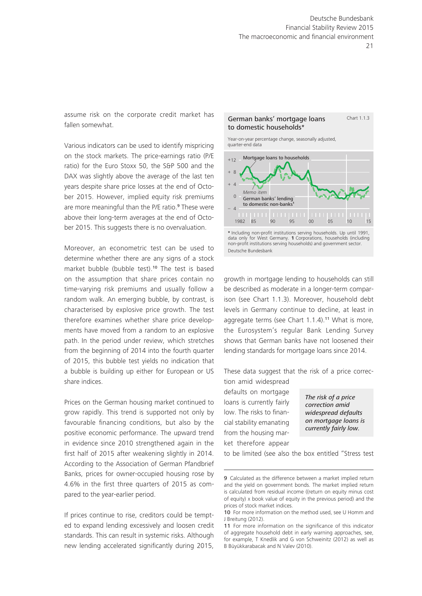assume risk on the corporate credit market has fallen somewhat.

Various indicators can be used to identify mispricing on the stock markets. The price-earnings ratio (P/E ratio) for the Euro Stoxx 50, the S&P 500 and the DAX was slightly above the average of the last ten years despite share price losses at the end of October 2015. However, implied equity risk premiums are more meaningful than the P/E ratio.<sup>9</sup> These were above their long-term averages at the end of October 2015. This suggests there is no overvaluation.

Moreover, an econometric test can be used to determine whether there are any signs of a stock market bubble (bubble test).<sup>10</sup> The test is based on the assumption that share prices contain no time-varying risk premiums and usually follow a random walk. An emerging bubble, by contrast, is characterised by explosive price growth. The test therefore examines whether share price developments have moved from a random to an explosive path. In the period under review, which stretches from the beginning of 2014 into the fourth quarter of 2015, this bubble test yields no indication that a bubble is building up either for European or US share indices.

Prices on the German housing market continued to grow rapidly. This trend is supported not only by favourable financing conditions, but also by the positive economic performance. The upward trend in evidence since 2010 strengthened again in the first half of 2015 after weakening slightly in 2014. According to the Association of German Pfandbrief Banks, prices for owner-occupied housing rose by 4.6% in the first three quarters of 2015 as compared to the year-earlier period.

If prices continue to rise, creditors could be tempted to expand lending excessively and loosen credit standards. This can result in systemic risks. Although new lending accelerated significantly during 2015,

#### German banks' mortgage loans to domestic households\* Chart 1.1.3

Year-on-year percentage change, seasonally adjusted, quarter-end data



data only for West Germany. **1** Corporations, households (including non-profit institutions serving households) and government sector. Deutsche Bundesbank

growth in mortgage lending to households can still be described as moderate in a longer-term comparison (see Chart 1.1.3). Moreover, household debt levels in Germany continue to decline, at least in aggregate terms (see Chart 1.1.4).<sup>11</sup> What is more, the Eurosystem's regular Bank Lending Survey shows that German banks have not loosened their lending standards for mortgage loans since 2014.

These data suggest that the risk of a price correc-

tion amid widespread defaults on mortgage loans is currently fairly low. The risks to financial stability emanating from the housing market therefore appear

*The risk of a price correction amid widespread defaults on mortgage loans is currently fairly low.*

to be limited (see also the box entitled "Stress test

<sup>9</sup> Calculated as the difference between a market implied return and the yield on government bonds. The market implied return is calculated from residual income ((return on equity minus cost of equity) x book value of equity in the previous period) and the prices of stock market indices.

<sup>10</sup> For more information on the method used, see U Homm and J Breitung (2012).

<sup>11</sup> For more information on the significance of this indicator of aggregate household debt in early warning approaches, see, for example, T Knedlik and G von Schweinitz (2012) as well as B Büyükkarabacak and N Valev (2010).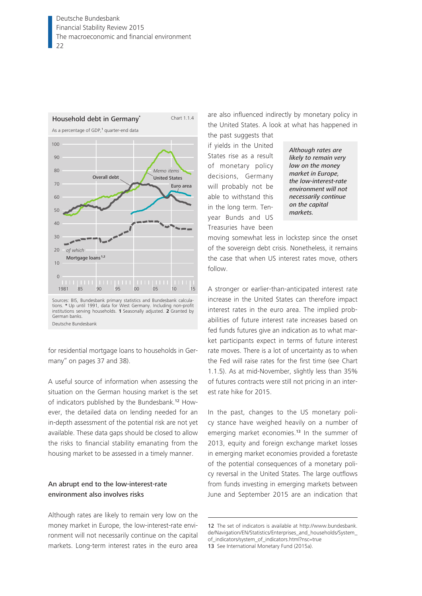

Sources: BIS, Bundesbank primary statistics and Bundesbank calculations. **\*** Up until 1991, data for West Germany. Including non-profit institutions serving households. **1** Seasonally adjusted. **2** Granted by German banks.

Deutsche Bundesbank

for residential mortgage loans to households in Germany" on pages 37 and 38).

A useful source of information when assessing the situation on the German housing market is the set of indicators published by the Bundesbank.12 However, the detailed data on lending needed for an in-depth assessment of the potential risk are not yet available. These data gaps should be closed to allow the risks to financial stability emanating from the housing market to be assessed in a timely manner.

## An abrupt end to the low-interest-rate environment also involves risks

Although rates are likely to remain very low on the money market in Europe, the low-interest-rate environment will not necessarily continue on the capital markets. Long-term interest rates in the euro area

are also influenced indirectly by monetary policy in the United States. A look at what has happened in

the past suggests that if yields in the United States rise as a result of monetary policy decisions, Germany will probably not be able to withstand this in the long term. Tenyear Bunds and US Treasuries have been

*Although rates are likely to remain very low on the money market in Europe, the low-interest-rate environment will not necessarily continue on the capital markets.*

moving somewhat less in lockstep since the onset of the sovereign debt crisis. Nonetheless, it remains the case that when US interest rates move, others follow.

A stronger or earlier-than-anticipated interest rate increase in the United States can therefore impact interest rates in the euro area. The implied probabilities of future interest rate increases based on fed funds futures give an indication as to what market participants expect in terms of future interest rate moves. There is a lot of uncertainty as to when the Fed will raise rates for the first time (see Chart 1.1.5). As at mid-November, slightly less than 35% of futures contracts were still not pricing in an interest rate hike for 2015.

In the past, changes to the US monetary policy stance have weighed heavily on a number of emerging market economies.<sup>13</sup> In the summer of 2013, equity and foreign exchange market losses in emerging market economies provided a foretaste of the potential consequences of a monetary policy reversal in the United States. The large outflows from funds investing in emerging markets between June and September 2015 are an indication that

of\_indicators/system\_of\_indicators.html?nsc=true

<sup>12</sup> The set of indicators is available at http://www.bundesbank. de/Navigation/EN/Statistics/Enterprises\_and\_households/System\_

<sup>13</sup> See International Monetary Fund (2015a).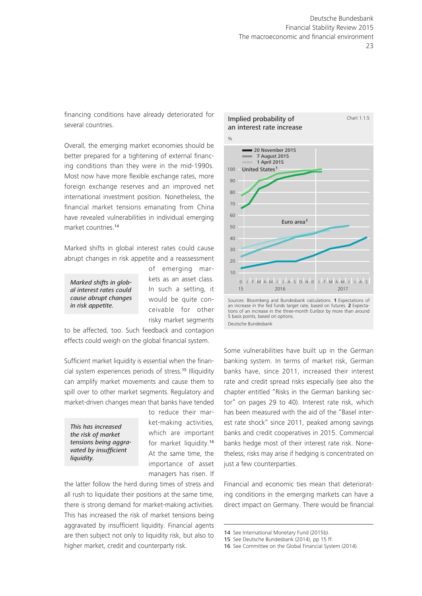financing conditions have already deteriorated for several countries.

Overall, the emerging market economies should be better prepared for a tightening of external financing conditions than they were in the mid-1990s. Most now have more flexible exchange rates, more foreign exchange reserves and an improved net international investment position. Nonetheless, the financial market tensions emanating from China have revealed vulnerabilities in individual emerging market countries.<sup>14</sup>

Marked shifts in global interest rates could cause abrupt changes in risk appetite and a reassessment

*Marked shifts in global interest rates could cause abrupt changes in risk appetite.*

of emerging markets as an asset class. In such a setting, it would be quite conceivable for other risky market segments

to be affected, too. Such feedback and contagion effects could weigh on the global financial system.

Sufficient market liquidity is essential when the financial system experiences periods of stress.<sup>15</sup> Illiquidity can amplify market movements and cause them to spill over to other market segments. Regulatory and market-driven changes mean that banks have tended

*This has increased the risk of market tensions being aggravated by insufficient liquidity.*

to reduce their market-making activities, which are important for market liquidity.<sup>16</sup> At the same time, the importance of asset managers has risen. If

the latter follow the herd during times of stress and all rush to liquidate their positions at the same time. there is strong demand for market-making activities. This has increased the risk of market tensions being aggravated by insufficient liquidity. Financial agents are then subject not only to liquidity risk, but also to higher market, credit and counterparty risk.



Sources: Bloomberg and Bundesbank calculations. **1** Expectations of an increase in the fed funds target rate, based on futures. **2** Expectations of an increase in the three-month Euribor by more than around 5 basis points, based on options. Deutsche Bundesbank

Some vulnerabilities have built up in the German banking system. In terms of market risk, German banks have, since 2011, increased their interest rate and credit spread risks especially (see also the chapter entitled "Risks in the German banking sector" on pages 29 to 40). Interest rate risk, which has been measured with the aid of the "Basel interest rate shock" since 2011, peaked among savings banks and credit cooperatives in 2015. Commercial banks hedge most of their interest rate risk. Nonetheless, risks may arise if hedging is concentrated on just a few counterparties.

Financial and economic ties mean that deteriorating conditions in the emerging markets can have a direct impact on Germany. There would be financial

<sup>14</sup> See International Monetary Fund (2015b).

<sup>15</sup> See Deutsche Bundesbank (2014), pp 15 ff.

<sup>16</sup> See Committee on the Global Financial System (2014).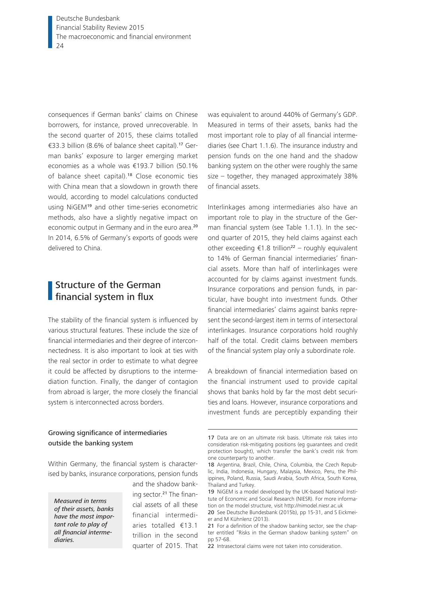consequences if German banks' claims on Chinese borrowers, for instance, proved unrecoverable. In the second quarter of 2015, these claims totalled €33.3 billion (8.6% of balance sheet capital).17 German banks' exposure to larger emerging market economies as a whole was €193.7 billion (50.1% of balance sheet capital).<sup>18</sup> Close economic ties with China mean that a slowdown in growth there would, according to model calculations conducted using NiGEM<sup>19</sup> and other time-series econometric methods, also have a slightly negative impact on economic output in Germany and in the euro area.<sup>20</sup> In 2014, 6.5% of Germany's exports of goods were delivered to China.

## Structure of the German  $\blacksquare$  financial system in flux

The stability of the financial system is influenced by various structural features. These include the size of financial intermediaries and their degree of interconnectedness. It is also important to look at ties with the real sector in order to estimate to what degree it could be affected by disruptions to the intermediation function. Finally, the danger of contagion from abroad is larger, the more closely the financial system is interconnected across borders.

## Growing significance of intermediaries outside the banking system

Within Germany, the financial system is characterised by banks, insurance corporations, pension funds

*Measured in terms of their assets, banks have the most important role to play of all financial intermediaries.*

and the shadow banking sector.21 The financial assets of all these financial intermediaries totalled €13.1 trillion in the second quarter of 2015. That

was equivalent to around 440% of Germany's GDP. Measured in terms of their assets, banks had the most important role to play of all financial intermediaries (see Chart 1.1.6). The insurance industry and pension funds on the one hand and the shadow banking system on the other were roughly the same size – together, they managed approximately 38% of financial assets.

Interlinkages among intermediaries also have an important role to play in the structure of the German financial system (see Table 1.1.1). In the second quarter of 2015, they held claims against each other exceeding €1.8 trillion<sup>22</sup> – roughly equivalent to 14% of German financial intermediaries' financial assets. More than half of interlinkages were accounted for by claims against investment funds. Insurance corporations and pension funds, in particular, have bought into investment funds. Other financial intermediaries' claims against banks represent the second-largest item in terms of intersectoral interlinkages. Insurance corporations hold roughly half of the total. Credit claims between members of the financial system play only a subordinate role.

A breakdown of financial intermediation based on the financial instrument used to provide capital shows that banks hold by far the most debt securities and loans. However, insurance corporations and investment funds are perceptibly expanding their

<sup>17</sup> Data are on an ultimate risk basis. Ultimate risk takes into consideration risk-mitigating positions (eg guarantees and credit protection bought), which transfer the bank's credit risk from one counterparty to another.

<sup>18</sup> Argentina, Brazil, Chile, China, Columbia, the Czech Republic, India, Indonesia, Hungary, Malaysia, Mexico, Peru, the Philippines, Poland, Russia, Saudi Arabia, South Africa, South Korea, Thailand and Turkey.

<sup>19</sup> NiGEM is a model developed by the UK-based National Institute of Economic and Social Research (NIESR). For more information on the model structure, visit http://nimodel.niesr.ac.uk

<sup>20</sup> See Deutsche Bundesbank (2015b), pp 15-31, and S Eickmeier and M Kühnlenz (2013).

<sup>21</sup> For a definition of the shadow banking sector, see the chapter entitled "Risks in the German shadow banking system" on pp 57-68.

<sup>22</sup> Intrasectoral claims were not taken into consideration.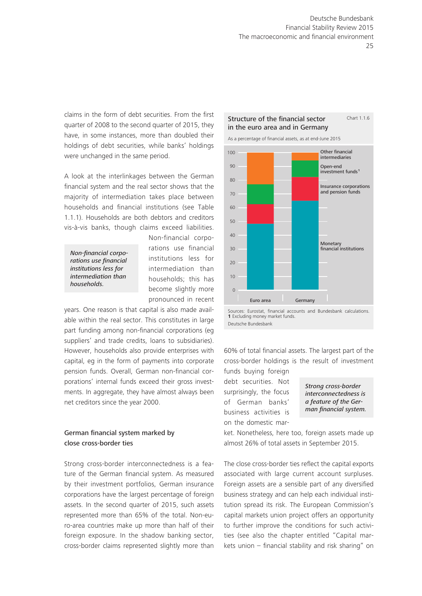claims in the form of debt securities. From the first quarter of 2008 to the second quarter of 2015, they have, in some instances, more than doubled their holdings of debt securities, while banks' holdings were unchanged in the same period.

A look at the interlinkages between the German financial system and the real sector shows that the majority of intermediation takes place between households and financial institutions (see Table 1.1.1). Households are both debtors and creditors vis-à-vis banks, though claims exceed liabilities.

*Non-financial corporations use financial institutions less for intermediation than households.*

Non-financial corporations use financial institutions less for intermediation than households; this has become slightly more pronounced in recent

years. One reason is that capital is also made available within the real sector. This constitutes in large part funding among non-financial corporations (eg suppliers' and trade credits, loans to subsidiaries). However, households also provide enterprises with capital, eg in the form of payments into corporate pension funds. Overall, German non-financial corporations' internal funds exceed their gross investments. In aggregate, they have almost always been net creditors since the year 2000.

## German financial system marked by close cross-border ties

Strong cross-border interconnectedness is a feature of the German financial system. As measured by their investment portfolios, German insurance corporations have the largest percentage of foreign assets. In the second quarter of 2015, such assets represented more than 65% of the total. Non-euro-area countries make up more than half of their foreign exposure. In the shadow banking sector, cross-border claims represented slightly more than

#### Structure of the financial sector in the euro area and in Germany Chart 1.1.6





Sources: Eurostat, financial accounts and Bundesbank calculations. **1** Excluding money market funds. Deutsche Bundesbank

60% of total financial assets. The largest part of the cross-border holdings is the result of investment

funds buying foreign debt securities. Not surprisingly, the focus of German banks' business activities is on the domestic mar-

*Strong cross-border interconnectedness is a feature of the German financial system.*

ket. Nonetheless, here too, foreign assets made up almost 26% of total assets in September 2015.

The close cross-border ties reflect the capital exports associated with large current account surpluses. Foreign assets are a sensible part of any diversified business strategy and can help each individual institution spread its risk. The European Commission's capital markets union project offers an opportunity to further improve the conditions for such activities (see also the chapter entitled "Capital markets union – financial stability and risk sharing" on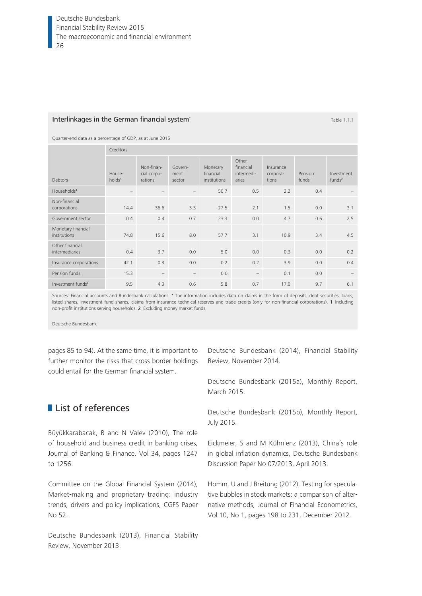### Interlinkages in the German financial system<sup>\*</sup> Table 1.1.1 and Table 1.1.1

Quarter-end data as a percentage of GDP, as at June 2015

|                                    | Creditors                    |                                      |                           |                                       |                                           |                                |                  |                                  |  |  |  |  |
|------------------------------------|------------------------------|--------------------------------------|---------------------------|---------------------------------------|-------------------------------------------|--------------------------------|------------------|----------------------------------|--|--|--|--|
| <b>Debtors</b>                     | House-<br>holds <sup>1</sup> | Non-finan-<br>cial corpo-<br>rations | Govern-<br>ment<br>sector | Monetary<br>financial<br>institutions | Other<br>financial<br>intermedi-<br>aries | Insurance<br>corpora-<br>tions | Pension<br>funds | Investment<br>funds <sup>2</sup> |  |  |  |  |
| Households <sup>1</sup>            |                              |                                      |                           | 50.7                                  | 0.5                                       | 2.2                            | 0.4              |                                  |  |  |  |  |
| Non-financial<br>corporations      | 14.4                         | 36.6                                 | 3.3                       | 27.5                                  | 2.1                                       | 1.5                            | 0.0              | 3.1                              |  |  |  |  |
| Government sector                  | 0.4                          | 0.4                                  | 0.7                       | 23.3                                  | 0.0                                       | 4.7                            | 0.6              | 2.5                              |  |  |  |  |
| Monetary financial<br>institutions | 74.8                         | 15.6                                 | 8.0                       | 57.7                                  | 3.1                                       | 10.9                           | 3.4              | 4.5                              |  |  |  |  |
| Other financial<br>intermediaries  | 0.4                          | 3.7                                  | 0.0                       | 5.0                                   | 0.0                                       | 0.3                            | 0.0              | 0.2                              |  |  |  |  |
| Insurance corporations             | 42.1                         | 0.3                                  | 0.0                       | 0.2                                   | 0.2                                       | 3.9                            | 0.0              | 0.4                              |  |  |  |  |
| Pension funds                      | 15.3                         |                                      |                           | 0.0                                   |                                           | 0.1                            | 0.0              |                                  |  |  |  |  |
| Investment funds <sup>2</sup>      | 9.5                          | 4.3                                  | 0.6                       | 5.8                                   | 0.7                                       | 17.0                           | 9.7              | 6.1                              |  |  |  |  |

Sources: Financial accounts and Bundesbank calculations. \* The information includes data on claims in the form of deposits, debt securities, loans, listed shares, investment fund shares, claims from insurance technical reserves and trade credits (only for non-financial corporations). 1 Including non-profit institutions serving households. 2 Excluding money market funds.

Deutsche Bundesbank

pages 85 to 94). At the same time, it is important to further monitor the risks that cross-border holdings could entail for the German financial system.

**List of references** 

Büyükkarabacak, B and N Valev (2010), The role of household and business credit in banking crises, Journal of Banking & Finance, Vol 34, pages 1247 to 1256.

Committee on the Global Financial System (2014), Market-making and proprietary trading: industry trends, drivers and policy implications, CGFS Paper No 52.

Deutsche Bundesbank (2013), Financial Stability Review, November 2013.

Deutsche Bundesbank (2014), Financial Stability Review, November 2014.

Deutsche Bundesbank (2015a), Monthly Report, March 2015.

Deutsche Bundesbank (2015b), Monthly Report, July 2015.

Eickmeier, S and M Kühnlenz (2013), China's role in global inflation dynamics, Deutsche Bundesbank Discussion Paper No 07/2013, April 2013.

Homm, U and J Breitung (2012), Testing for speculative bubbles in stock markets: a comparison of alternative methods, Journal of Financial Econometrics, Vol 10, No 1, pages 198 to 231, December 2012.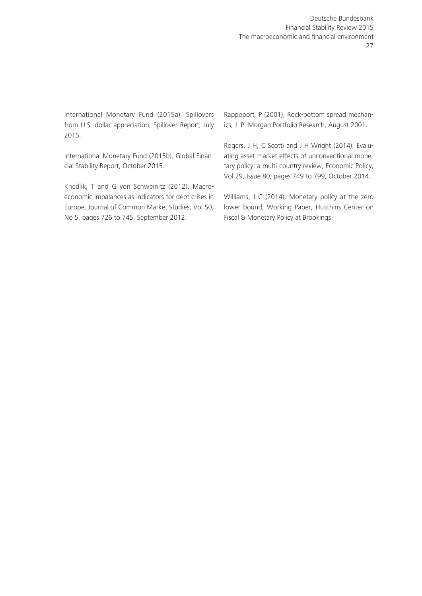International Monetary Fund (2015a), Spillovers from U.S. dollar appreciation, Spillover Report, July 2015.

International Monetary Fund (2015b), Global Financial Stability Report, October 2015.

Knedlik, T and G von Schweinitz (2012), Macroeconomic imbalances as indicators for debt crises in Europe, Journal of Common Market Studies, Vol 50, No 5, pages 726 to 745, September 2012.

Rappoport, P (2001), Rock-bottom spread mechanics, J. P. Morgan Portfolio Research, August 2001.

Rogers, J H, C Scotti and J H Wright (2014), Evaluating asset-market effects of unconventional monetary policy: a multi-country review, Economic Policy, Vol 29, Issue 80, pages 749 to 799, October 2014.

Williams, J C (2014), Monetary policy at the zero lower bound, Working Paper, Hutchins Center on Fiscal & Monetary Policy at Brookings.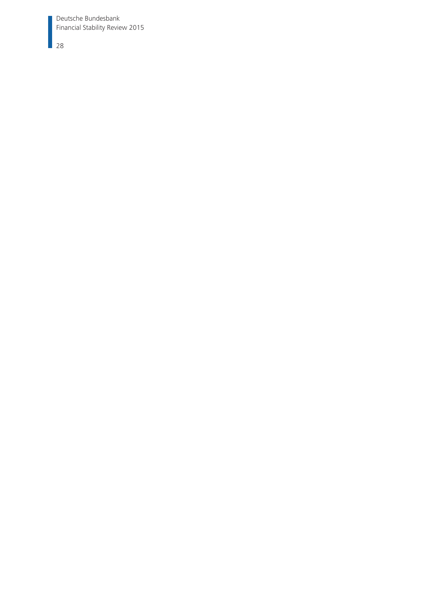Deutsche Bundesbank Financial Stability Review 2015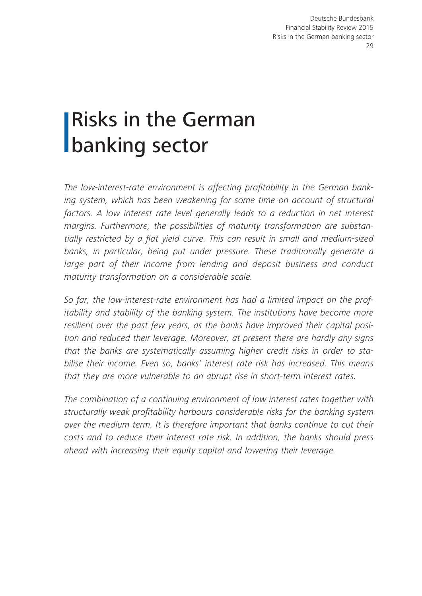## **Risks in the German** banking sector

*The low-interest-rate environment is affecting profitability in the German banking system, which has been weakening for some time on account of structural*  factors. A low interest rate level generally leads to a reduction in net interest *margins. Furthermore, the possibilities of maturity transformation are substantially restricted by a flat yield curve. This can result in small and medium-sized banks, in particular, being put under pressure. These traditionally generate a*  large part of their income from lending and deposit business and conduct *maturity transformation on a considerable scale.* 

*So far, the low-interest-rate environment has had a limited impact on the profitability and stability of the banking system. The institutions have become more resilient over the past few years, as the banks have improved their capital position and reduced their leverage. Moreover, at present there are hardly any signs that the banks are systematically assuming higher credit risks in order to stabilise their income. Even so, banks' interest rate risk has increased. This means that they are more vulnerable to an abrupt rise in short-term interest rates.* 

*The combination of a continuing environment of low interest rates together with structurally weak profitability harbours considerable risks for the banking system over the medium term. It is therefore important that banks continue to cut their costs and to reduce their interest rate risk. In addition, the banks should press ahead with increasing their equity capital and lowering their leverage.*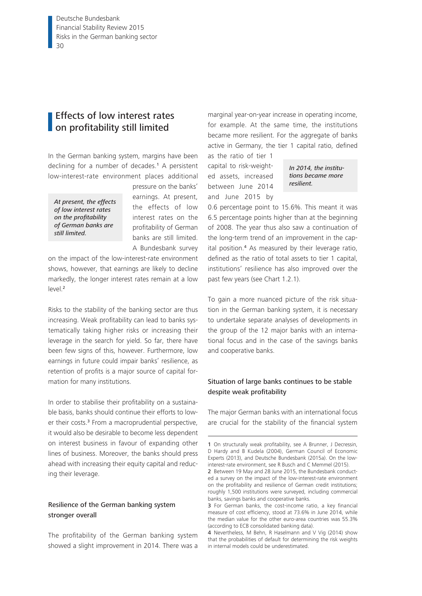## Effects of low interest rates on profitability still limited

In the German banking system, margins have been declining for a number of decades.<sup>1</sup> A persistent low-interest-rate environment places additional

*At present, the effects of low interest rates on the profitability of German banks are still limited.*

pressure on the banks' earnings. At present, the effects of low interest rates on the profitability of German banks are still limited. A Bundesbank survey

on the impact of the low-interest-rate environment shows, however, that earnings are likely to decline markedly, the longer interest rates remain at a low level.<sup>2</sup>

Risks to the stability of the banking sector are thus increasing. Weak profitability can lead to banks systematically taking higher risks or increasing their leverage in the search for yield. So far, there have been few signs of this, however. Furthermore, low earnings in future could impair banks' resilience, as retention of profits is a major source of capital formation for many institutions.

In order to stabilise their profitability on a sustainable basis, banks should continue their efforts to lower their costs.<sup>3</sup> From a macroprudential perspective, it would also be desirable to become less dependent on interest business in favour of expanding other lines of business. Moreover, the banks should press ahead with increasing their equity capital and reducing their leverage.

## Resilience of the German banking system stronger overall

The profitability of the German banking system showed a slight improvement in 2014. There was a

marginal year-on-year increase in operating income, for example. At the same time, the institutions became more resilient. For the aggregate of banks active in Germany, the tier 1 capital ratio, defined

as the ratio of tier 1 capital to risk-weighted assets, increased between June 2014 and June 2015 by

*In 2014, the institutions became more resilient.*

0.6 percentage point to 15.6%. This meant it was 6.5 percentage points higher than at the beginning of 2008. The year thus also saw a continuation of the long-term trend of an improvement in the capital position.<sup>4</sup> As measured by their leverage ratio, defined as the ratio of total assets to tier 1 capital, institutions' resilience has also improved over the past few years (see Chart 1.2.1).

To gain a more nuanced picture of the risk situation in the German banking system, it is necessary to undertake separate analyses of developments in the group of the 12 major banks with an international focus and in the case of the savings banks and cooperative banks.

## Situation of large banks continues to be stable despite weak profitability

The major German banks with an international focus are crucial for the stability of the financial system

<sup>1</sup> On structurally weak profitability, see A Brunner, J Decressin, D Hardy and B Kudela (2004), German Council of Economic Experts (2013), and Deutsche Bundesbank (2015a). On the lowinterest-rate environment, see R Busch and C Memmel (2015).

<sup>2</sup> Between 19 May and 28 June 2015, the Bundesbank conducted a survey on the impact of the low-interest-rate environment on the profitability and resilience of German credit institutions; roughly 1,500 institutions were surveyed, including commercial banks, savings banks and cooperative banks.

<sup>3</sup> For German banks, the cost-income ratio, a key financial measure of cost efficiency, stood at 73.6% in June 2014, while the median value for the other euro-area countries was 55.3% (according to ECB consolidated banking data).

<sup>4</sup> Nevertheless, M Behn, R Haselmann and V Vig (2014) show that the probabilities of default for determining the risk weights in internal models could be underestimated.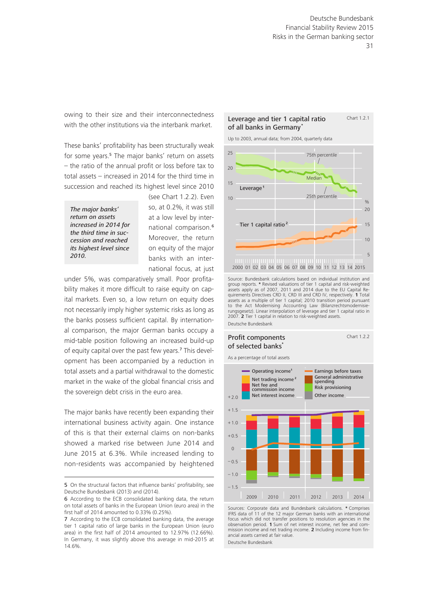owing to their size and their interconnectedness with the other institutions via the interbank market.

These banks' profitability has been structurally weak for some years.<sup>5</sup> The major banks' return on assets – the ratio of the annual profit or loss before tax to total assets – increased in 2014 for the third time in succession and reached its highest level since 2010

*The major banks' return on assets increased in 2014 for the third time in succession and reached its highest level since 2010.*

(see Chart 1.2.2). Even so, at 0.2%, it was still at a low level by international comparison.<sup>6</sup> Moreover, the return on equity of the major banks with an international focus, at just

under 5%, was comparatively small. Poor profitability makes it more difficult to raise equity on capital markets. Even so, a low return on equity does not necessarily imply higher systemic risks as long as the banks possess sufficient capital. By international comparison, the major German banks occupy a mid-table position following an increased build-up of equity capital over the past few years.<sup>7</sup> This development has been accompanied by a reduction in total assets and a partial withdrawal to the domestic market in the wake of the global financial crisis and the sovereign debt crisis in the euro area.

The major banks have recently been expanding their international business activity again. One instance of this is that their external claims on non-banks showed a marked rise between June 2014 and June 2015 at 6.3%. While increased lending to non-residents was accompanied by heightened

#### Leverage and tier 1 capital ratio of all banks in Germany **\*** Chart 1.2.1

Up to 2003, annual data; from 2004, quarterly data

 $\frac{0}{c}$ 10 15  $20$ 25 Leverage**<sup>1</sup>** 5  $1<sub>0</sub>$ 15  $20$ 2000 01 02 03 04 05 06 07 08 09 10 11 12 13 14 2015 Tier 1 capital ratio**<sup>2</sup>** 75th percentile 25th percentile Median

Source: Bundesbank calculations based on individual institution and group reports. **\*** Revised valuations of tier 1 capital and risk-weighted assets apply as of 2007, 2011 and 2014 due to the EU Capital Requirements Directives CRD II, CRD III and CRD IV, respectively. **1** Total assets as a multiple of tier 1 capital; 2010 transition period pursuant to the Act Modernising Accounting Law (Bilanzrechtsmodernisierungsgesetz). Linear interpolation of leverage and tier 1 capital ratio in 2007. **2** Tier 1 capital in relation to risk-weighted assets. Deutsche Bundesbank

Chart 1.2.2

### Profit components of selected banks**\***

As a percentage of total assets



Sources: Corporate data and Bundesbank calculations. **\*** Comprises IFRS data of 11 of the 12 major German banks with an international focus which did not transfer positions to resolution agencies in the observation period. **1** Sum of net interest income, net fee and commission income and net trading income. **2** Including income from financial assets carried at fair value. Deutsche Bundesbank

<sup>5</sup> On the structural factors that influence banks' profitability, see Deutsche Bundesbank (2013) and (2014).

<sup>6</sup> According to the ECB consolidated banking data, the return on total assets of banks in the European Union (euro area) in the first half of 2014 amounted to 0.33% (0.25%).

<sup>7</sup> According to the ECB consolidated banking data, the average tier 1 capital ratio of large banks in the European Union (euro area) in the first half of 2014 amounted to 12.97% (12.66%). In Germany, it was slightly above this average in mid-2015 at 14.6%.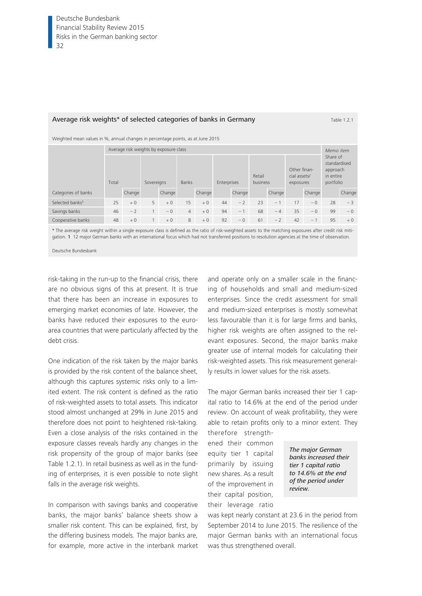#### Average risk weights\* of selected categories of banks in Germany Table 1.2.1

Weighted mean values in %, annual changes in percentage points, as at June 2015

|                             | Average risk weights by exposure class |        |            |        |                |        |             |        |                    |        |                                           | Memo item                |                                                                |        |
|-----------------------------|----------------------------------------|--------|------------|--------|----------------|--------|-------------|--------|--------------------|--------|-------------------------------------------|--------------------------|----------------------------------------------------------------|--------|
|                             | Total                                  |        | Sovereigns |        | <b>Banks</b>   |        | Enterprises |        | Retail<br>business |        | Other finan-<br>cial assets/<br>exposures |                          | Share of<br>standardised<br>approach<br>in entire<br>portfolio |        |
| Categories of banks         |                                        | Change |            | Change |                | Change |             | Change |                    | Change |                                           | Change                   |                                                                | Change |
| Selected banks <sup>1</sup> | 25                                     | $+0$   | 5          | $+0$   | 15             | $+0$   | 44          | $-2$   | 23                 | $-1$   | 17                                        | $-0$                     | 28                                                             | $-3$   |
| Savings banks               | 46                                     | $-2$   |            | $-0$   | $\overline{4}$ | $+0$   | 94          | $-1$   | 68                 | $-4$   | 35                                        | $-0$                     | 99                                                             | $-0$   |
| Cooperative banks           | 48                                     | $+0$   |            | $+0$   | 8              | $+0$   | 92          | $-0$   | 61                 | $-2$   | 42                                        | $\overline{\phantom{0}}$ | 95                                                             | $+0$   |

\* The average risk weight within a single exposure class is defined as the ratio of risk-weighted assets to the matching exposures after credit risk mitigation. 1 12 major German banks with an international focus which had not transferred positions to resolution agencies at the time of observation.

Deutsche Bundesbank

risk-taking in the run-up to the financial crisis, there are no obvious signs of this at present. It is true that there has been an increase in exposures to emerging market economies of late. However, the banks have reduced their exposures to the euroarea countries that were particularly affected by the debt crisis.

One indication of the risk taken by the major banks is provided by the risk content of the balance sheet, although this captures systemic risks only to a limited extent. The risk content is defined as the ratio of risk-weighted assets to total assets. This indicator stood almost unchanged at 29% in June 2015 and therefore does not point to heightened risk-taking. Even a close analysis of the risks contained in the exposure classes reveals hardly any changes in the risk propensity of the group of major banks (see Table 1.2.1). In retail business as well as in the funding of enterprises, it is even possible to note slight falls in the average risk weights.

In comparison with savings banks and cooperative banks, the major banks' balance sheets show a smaller risk content. This can be explained, first, by the differing business models. The major banks are, for example, more active in the interbank market and operate only on a smaller scale in the financing of households and small and medium-sized enterprises. Since the credit assessment for small and medium-sized enterprises is mostly somewhat less favourable than it is for large firms and banks, higher risk weights are often assigned to the relevant exposures. Second, the major banks make greater use of internal models for calculating their risk-weighted assets. This risk measurement generally results in lower values for the risk assets.

The major German banks increased their tier 1 capital ratio to 14.6% at the end of the period under review. On account of weak profitability, they were able to retain profits only to a minor extent. They therefore strength-

ened their common equity tier 1 capital primarily by issuing new shares. As a result of the improvement in their capital position, their leverage ratio

*The major German banks increased their tier 1 capital ratio to 14.6% at the end of the period under review.*

was kept nearly constant at 23.6 in the period from September 2014 to June 2015. The resilience of the major German banks with an international focus was thus strengthened overall.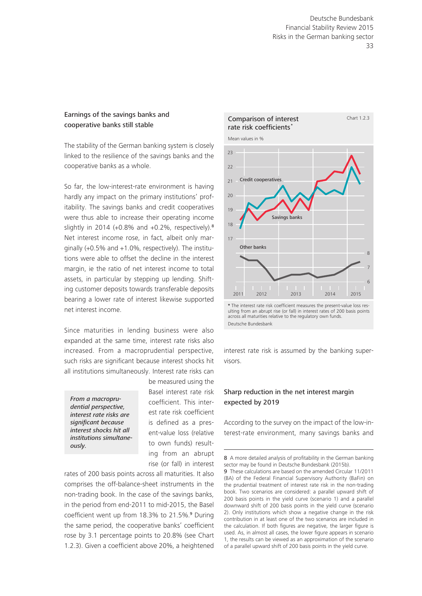## Earnings of the savings banks and cooperative banks still stable

The stability of the German banking system is closely linked to the resilience of the savings banks and the cooperative banks as a whole.

So far, the low-interest-rate environment is having hardly any impact on the primary institutions' profitability. The savings banks and credit cooperatives were thus able to increase their operating income slightly in 2014 (+0.8% and +0.2%, respectively). $8$ Net interest income rose, in fact, albeit only marginally (+0.5% and +1.0%, respectively). The institutions were able to offset the decline in the interest margin, ie the ratio of net interest income to total assets, in particular by stepping up lending. Shifting customer deposits towards transferable deposits bearing a lower rate of interest likewise supported net interest income.

Since maturities in lending business were also expanded at the same time, interest rate risks also increased. From a macroprudential perspective, such risks are significant because interest shocks hit all institutions simultaneously. Interest rate risks can

*From a macroprudential perspective, interest rate risks are significant because interest shocks hit all institutions simultaneously.*

be measured using the Basel interest rate risk coefficient. This interest rate risk coefficient is defined as a present-value loss (relative to own funds) resulting from an abrupt rise (or fall) in interest

rates of 200 basis points across all maturities. It also comprises the off-balance-sheet instruments in the non-trading book. In the case of the savings banks, in the period from end-2011 to mid-2015, the Basel coefficient went up from 18.3% to 21.5%.<sup>9</sup> During the same period, the cooperative banks' coefficient rose by 3.1 percentage points to 20.8% (see Chart 1.2.3). Given a coefficient above 20%, a heightened



**\*** The interest rate risk coefficient measures the present-value loss resulting from an abrupt rise (or fall) in interest rates of 200 basis points across all maturities relative to the regulatory own funds. Deutsche Bundesbank

interest rate risk is assumed by the banking supervisors.

## Sharp reduction in the net interest margin expected by 2019

According to the survey on the impact of the low-interest-rate environment, many savings banks and

<sup>8</sup> A more detailed analysis of profitability in the German banking sector may be found in Deutsche Bundesbank (2015b).

<sup>9</sup> These calculations are based on the amended Circular 11/2011 (BA) of the Federal Financial Supervisory Authority (BaFin) on the prudential treatment of interest rate risk in the non-trading book. Two scenarios are considered: a parallel upward shift of 200 basis points in the yield curve (scenario 1) and a parallel downward shift of 200 basis points in the yield curve (scenario 2). Only institutions which show a negative change in the risk contribution in at least one of the two scenarios are included in the calculation. If both figures are negative, the larger figure is used. As, in almost all cases, the lower figure appears in scenario 1, the results can be viewed as an approximation of the scenario of a parallel upward shift of 200 basis points in the yield curve.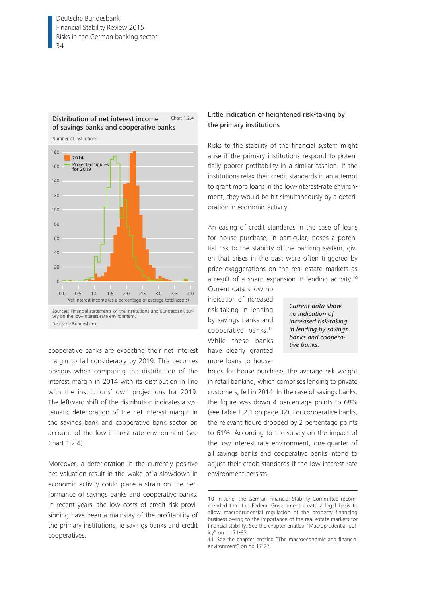#### Distribution of net interest income of savings banks and cooperative banks Chart 1.2.4

Number of institutions



Sources: Financial statements of the institutions and Bundesbank survey on the low-interest-rate environment. Deutsche Bundesbank

cooperative banks are expecting their net interest margin to fall considerably by 2019. This becomes obvious when comparing the distribution of the interest margin in 2014 with its distribution in line with the institutions' own projections for 2019. The leftward shift of the distribution indicates a systematic deterioration of the net interest margin in the savings bank and cooperative bank sector on account of the low-interest-rate environment (see Chart 1.2.4).

Moreover, a deterioration in the currently positive net valuation result in the wake of a slowdown in economic activity could place a strain on the performance of savings banks and cooperative banks. In recent years, the low costs of credit risk provisioning have been a mainstay of the profitability of the primary institutions, ie savings banks and credit cooperatives.

## Little indication of heightened risk-taking by the primary institutions

Risks to the stability of the financial system might arise if the primary institutions respond to potentially poorer profitability in a similar fashion. If the institutions relax their credit standards in an attempt to grant more loans in the low-interest-rate environment, they would be hit simultaneously by a deterioration in economic activity.

An easing of credit standards in the case of loans for house purchase, in particular, poses a potential risk to the stability of the banking system, given that crises in the past were often triggered by price exaggerations on the real estate markets as a result of a sharp expansion in lending activity.<sup>10</sup>

indication of increased risk-taking in lending by savings banks and cooperative banks.<sup>11</sup> While these banks have clearly granted more loans to house-

Current data show no

*Current data show no indication of increased risk-taking in lending by savings banks and cooperative banks.*

holds for house purchase, the average risk weight in retail banking, which comprises lending to private customers, fell in 2014. In the case of savings banks, the figure was down 4 percentage points to 68% (see Table 1.2.1 on page 32). For cooperative banks, the relevant figure dropped by 2 percentage points to 61%. According to the survey on the impact of the low-interest-rate environment, one-quarter of all savings banks and cooperative banks intend to adjust their credit standards if the low-interest-rate environment persists.

<sup>10</sup> In June, the German Financial Stability Committee recommended that the Federal Government create a legal basis to allow macroprudential regulation of the property financing business owing to the importance of the real estate markets for financial stability. See the chapter entitled "Macroprudential policy" on pp 71-83.

<sup>11</sup> See the chapter entitled "The macroeconomic and financial environment" on pp 17-27.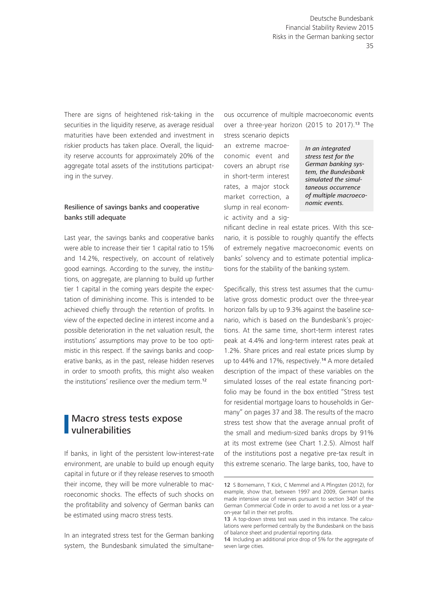There are signs of heightened risk-taking in the securities in the liquidity reserve, as average residual maturities have been extended and investment in riskier products has taken place. Overall, the liquidity reserve accounts for approximately 20% of the aggregate total assets of the institutions participating in the survey.

## Resilience of savings banks and cooperative banks still adequate

Last year, the savings banks and cooperative banks were able to increase their tier 1 capital ratio to 15% and 14.2%, respectively, on account of relatively good earnings. According to the survey, the institutions, on aggregate, are planning to build up further tier 1 capital in the coming years despite the expectation of diminishing income. This is intended to be achieved chiefly through the retention of profits. In view of the expected decline in interest income and a possible deterioration in the net valuation result, the institutions' assumptions may prove to be too optimistic in this respect. If the savings banks and cooperative banks, as in the past, release hidden reserves in order to smooth profits, this might also weaken the institutions' resilience over the medium term.<sup>12</sup>

## Macro stress tests expose vulnerabilities

If banks, in light of the persistent low-interest-rate environment, are unable to build up enough equity capital in future or if they release reserves to smooth their income, they will be more vulnerable to macroeconomic shocks. The effects of such shocks on the profitability and solvency of German banks can be estimated using macro stress tests.

In an integrated stress test for the German banking system, the Bundesbank simulated the simultaneous occurrence of multiple macroeconomic events over a three-year horizon (2015 to 2017).<sup>13</sup> The

stress scenario depicts an extreme macroeconomic event and covers an abrupt rise in short-term interest rates, a major stock market correction, a slump in real economic activity and a sig-

*In an integrated stress test for the German banking system, the Bundesbank simulated the simultaneous occurrence of multiple macroeconomic events.*

nificant decline in real estate prices. With this scenario, it is possible to roughly quantify the effects of extremely negative macroeconomic events on banks' solvency and to estimate potential implications for the stability of the banking system.

Specifically, this stress test assumes that the cumulative gross domestic product over the three-year horizon falls by up to 9.3% against the baseline scenario, which is based on the Bundesbank's projections. At the same time, short-term interest rates peak at 4.4% and long-term interest rates peak at 1.2%. Share prices and real estate prices slump by up to 44% and 17%, respectively.<sup>14</sup> A more detailed description of the impact of these variables on the simulated losses of the real estate financing portfolio may be found in the box entitled "Stress test for residential mortgage loans to households in Germany" on pages 37 and 38. The results of the macro stress test show that the average annual profit of the small and medium-sized banks drops by 91% at its most extreme (see Chart 1.2.5). Almost half of the institutions post a negative pre-tax result in this extreme scenario. The large banks, too, have to

<sup>12</sup> S Bornemann, T Kick, C Memmel and A Pfingsten (2012), for example, show that, between 1997 and 2009, German banks made intensive use of reserves pursuant to section 340f of the German Commercial Code in order to avoid a net loss or a yearon-year fall in their net profits.

<sup>13</sup> A top-down stress test was used in this instance. The calculations were performed centrally by the Bundesbank on the basis of balance sheet and prudential reporting data.

<sup>14</sup> Including an additional price drop of 5% for the aggregate of seven large cities.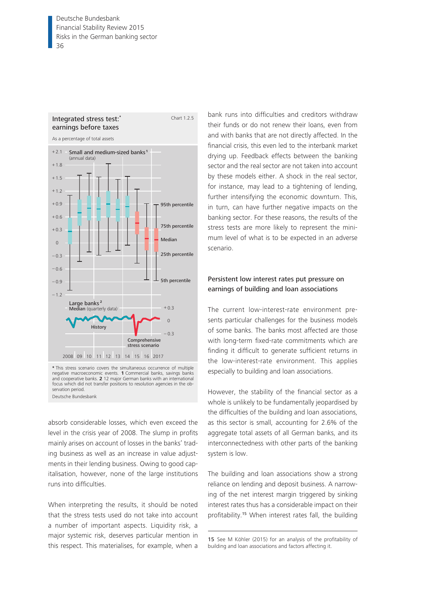### Integrated stress test: earnings before taxes **\*** This stress scenario covers the simultaneous occurrence of multiple 2008 09 10 11 12 13 14 15 16 2017  $-1.2$  $-0.9$  $-0.6$  $-0.3$  $\Omega$  $+0.3$  $+0.6$  $+0.9$  $+1.2$  $+1.5$  $+1.8$  $+2.1$ As a percentage of total assets 5th percentile 25th percentile Median 75th percentile 95th percentile Small and medium-sized banks**<sup>1</sup>** (annual data) Large banks<sup>2</sup> Median (quarterly data)  $-0.3$  $\Omega$  $+ 0.3$ History Comprehensive stress scenario

Chart 1.2.5

negative macroeconomic events. **1** Commercial banks, savings banks and cooperative banks. **2** 12 major German banks with an international focus which did not transfer positions to resolution agencies in the observation period Deutsche Bundesbank

absorb considerable losses, which even exceed the level in the crisis year of 2008. The slump in profits mainly arises on account of losses in the banks' trading business as well as an increase in value adjustments in their lending business. Owing to good capitalisation, however, none of the large institutions runs into difficulties.

When interpreting the results, it should be noted that the stress tests used do not take into account a number of important aspects. Liquidity risk, a major systemic risk, deserves particular mention in this respect. This materialises, for example, when a

bank runs into difficulties and creditors withdraw their funds or do not renew their loans, even from and with banks that are not directly affected. In the financial crisis, this even led to the interbank market drying up. Feedback effects between the banking sector and the real sector are not taken into account by these models either. A shock in the real sector, for instance, may lead to a tightening of lending, further intensifying the economic downturn. This, in turn, can have further negative impacts on the banking sector. For these reasons, the results of the stress tests are more likely to represent the minimum level of what is to be expected in an adverse scenario.

## Persistent low interest rates put pressure on earnings of building and loan associations

The current low-interest-rate environment presents particular challenges for the business models of some banks. The banks most affected are those with long-term fixed-rate commitments which are finding it difficult to generate sufficient returns in the low-interest-rate environment. This applies especially to building and loan associations.

However, the stability of the financial sector as a whole is unlikely to be fundamentally jeopardised by the difficulties of the building and loan associations, as this sector is small, accounting for 2.6% of the aggregate total assets of all German banks, and its interconnectedness with other parts of the banking system is low.

The building and loan associations show a strong reliance on lending and deposit business. A narrowing of the net interest margin triggered by sinking interest rates thus has a considerable impact on their profitability.<sup>15</sup> When interest rates fall, the building

<sup>15</sup> See M Köhler (2015) for an analysis of the profitability of building and loan associations and factors affecting it.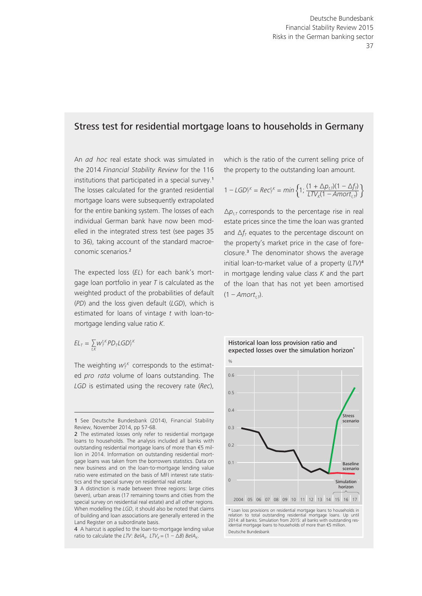## Stress test for residential mortgage loans to households in Germany

An *ad hoc* real estate shock was simulated in the 2014 *Financial Stability Review* for the 116 institutions that participated in a special survey.<sup>1</sup> The losses calculated for the granted residential mortgage loans were subsequently extrapolated for the entire banking system. The losses of each individual German bank have now been modelled in the integrated stress test (see pages 35 to 36), taking account of the standard macroeconomic scenarios.<sup>2</sup>

The expected loss (*EL*) for each bank's mortgage loan portfolio in year *T* is calculated as the weighted product of the probabilities of default (*PD*) and the loss given default (*LGD*), which is estimated for loans of vintage *t* with loan-tomortgage lending value ratio *K*.

$$
EL_{T} = \sum_{t,K} W_{T}^{t,K} PD_{T}LGD_{T}^{t,K}
$$

The weighting  $w_\tau^{t{\mathcal K}}$  corresponds to the estimated *pro rata* volume of loans outstanding. The *LGD* is estimated using the recovery rate (*Rec*),

3 A distinction is made between three regions: large cities (seven), urban areas (17 remaining towns and cities from the special survey on residential real estate) and all other regions. When modelling the *LGD*, it should also be noted that claims of building and loan associations are generally entered in the Land Register on a subordinate basis.

4 A haircut is applied to the loan-to-mortgage lending value ratio to calculate the *LTV*:  $BelA_{K}$ .  $LTV_{K} = (1 - \Delta B) BelA_{K}$ .

which is the ratio of the current selling price of the property to the outstanding loan amount.

$$
1 - LGD_7^{tK} = Rec_7^{tK} = min\left\{1; \frac{(1 + \Delta p_{t.7})(1 - \Delta f_7)}{LTV_K(1 - Amort_{t.7})}\right\}
$$

 $\Delta p_{tT}$  corresponds to the percentage rise in real estate prices since the time the loan was granted and ∆*f<sub>T</sub>* equates to the percentage discount on the property's market price in the case of foreclosure.<sup>3</sup> The denominator shows the average initial loan-to-market value of a property (*LTV*) 4 in mortgage lending value class *K* and the part of the loan that has not yet been amortised  $(1 - Amort_{\tau})$ .





<sup>1</sup> See Deutsche Bundesbank (2014), Financial Stability Review, November 2014, pp 57-68.

<sup>2</sup> The estimated losses only refer to residential mortgage loans to households. The analysis included all banks with outstanding residential mortgage loans of more than €5 million in 2014. Information on outstanding residential mortgage loans was taken from the borrowers statistics. Data on new business and on the loan-to-mortgage lending value ratio were estimated on the basis of MFI interest rate statistics and the special survey on residential real estate.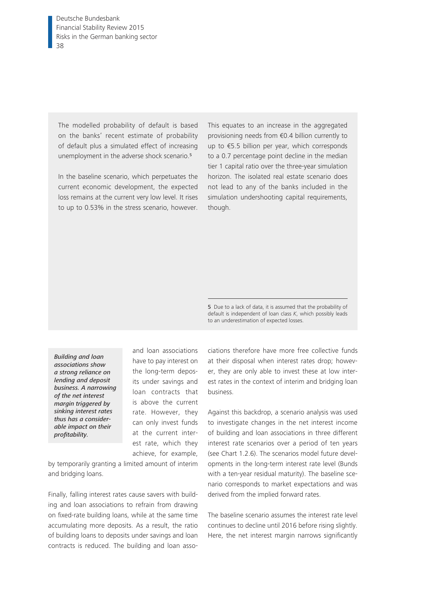The modelled probability of default is based on the banks' recent estimate of probability of default plus a simulated effect of increasing unemployment in the adverse shock scenario.<sup>5</sup>

In the baseline scenario, which perpetuates the current economic development, the expected loss remains at the current very low level. It rises to up to 0.53% in the stress scenario, however. This equates to an increase in the aggregated provisioning needs from €0.4 billion currently to up to €5.5 billion per year, which corresponds to a 0.7 percentage point decline in the median tier 1 capital ratio over the three-year simulation horizon. The isolated real estate scenario does not lead to any of the banks included in the simulation undershooting capital requirements, though.

5 Due to a lack of data, it is assumed that the probability of default is independent of loan class *K*, which possibly leads to an underestimation of expected losses.

*Building and loan associations show a strong reliance on lending and deposit business. A narrowing of the net interest margin triggered by sinking interest rates thus has a considerable impact on their profitability.*

and loan associations have to pay interest on the long-term deposits under savings and loan contracts that is above the current rate. However, they can only invest funds at the current interest rate, which they achieve, for example,

by temporarily granting a limited amount of interim and bridging loans.

Finally, falling interest rates cause savers with building and loan associations to refrain from drawing on fixed-rate building loans, while at the same time accumulating more deposits. As a result, the ratio of building loans to deposits under savings and loan contracts is reduced. The building and loan associations therefore have more free collective funds at their disposal when interest rates drop; however, they are only able to invest these at low interest rates in the context of interim and bridging loan business.

Against this backdrop, a scenario analysis was used to investigate changes in the net interest income of building and loan associations in three different interest rate scenarios over a period of ten years (see Chart 1.2.6). The scenarios model future developments in the long-term interest rate level (Bunds with a ten-year residual maturity). The baseline scenario corresponds to market expectations and was derived from the implied forward rates.

The baseline scenario assumes the interest rate level continues to decline until 2016 before rising slightly. Here, the net interest margin narrows significantly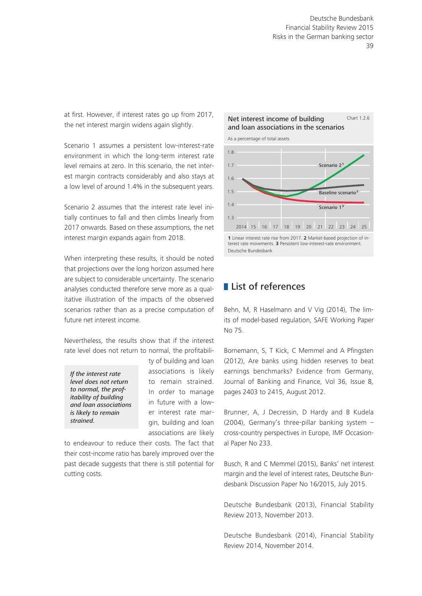at first. However, if interest rates go up from 2017, the net interest margin widens again slightly.

Scenario 1 assumes a persistent low-interest-rate environment in which the long-term interest rate level remains at zero. In this scenario, the net interest margin contracts considerably and also stays at a low level of around 1.4% in the subsequent years.

Scenario 2 assumes that the interest rate level initially continues to fall and then climbs linearly from 2017 onwards. Based on these assumptions, the net interest margin expands again from 2018.

When interpreting these results, it should be noted that projections over the long horizon assumed here are subject to considerable uncertainty. The scenario analyses conducted therefore serve more as a qualitative illustration of the impacts of the observed scenarios rather than as a precise computation of future net interest income.

Nevertheless, the results show that if the interest rate level does not return to normal, the profitabili-

*If the interest rate level does not return to normal, the profitability of building and loan associations is likely to remain strained.*

ty of building and loan associations is likely to remain strained. In order to manage in future with a lower interest rate margin, building and loan associations are likely

to endeavour to reduce their costs. The fact that their cost-income ratio has barely improved over the past decade suggests that there is still potential for cutting costs.

#### Net interest income of building and loan associations in the scenarios Chart 1.2.6



**<sup>1</sup>** Linear interest rate rise from 2017. **2** Market-based projection of interest rate movements. **3** Persistent low-interest-rate environment. Deutsche Bundesbank

# **List of references**

Behn, M, R Haselmann and V Vig (2014), The limits of model-based regulation, SAFE Working Paper No 75.

Bornemann, S, T Kick, C Memmel and A Pfingsten (2012), Are banks using hidden reserves to beat earnings benchmarks? Evidence from Germany, Journal of Banking and Finance, Vol 36, Issue 8, pages 2403 to 2415, August 2012.

Brunner, A, J Decressin, D Hardy and B Kudela (2004), Germany's three-pillar banking system – cross-country perspectives in Europe, IMF Occasional Paper No 233.

Busch, R and C Memmel (2015), Banks' net interest margin and the level of interest rates, Deutsche Bundesbank Discussion Paper No 16/2015, July 2015.

Deutsche Bundesbank (2013), Financial Stability Review 2013, November 2013.

Deutsche Bundesbank (2014), Financial Stability Review 2014, November 2014.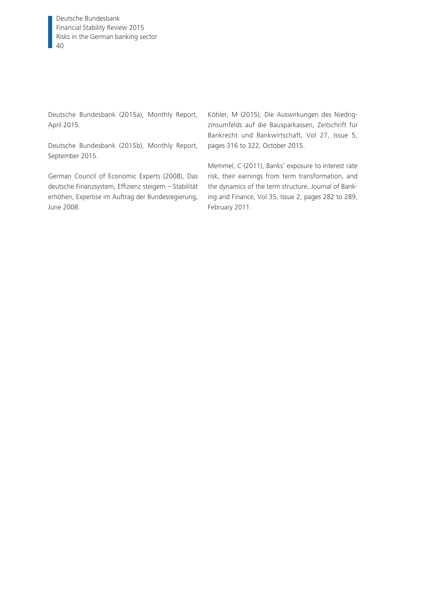Deutsche Bundesbank (2015a), Monthly Report, April 2015.

Deutsche Bundesbank (2015b), Monthly Report, September 2015.

German Council of Economic Experts (2008), Das deutsche Finanzsystem, Effizienz steigern – Stabilität erhöhen, Expertise im Auftrag der Bundesregierung, June 2008.

Köhler, M (2015), Die Auswirkungen des Niedrigzinsumfelds auf die Bausparkassen, Zeitschrift für Bankrecht und Bankwirtschaft, Vol 27, Issue 5, pages 316 to 322, October 2015.

Memmel, C (2011), Banks' exposure to interest rate risk, their earnings from term transformation, and the dynamics of the term structure, Journal of Banking and Finance, Vol 35, Issue 2, pages 282 to 289, February 2011.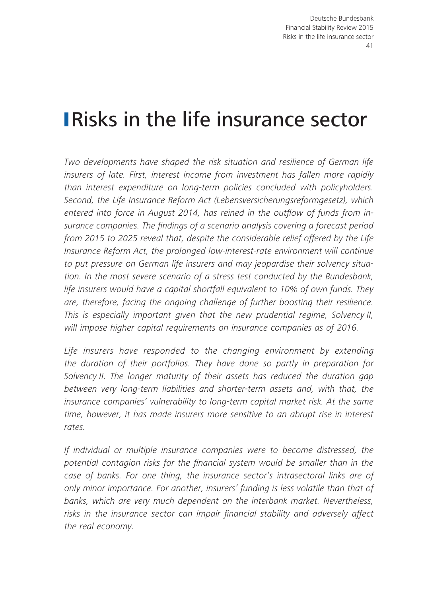# Risks in the life insurance sector

*Two developments have shaped the risk situation and resilience of German life insurers of late. First, interest income from investment has fallen more rapidly than interest expenditure on long-term policies concluded with policyholders. Second, the Life Insurance Reform Act (Lebensversicherungsreformgesetz), which entered into force in August 2014, has reined in the outflow of funds from insurance companies. The findings of a scenario analysis covering a forecast period from 2015 to 2025 reveal that, despite the considerable relief offered by the Life Insurance Reform Act, the prolonged low-interest-rate environment will continue to put pressure on German life insurers and may jeopardise their solvency situation. In the most severe scenario of a stress test conducted by the Bundesbank, life insurers would have a capital shortfall equivalent to 10% of own funds. They are, therefore, facing the ongoing challenge of further boosting their resilience. This is especially important given that the new prudential regime, Solvency II, will impose higher capital requirements on insurance companies as of 2016.*

Life insurers have responded to the changing environment by extending *the duration of their portfolios. They have done so partly in preparation for Solvency II. The longer maturity of their assets has reduced the duration gap between very long-term liabilities and shorter-term assets and, with that, the insurance companies' vulnerability to long-term capital market risk. At the same time, however, it has made insurers more sensitive to an abrupt rise in interest rates.* 

*If individual or multiple insurance companies were to become distressed, the potential contagion risks for the financial system would be smaller than in the case of banks. For one thing, the insurance sector's intrasectoral links are of only minor importance. For another, insurers' funding is less volatile than that of banks, which are very much dependent on the interbank market. Nevertheless, risks in the insurance sector can impair financial stability and adversely affect the real economy.*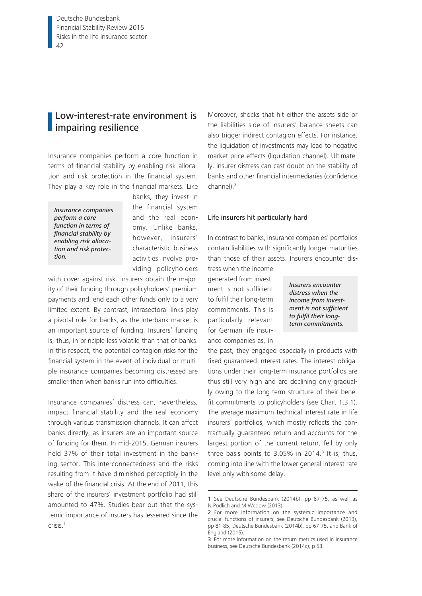# Low-interest-rate environment is **I** impairing resilience

Insurance companies perform a core function in terms of financial stability by enabling risk allocation and risk protection in the financial system. They play a key role in the financial markets. Like

*Insurance companies perform a core function in terms of financial stability by enabling risk allocation and risk protection.*

banks, they invest in the financial system and the real economy. Unlike banks, however, insurers' characteristic business activities involve providing policyholders

with cover against risk. Insurers obtain the majority of their funding through policyholders' premium payments and lend each other funds only to a very limited extent. By contrast, intrasectoral links play a pivotal role for banks, as the interbank market is an important source of funding. Insurers' funding is, thus, in principle less volatile than that of banks. In this respect, the potential contagion risks for the financial system in the event of individual or multiple insurance companies becoming distressed are smaller than when banks run into difficulties.

Insurance companies' distress can, nevertheless, impact financial stability and the real economy through various transmission channels. It can affect banks directly, as insurers are an important source of funding for them. In mid-2015, German insurers held 37% of their total investment in the banking sector. This interconnectedness and the risks resulting from it have diminished perceptibly in the wake of the financial crisis. At the end of 2011, this share of the insurers' investment portfolio had still amounted to 47%. Studies bear out that the systemic importance of insurers has lessened since the crisis.<sup>1</sup>

Moreover, shocks that hit either the assets side or the liabilities side of insurers' balance sheets can also trigger indirect contagion effects. For instance, the liquidation of investments may lead to negative market price effects (liquidation channel). Ultimately, insurer distress can cast doubt on the stability of banks and other financial intermediaries (confidence channel).<sup>2</sup>

## Life insurers hit particularly hard

In contrast to banks, insurance companies' portfolios contain liabilities with significantly longer maturities than those of their assets. Insurers encounter dis-

generated from investment is not sufficient to fulfil their long-term commitments. This is particularly relevant for German life insurance companies as, in

tress when the income

*Insurers encounter distress when the income from investment is not sufficient to fulfil their longterm commitments.*

the past, they engaged especially in products with fixed guaranteed interest rates. The interest obligations under their long-term insurance portfolios are thus still very high and are declining only gradually owing to the long-term structure of their benefit commitments to policyholders (see Chart 1.3.1). The average maximum technical interest rate in life insurers' portfolios, which mostly reflects the contractually guaranteed return and accounts for the largest portion of the current return, fell by only three basis points to  $3.05\%$  in 2014.<sup>3</sup> It is, thus, coming into line with the lower general interest rate level only with some delay.

<sup>1</sup> See Deutsche Bundesbank (2014b), pp 67-75, as well as N Podlich and M Wedow (2013).

<sup>2</sup> For more information on the systemic importance and crucial functions of insurers, see Deutsche Bundesbank (2013), pp 81-85, Deutsche Bundesbank (2014b), pp 67-75, and Bank of England (2015).

<sup>3</sup> For more information on the return metrics used in insurance business, see Deutsche Bundesbank (2014c), p 53.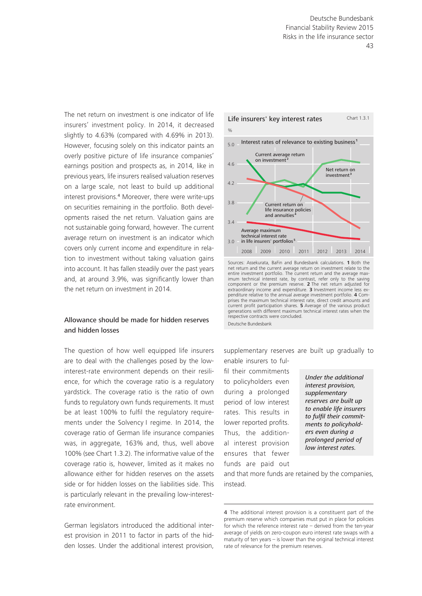Chart 1.3.1

The net return on investment is one indicator of life insurers' investment policy. In 2014, it decreased slightly to 4.63% (compared with 4.69% in 2013). However, focusing solely on this indicator paints an overly positive picture of life insurance companies' earnings position and prospects as, in 2014, like in previous years, life insurers realised valuation reserves on a large scale, not least to build up additional interest provisions.<sup>4</sup> Moreover, there were write-ups on securities remaining in the portfolio. Both developments raised the net return. Valuation gains are not sustainable going forward, however. The current average return on investment is an indicator which covers only current income and expenditure in relation to investment without taking valuation gains into account. It has fallen steadily over the past years and, at around 3.9%, was significantly lower than the net return on investment in 2014.

## Allowance should be made for hidden reserves and hidden losses

The question of how well equipped life insurers are to deal with the challenges posed by the lowinterest-rate environment depends on their resilience, for which the coverage ratio is a regulatory yardstick. The coverage ratio is the ratio of own funds to regulatory own funds requirements. It must be at least 100% to fulfil the regulatory requirements under the Solvency I regime. In 2014, the coverage ratio of German life insurance companies was, in aggregate, 163% and, thus, well above 100% (see Chart 1.3.2). The informative value of the coverage ratio is, however, limited as it makes no allowance either for hidden reserves on the assets side or for hidden losses on the liabilities side. This is particularly relevant in the prevailing low-interestrate environment.

German legislators introduced the additional interest provision in 2011 to factor in parts of the hidden losses. Under the additional interest provision,



Life insurers' key interest rates

Sources: Assekurata, BaFin and Bundesbank calculations. **1** Both the net return and the current average return on investment relate to the entire investment portfolio. The current return and the average maximum technical interest rate, by contrast, refer only to the saving component or the premium reserve. **2** The net return adjusted for extraordinary income and expenditure. **3** Investment income less expenditure relative to the annual average investment portfolio. **4** Com-prises the maximum technical interest rate, direct credit amounts and current profit participation shares. **5** Average of the various product generations with different maximum technical interest rates when the respective contracts were concluded. Deutsche Bundesbank

supplementary reserves are built up gradually to

enable insurers to fulfil their commitments to policyholders even during a prolonged period of low interest rates. This results in lower reported profits. Thus, the additional interest provision ensures that fewer funds are paid out

*Under the additional interest provision, supplementary reserves are built up to enable life insurers to fulfil their commitments to policyholders even during a prolonged period of low interest rates.*

and that more funds are retained by the companies, instead.

<sup>4</sup> The additional interest provision is a constituent part of the premium reserve which companies must put in place for policies for which the reference interest rate – derived from the ten-year average of yields on zero-coupon euro interest rate swaps with a maturity of ten years – is lower than the original technical interest rate of relevance for the premium reserves.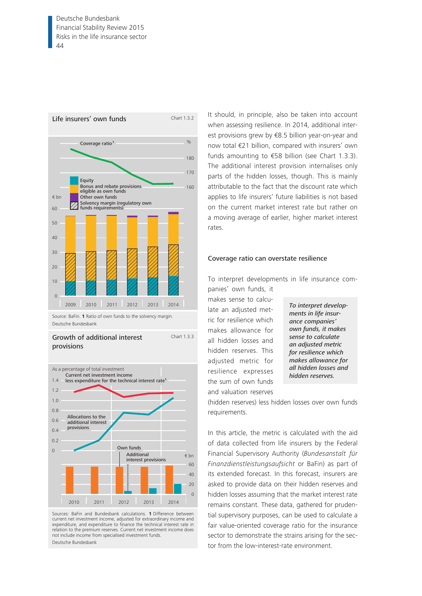

Chart 1.3.2

 $Char1.3.3$ 

Life insurers' own funds

Source: BaFin. **1** Ratio of own funds to the solvency margin. Deutsche Bundesbank

### Growth of additional interest provisions



Sources: BaFin and Bundesbank calculations. **1** Difference between current net investment income, adjusted for extraordinary income and expenditure, and expenditure to finance the technical interest rate in relation to the premium reserves. Current net investment income does not include income from specialised investment funds. Deutsche Bundesbank

It should, in principle, also be taken into account when assessing resilience. In 2014, additional interest provisions grew by €8.5 billion year-on-year and now total €21 billion, compared with insurers' own funds amounting to €58 billion (see Chart 1.3.3). The additional interest provision internalises only parts of the hidden losses, though. This is mainly attributable to the fact that the discount rate which applies to life insurers' future liabilities is not based on the current market interest rate but rather on a moving average of earlier, higher market interest rates.

### Coverage ratio can overstate resilience

To interpret developments in life insurance companies' own funds, it

makes sense to calculate an adjusted metric for resilience which makes allowance for all hidden losses and hidden reserves. This adjusted metric for resilience expresses the sum of own funds and valuation reserves

## *To interpret developments in life insurance companies' own funds, it makes sense to calculate an adjusted metric for resilience which makes allowance for all hidden losses and hidden reserves.*

(hidden reserves) less hidden losses over own funds requirements.

In this article, the metric is calculated with the aid of data collected from life insurers by the Federal Financial Supervisory Authority (*Bundesanstalt für Finanzdienstleistungsaufsicht* or BaFin) as part of its extended forecast. In this forecast, insurers are asked to provide data on their hidden reserves and hidden losses assuming that the market interest rate remains constant. These data, gathered for prudential supervisory purposes, can be used to calculate a fair value-oriented coverage ratio for the insurance sector to demonstrate the strains arising for the sector from the low-interest-rate environment.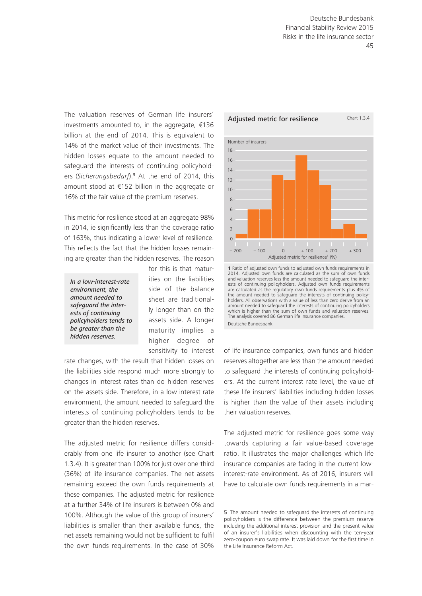The valuation reserves of German life insurers' investments amounted to, in the aggregate,  $€136$ billion at the end of 2014. This is equivalent to 14% of the market value of their investments. The hidden losses equate to the amount needed to safeguard the interests of continuing policyholders (*Sicherungsbedarf*).<sup>5</sup> At the end of 2014, this amount stood at €152 billion in the aggregate or 16% of the fair value of the premium reserves.

This metric for resilience stood at an aggregate 98% in 2014, ie significantly less than the coverage ratio of 163%, thus indicating a lower level of resilience. This reflects the fact that the hidden losses remaining are greater than the hidden reserves. The reason

*In a low-interest-rate environment, the amount needed to safeguard the interests of continuing policyholders tends to be greater than the hidden reserves.*

for this is that maturities on the liabilities side of the balance sheet are traditionally longer than on the assets side. A longer maturity implies a higher degree of sensitivity to interest

rate changes, with the result that hidden losses on the liabilities side respond much more strongly to changes in interest rates than do hidden reserves on the assets side. Therefore, in a low-interest-rate environment, the amount needed to safeguard the interests of continuing policyholders tends to be greater than the hidden reserves.

The adjusted metric for resilience differs considerably from one life insurer to another (see Chart 1.3.4). It is greater than 100% for just over one-third (36%) of life insurance companies. The net assets remaining exceed the own funds requirements at these companies. The adjusted metric for resilience at a further 34% of life insurers is between 0% and 100%. Although the value of this group of insurers' liabilities is smaller than their available funds, the net assets remaining would not be sufficient to fulfil the own funds requirements. In the case of 30%



#### Adjusted metric for resilience Chart 1.3.4

**1** Ratio of adjusted own funds to adjusted own funds requirements in 2014. Adjusted own funds are calculated as the sum of own funds and valuation reserves less the amount needed to safeguard the inter-ests of continuing policyholders. Adjusted own funds requirements are calculated as the regulatory own funds requirements plus 4% of the amount needed to safeguard the interests of continuing policy-holders. All observations with a value of less than zero derive from an amount needed to safeguard the interests of continuing policyholders which is higher than the sum of own funds and valuation reserves. The analysis covered 86 German life insurance companies. Deutsche Bundesbank

of life insurance companies, own funds and hidden reserves altogether are less than the amount needed to safeguard the interests of continuing policyholders. At the current interest rate level, the value of these life insurers' liabilities including hidden losses is higher than the value of their assets including their valuation reserves.

The adjusted metric for resilience goes some way towards capturing a fair value-based coverage ratio. It illustrates the major challenges which life insurance companies are facing in the current lowinterest-rate environment. As of 2016, insurers will have to calculate own funds requirements in a mar-

<sup>5</sup> The amount needed to safeguard the interests of continuing policyholders is the difference between the premium reserve including the additional interest provision and the present value of an insurer's liabilities when discounting with the ten-year zero-coupon euro swap rate. It was laid down for the first time in the Life Insurance Reform Act.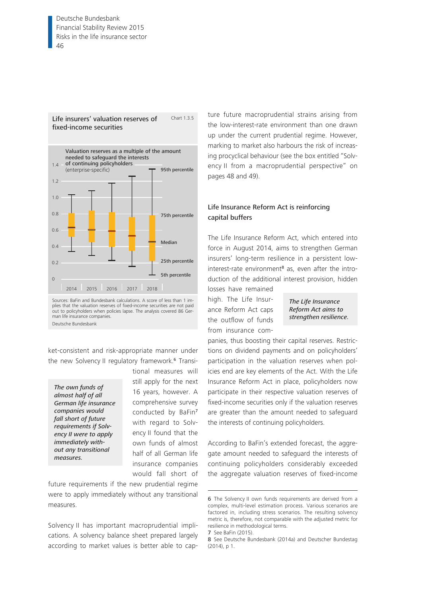#### Life insurers' valuation reserves of fixed-income securities Chart 1.3.5



Sources: BaFin and Bundesbank calculations. A score of less than 1 implies that the valuation reserves of fixed-income securities are not paid out to policyholders when policies lapse. The analysis covered 86 German life insurance companies. Deutsche Bundesbank

ket-consistent and risk-appropriate manner under the new Solvency II regulatory framework.<sup>6</sup> Transi-

*The own funds of almost half of all German life insurance companies would fall short of future requirements if Solvency II were to apply immediately without any transitional measures.*

tional measures will still apply for the next 16 years, however. A comprehensive survey conducted by BaFin<sup>7</sup> with regard to Solvency II found that the own funds of almost half of all German life insurance companies would fall short of

future requirements if the new prudential regime were to apply immediately without any transitional measures.

Solvency II has important macroprudential implications. A solvency balance sheet prepared largely according to market values is better able to capture future macroprudential strains arising from the low-interest-rate environment than one drawn up under the current prudential regime. However, marking to market also harbours the risk of increasing procyclical behaviour (see the box entitled "Solvency II from a macroprudential perspective" on pages 48 and 49).

## Life Insurance Reform Act is reinforcing capital buffers

The Life Insurance Reform Act, which entered into force in August 2014, aims to strengthen German insurers' long-term resilience in a persistent lowinterest-rate environment<sup>8</sup> as, even after the introduction of the additional interest provision, hidden losses have remained

high. The Life Insurance Reform Act caps the outflow of funds from insurance com-

*The Life Insurance Reform Act aims to strengthen resilience.*

panies, thus boosting their capital reserves. Restrictions on dividend payments and on policyholders' participation in the valuation reserves when policies end are key elements of the Act. With the Life Insurance Reform Act in place, policyholders now participate in their respective valuation reserves of fixed-income securities only if the valuation reserves are greater than the amount needed to safeguard the interests of continuing policyholders.

According to BaFin's extended forecast, the aggregate amount needed to safeguard the interests of continuing policyholders considerably exceeded the aggregate valuation reserves of fixed-income

<sup>6</sup> The Solvency II own funds requirements are derived from a complex, multi-level estimation process. Various scenarios are factored in, including stress scenarios. The resulting solvency metric is, therefore, not comparable with the adjusted metric for resilience in methodological terms.

<sup>7</sup> See BaFin (2015).

<sup>8</sup> See Deutsche Bundesbank (2014a) and Deutscher Bundestag (2014), p 1.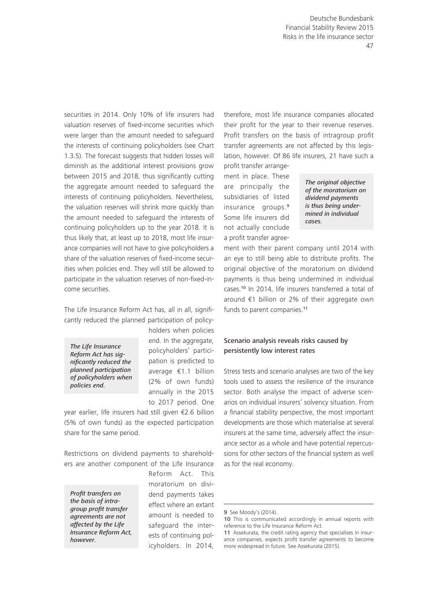securities in 2014. Only 10% of life insurers had valuation reserves of fixed-income securities which were larger than the amount needed to safeguard the interests of continuing policyholders (see Chart 1.3.5). The forecast suggests that hidden losses will diminish as the additional interest provisions grow between 2015 and 2018, thus significantly cutting the aggregate amount needed to safeguard the interests of continuing policyholders. Nevertheless, the valuation reserves will shrink more quickly than the amount needed to safeguard the interests of continuing policyholders up to the year 2018. It is thus likely that, at least up to 2018, most life insurance companies will not have to give policyholders a share of the valuation reserves of fixed-income securities when policies end. They will still be allowed to participate in the valuation reserves of non-fixed-income securities.

The Life Insurance Reform Act has, all in all, significantly reduced the planned participation of policy-

*The Life Insurance Reform Act has significantly reduced the planned participation of policyholders when policies end.*

holders when policies end. In the aggregate, policyholders' participation is predicted to average €1.1 billion (2% of own funds) annually in the 2015 to 2017 period. One

year earlier, life insurers had still given €2.6 billion (5% of own funds) as the expected participation share for the same period.

Restrictions on dividend payments to shareholders are another component of the Life Insurance

*Profit transfers on the basis of intragroup profit transfer agreements are not affected by the Life Insurance Reform Act, however.*

Reform Act. This moratorium on dividend payments takes effect where an extant amount is needed to safeguard the interests of continuing policyholders. In 2014, therefore, most life insurance companies allocated their profit for the year to their revenue reserves. Profit transfers on the basis of intragroup profit transfer agreements are not affected by this legislation, however. Of 86 life insurers, 21 have such a profit transfer arrange-

ment in place. These are principally the subsidiaries of listed insurance groups.<sup>9</sup> Some life insurers did not actually conclude a profit transfer agree-

*The original objective of the moratorium on dividend payments is thus being undermined in individual cases.*

ment with their parent company until 2014 with an eye to still being able to distribute profits. The original objective of the moratorium on dividend payments is thus being undermined in individual cases.<sup>10</sup> In 2014, life insurers transferred a total of around €1 billion or 2% of their aggregate own funds to parent companies.<sup>11</sup>

## Scenario analysis reveals risks caused by persistently low interest rates

Stress tests and scenario analyses are two of the key tools used to assess the resilience of the insurance sector. Both analyse the impact of adverse scenarios on individual insurers' solvency situation. From a financial stability perspective, the most important developments are those which materialise at several insurers at the same time, adversely affect the insurance sector as a whole and have potential repercussions for other sectors of the financial system as well as for the real economy.

<sup>9</sup> See Moody's (2014).

<sup>10</sup> This is communicated accordingly in annual reports with reference to the Life Insurance Reform Act.

<sup>11</sup> Assekurata, the credit rating agency that specialises in insurance companies, expects profit transfer agreements to become more widespread in future. See Assekurata (2015).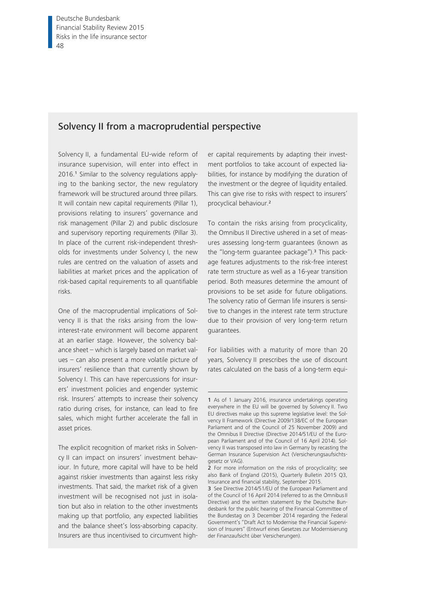# Solvency II from a macroprudential perspective

Solvency II, a fundamental EU-wide reform of insurance supervision, will enter into effect in 2016.<sup>1</sup> Similar to the solvency regulations applying to the banking sector, the new regulatory framework will be structured around three pillars. It will contain new capital requirements (Pillar 1), provisions relating to insurers' governance and risk management (Pillar 2) and public disclosure and supervisory reporting requirements (Pillar 3). In place of the current risk-independent thresholds for investments under Solvency I, the new rules are centred on the valuation of assets and liabilities at market prices and the application of risk-based capital requirements to all quantifiable risks.

One of the macroprudential implications of Solvency II is that the risks arising from the lowinterest-rate environment will become apparent at an earlier stage. However, the solvency balance sheet – which is largely based on market values – can also present a more volatile picture of insurers' resilience than that currently shown by Solvency I. This can have repercussions for insurers' investment policies and engender systemic risk. Insurers' attempts to increase their solvency ratio during crises, for instance, can lead to fire sales, which might further accelerate the fall in asset prices.

The explicit recognition of market risks in Solvency II can impact on insurers' investment behaviour. In future, more capital will have to be held against riskier investments than against less risky investments. That said, the market risk of a given investment will be recognised not just in isolation but also in relation to the other investments making up that portfolio, any expected liabilities and the balance sheet's loss-absorbing capacity. Insurers are thus incentivised to circumvent high-

er capital requirements by adapting their investment portfolios to take account of expected liabilities, for instance by modifying the duration of the investment or the degree of liquidity entailed. This can give rise to risks with respect to insurers' procyclical behaviour.<sup>2</sup>

To contain the risks arising from procyclicality, the Omnibus II Directive ushered in a set of measures assessing long-term guarantees (known as the "long-term guarantee package").<sup>3</sup> This package features adjustments to the risk-free interest rate term structure as well as a 16-year transition period. Both measures determine the amount of provisions to be set aside for future obligations. The solvency ratio of German life insurers is sensitive to changes in the interest rate term structure due to their provision of very long-term return guarantees.

For liabilities with a maturity of more than 20 years, Solvency II prescribes the use of discount rates calculated on the basis of a long-term equi-

<sup>1</sup> As of 1 January 2016, insurance undertakings operating everywhere in the EU will be governed by Solvency II. Two EU directives make up this supreme legislative level: the Solvency II Framework (Directive 2009/138/EC of the European Parliament and of the Council of 25 November 2009) and the Omnibus II Directive (Directive 2014/51/EU of the European Parliament and of the Council of 16 April 2014). Solvency II was transposed into law in Germany by recasting the German Insurance Supervision Act (Versicherungsaufsichtsgesetz or VAG).

<sup>2</sup> For more information on the risks of procyclicality; see also Bank of England (2015), Quarterly Bulletin 2015 Q3, Insurance and financial stability, September 2015.

<sup>3</sup> See Directive 2014/51/EU of the European Parliament and of the Council of 16 April 2014 (referred to as the OmnibusII Directive) and the written statement by the Deutsche Bundesbank for the public hearing of the Financial Committee of the Bundestag on 3 December 2014 regarding the Federal Government's "Draft Act to Modernise the Financial Supervision of Insurers" (Entwurf eines Gesetzes zur Modernisierung der Finanzaufsicht über Versicherungen).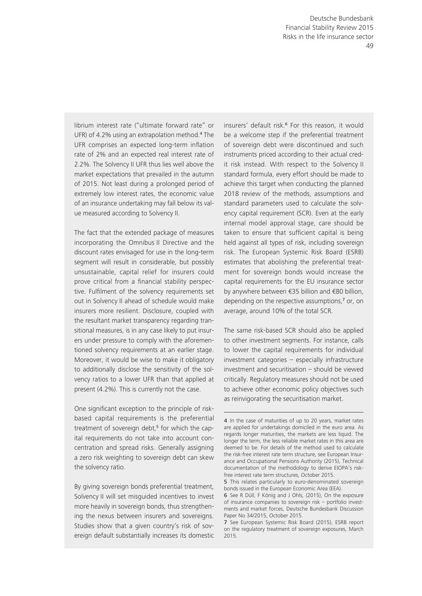librium interest rate ("ultimate forward rate" or UFR) of 4.2% using an extrapolation method.<sup>4</sup> The UFR comprises an expected long-term inflation rate of 2% and an expected real interest rate of 2.2%. The Solvency II UFR thus lies well above the market expectations that prevailed in the autumn of 2015. Not least during a prolonged period of extremely low interest rates, the economic value of an insurance undertaking may fall below its value measured according to Solvency II.

The fact that the extended package of measures incorporating the Omnibus II Directive and the discount rates envisaged for use in the long-term segment will result in considerable, but possibly unsustainable, capital relief for insurers could prove critical from a financial stability perspective. Fulfilment of the solvency requirements set out in Solvency II ahead of schedule would make insurers more resilient. Disclosure, coupled with the resultant market transparency regarding transitional measures, is in any case likely to put insurers under pressure to comply with the aforementioned solvency requirements at an earlier stage. Moreover, it would be wise to make it obligatory to additionally disclose the sensitivity of the solvency ratios to a lower UFR than that applied at present (4.2%). This is currently not the case.

One significant exception to the principle of riskbased capital requirements is the preferential treatment of sovereign debt,<sup>5</sup> for which the capital requirements do not take into account concentration and spread risks. Generally assigning a zero risk weighting to sovereign debt can skew the solvency ratio.

By giving sovereign bonds preferential treatment, Solvency II will set misguided incentives to invest more heavily in sovereign bonds, thus strengthening the nexus between insurers and sovereigns. Studies show that a given country's risk of sovereign default substantially increases its domestic insurers' default risk.<sup>6</sup> For this reason, it would be a welcome step if the preferential treatment of sovereign debt were discontinued and such instruments priced according to their actual credit risk instead. With respect to the Solvency II standard formula, every effort should be made to achieve this target when conducting the planned 2018 review of the methods, assumptions and standard parameters used to calculate the solvency capital requirement (SCR). Even at the early internal model approval stage, care should be taken to ensure that sufficient capital is being held against all types of risk, including sovereign risk. The European Systemic Risk Board (ESRB) estimates that abolishing the preferential treatment for sovereign bonds would increase the capital requirements for the EU insurance sector by anywhere between €35 billion and €80 billion, depending on the respective assumptions,<sup>7</sup> or, on average, around 10% of the total SCR.

The same risk-based SCR should also be applied to other investment segments. For instance, calls to lower the capital requirements for individual investment categories – especially infrastructure investment and securitisation – should be viewed critically. Regulatory measures should not be used to achieve other economic policy objectives such as reinvigorating the securitisation market.

<sup>4</sup> In the case of maturities of up to 20 years, market rates are applied for undertakings domiciled in the euro area. As regards longer maturities, the markets are less liquid. The longer the term, the less reliable market rates in this area are deemed to be. For details of the method used to calculate the risk-free interest rate term structure, see European Insurance and Occupational Pensions Authority (2015), Technical documentation of the methodology to derive EIOPA's riskfree interest rate term structures, October 2015.

<sup>5</sup> This relates particularly to euro-denominated sovereign bonds issued in the European Economic Area (EEA).

<sup>6</sup> See R Düll, F König and J Ohls, (2015), On the exposure of insurance companies to sovereign risk – portfolio investments and market forces, Deutsche Bundesbank Discussion Paper No 34/2015, October 2015.

<sup>7</sup> See European Systemic Risk Board (2015), ESRB report on the regulatory treatment of sovereign exposures, March 2015.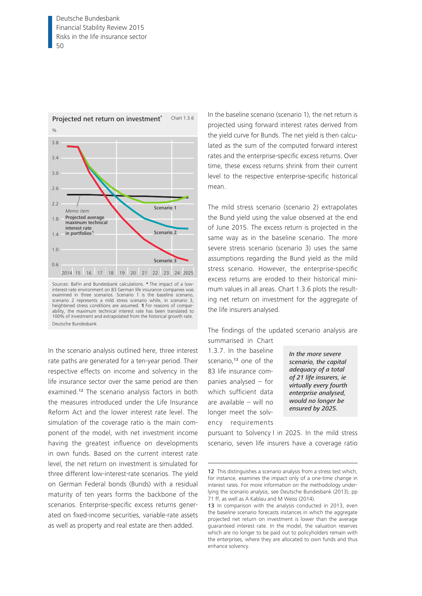

Projected net return on investment**\*** Chart 1.3.6

interest-rate environment on 83 German life insurance companies was examined in three scenarios. Scenario 1 is the baseline scenario, scenario 2 represents a mild stress scenario while, in scenario 3, heightened stress conditions are assumed. **1** For reasons of comparability, the maximum technical interest rate has been translated to 100% of investment and extrapolated from the historical growth rate. Deutsche Bundesbank

In the scenario analysis outlined here, three interest rate paths are generated for a ten-year period. Their respective effects on income and solvency in the life insurance sector over the same period are then examined.<sup>12</sup> The scenario analysis factors in both the measures introduced under the Life Insurance Reform Act and the lower interest rate level. The simulation of the coverage ratio is the main component of the model, with net investment income having the greatest influence on developments in own funds. Based on the current interest rate level, the net return on investment is simulated for three different low-interest-rate scenarios. The yield on German Federal bonds (Bunds) with a residual maturity of ten years forms the backbone of the scenarios. Enterprise-specific excess returns generated on fixed-income securities, variable-rate assets as well as property and real estate are then added.

In the baseline scenario (scenario 1), the net return is projected using forward interest rates derived from the yield curve for Bunds. The net yield is then calculated as the sum of the computed forward interest rates and the enterprise-specific excess returns. Over time, these excess returns shrink from their current level to the respective enterprise-specific historical mean.

The mild stress scenario (scenario 2) extrapolates the Bund yield using the value observed at the end of June 2015. The excess return is projected in the same way as in the baseline scenario. The more severe stress scenario (scenario 3) uses the same assumptions regarding the Bund yield as the mild stress scenario. However, the enterprise-specific excess returns are eroded to their historical minimum values in all areas. Chart 1.3.6 plots the resulting net return on investment for the aggregate of the life insurers analysed.

The findings of the updated scenario analysis are summarised in Chart

1.3.7. In the baseline scenario.<sup>13</sup> one of the 83 life insurance companies analysed – for which sufficient data are available – will no longer meet the solvency requirements

*In the more severe scenario, the capital adequacy of a total of 21 life insurers, ie virtually every fourth enterprise analysed, would no longer be ensured by 2025.*

pursuant to Solvency I in 2025. In the mild stress scenario, seven life insurers have a coverage ratio

<sup>12</sup> This distinguishes a scenario analysis from a stress test which, for instance, examines the impact only of a one-time change in interest rates. For more information on the methodology underlying the scenario analysis, see Deutsche Bundesbank (2013), pp 71 ff, as well as A Kablau and M Weiss (2014).

<sup>13</sup> In comparison with the analysis conducted in 2013, even the baseline scenario forecasts instances in which the aggregate projected net return on investment is lower than the average guaranteed interest rate. In the model, the valuation reserves which are no longer to be paid out to policyholders remain with the enterprises, where they are allocated to own funds and thus enhance solvency.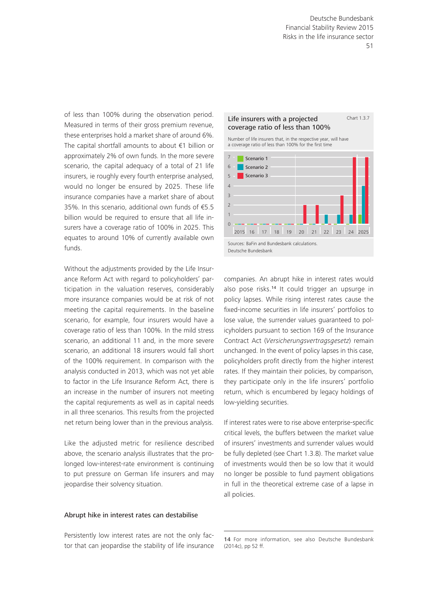of less than 100% during the observation period. Measured in terms of their gross premium revenue, these enterprises hold a market share of around 6%. The capital shortfall amounts to about €1 billion or approximately 2% of own funds. In the more severe scenario, the capital adequacy of a total of 21 life insurers, ie roughly every fourth enterprise analysed, would no longer be ensured by 2025. These life insurance companies have a market share of about 35%. In this scenario, additional own funds of €5.5 billion would be required to ensure that all life insurers have a coverage ratio of 100% in 2025. This equates to around 10% of currently available own funds.

Without the adjustments provided by the Life Insurance Reform Act with regard to policyholders' participation in the valuation reserves, considerably more insurance companies would be at risk of not meeting the capital requirements. In the baseline scenario, for example, four insurers would have a coverage ratio of less than 100%. In the mild stress scenario, an additional 11 and, in the more severe scenario, an additional 18 insurers would fall short of the 100% requirement. In comparison with the analysis conducted in 2013, which was not yet able to factor in the Life Insurance Reform Act, there is an increase in the number of insurers not meeting the capital reqiurements as well as in capital needs in all three scenarios. This results from the projected net return being lower than in the previous analysis.

Like the adjusted metric for resilience described above, the scenario analysis illustrates that the prolonged low-interest-rate environment is continuing to put pressure on German life insurers and may jeopardise their solvency situation.

#### Life insurers with a projected coverage ratio of less than 100% Chart 1.3.7

Number of life insurers that, in the respective year, will have a coverage ratio of less than 100% for the first time



companies. An abrupt hike in interest rates would also pose risks.<sup>14</sup> It could trigger an upsurge in policy lapses. While rising interest rates cause the fixed-income securities in life insurers' portfolios to lose value, the surrender values guaranteed to policyholders pursuant to section 169 of the Insurance Contract Act (*Versicherungsvertragsgesetz*) remain unchanged. In the event of policy lapses in this case, policyholders profit directly from the higher interest rates. If they maintain their policies, by comparison, they participate only in the life insurers' portfolio return, which is encumbered by legacy holdings of low-yielding securities.

If interest rates were to rise above enterprise-specific critical levels, the buffers between the market value of insurers' investments and surrender values would be fully depleted (see Chart 1.3.8). The market value of investments would then be so low that it would no longer be possible to fund payment obligations in full in the theoretical extreme case of a lapse in all policies.

## Abrupt hike in interest rates can destabilise

Persistently low interest rates are not the only factor that can jeopardise the stability of life insurance

14 For more information, see also Deutsche Bundesbank (2014c), pp 52 ff.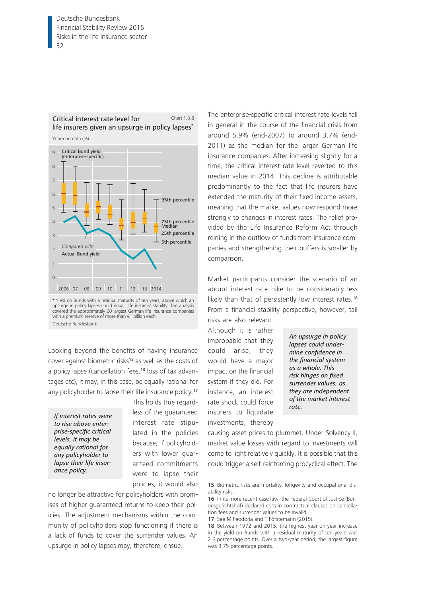#### Critical interest rate level for life insurers given an upsurge in policy lapses**\*** Chart 1.3.8



**\*** Yield on Bunds with a residual maturity of ten years, above which an upsurge in policy lapses could impair life insurers' stability. The analysis covered the approximately 60 largest German life insurance companies with a premium reserve of more than €1 billion each. Deutsche Bundesbank

Looking beyond the benefits of having insurance cover against biometric risks<sup>15</sup> as well as the costs of a policy lapse (cancellation fees,<sup>16</sup> loss of tax advantages etc), it may, in this case, be equally rational for any policyholder to lapse their life insurance policy.<sup>17</sup>

*If interest rates were to rise above enterprise-specific critical levels, it may be equally rational for any policyholder to lapse their life insurance policy.*

This holds true regardless of the guaranteed interest rate stipulated in the policies because, if policyholders with lower guaranteed commitments were to lapse their policies, it would also

no longer be attractive for policyholders with promises of higher guaranteed returns to keep their policies. The adjustment mechanisms within the community of policyholders stop functioning if there is a lack of funds to cover the surrender values. An upsurge in policy lapses may, therefore, ensue.

The enterprise-specific critical interest rate levels fell in general in the course of the financial crisis from around 5.9% (end-2007) to around 3.7% (end-2011) as the median for the larger German life insurance companies. After increasing slightly for a time, the critical interest rate level reverted to this median value in 2014. This decline is attributable predominantly to the fact that life insurers have extended the maturity of their fixed-income assets, meaning that the market values now respond more strongly to changes in interest rates. The relief provided by the Life Insurance Reform Act through reining in the outflow of funds from insurance companies and strengthening their buffers is smaller by comparison.

Market participants consider the scenario of an abrupt interest rate hike to be considerably less likely than that of persistently low interest rates.<sup>18</sup> From a financial stability perspective, however, tail risks are also relevant.

Although it is rather improbable that they could arise, they would have a major impact on the financial system if they did. For instance, an interest rate shock could force insurers to liquidate investments, thereby

*An upsurge in policy lapses could undermine confidence in the financial system as a whole. This risk hinges on fixed surrender values, as they are independent of the market interest rate.*

causing asset prices to plummet. Under Solvency II, market value losses with regard to investments will come to light relatively quickly. It is possible that this could trigger a self-reinforcing procyclical effect. The

<sup>15</sup> Biometric risks are mortality, longevity and occupational disability risks.

<sup>16</sup> In its more recent case law, the Federal Court of Justice (Bundesgerichtshof) declared certain contractual clauses on cancellation fees and surrender values to be invalid.

<sup>17</sup> See M Feodoria and T Förstemann (2015).

<sup>18</sup> Between 1972 and 2015, the highest year-on-year increase in the yield on Bunds with a residual maturity of ten years was 2.6 percentage points. Over a two-year period, the largest figure was 3.75 percentage points.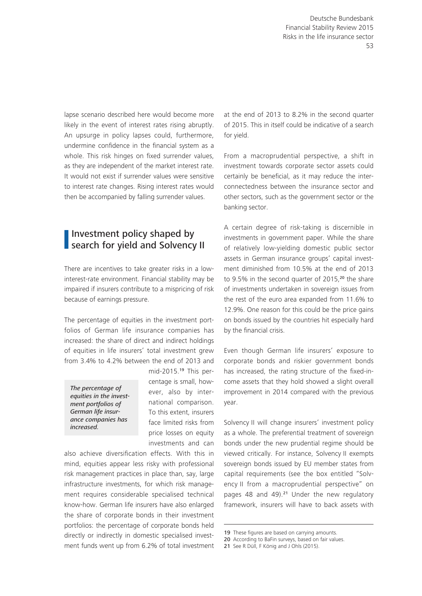lapse scenario described here would become more likely in the event of interest rates rising abruptly. An upsurge in policy lapses could, furthermore, undermine confidence in the financial system as a whole. This risk hinges on fixed surrender values, as they are independent of the market interest rate. It would not exist if surrender values were sensitive to interest rate changes. Rising interest rates would then be accompanied by falling surrender values.

# **Investment policy shaped by** search for yield and Solvency II

There are incentives to take greater risks in a lowinterest-rate environment. Financial stability may be impaired if insurers contribute to a mispricing of risk because of earnings pressure.

The percentage of equities in the investment portfolios of German life insurance companies has increased: the share of direct and indirect holdings of equities in life insurers' total investment grew from 3.4% to 4.2% between the end of 2013 and

*The percentage of equities in the investment portfolios of German life insurance companies has increased.*

mid-2015.19 This percentage is small, however, also by international comparison. To this extent, insurers face limited risks from price losses on equity investments and can

also achieve diversification effects. With this in mind, equities appear less risky with professional risk management practices in place than, say, large infrastructure investments, for which risk management requires considerable specialised technical know-how. German life insurers have also enlarged the share of corporate bonds in their investment portfolios: the percentage of corporate bonds held directly or indirectly in domestic specialised investment funds went up from 6.2% of total investment at the end of 2013 to 8.2% in the second quarter of 2015. This in itself could be indicative of a search for yield.

From a macroprudential perspective, a shift in investment towards corporate sector assets could certainly be beneficial, as it may reduce the interconnectedness between the insurance sector and other sectors, such as the government sector or the banking sector.

A certain degree of risk-taking is discernible in investments in government paper. While the share of relatively low-yielding domestic public sector assets in German insurance groups' capital investment diminished from 10.5% at the end of 2013 to 9.5% in the second quarter of 2015,<sup>20</sup> the share of investments undertaken in sovereign issues from the rest of the euro area expanded from 11.6% to 12.9%. One reason for this could be the price gains on bonds issued by the countries hit especially hard by the financial crisis.

Even though German life insurers' exposure to corporate bonds and riskier government bonds has increased, the rating structure of the fixed-income assets that they hold showed a slight overall improvement in 2014 compared with the previous year.

Solvency II will change insurers' investment policy as a whole. The preferential treatment of sovereign bonds under the new prudential regime should be viewed critically. For instance, Solvency II exempts sovereign bonds issued by EU member states from capital requirements (see the box entitled "Solvency II from a macroprudential perspective" on pages 48 and 49).<sup>21</sup> Under the new regulatory framework, insurers will have to back assets with

<sup>19</sup> These figures are based on carrying amounts.

<sup>20</sup> According to BaFin surveys, based on fair values.

<sup>21</sup> See R Düll, F König and J Ohls (2015).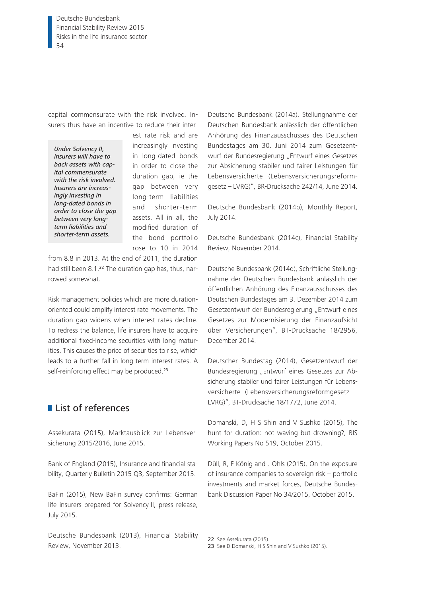capital commensurate with the risk involved. Insurers thus have an incentive to reduce their inter-

*Under Solvency II, insurers will have to back assets with capital commensurate with the risk involved. Insurers are increasingly investing in long-dated bonds in order to close the gap between very longterm liabilities and shorter-term assets.*

est rate risk and are increasingly investing in long-dated bonds in order to close the duration gap, ie the gap between very long-term liabilities and shorter-term assets. All in all, the modified duration of the bond portfolio rose to 10 in 2014

from 8.8 in 2013. At the end of 2011, the duration had still been 8.1.<sup>22</sup> The duration gap has, thus, narrowed somewhat.

Risk management policies which are more durationoriented could amplify interest rate movements. The duration gap widens when interest rates decline. To redress the balance, life insurers have to acquire additional fixed-income securities with long maturities. This causes the price of securities to rise, which leads to a further fall in long-term interest rates. A self-reinforcing effect may be produced.<sup>23</sup>

## **List of references**

Assekurata (2015), Marktausblick zur Lebensversicherung 2015/2016, June 2015.

Bank of England (2015), Insurance and financial stability, Quarterly Bulletin 2015 Q3, September 2015.

BaFin (2015), New BaFin survey confirms: German life insurers prepared for Solvency II, press release, July 2015.

Deutsche Bundesbank (2013), Financial Stability Review, November 2013.

Deutsche Bundesbank (2014a), Stellungnahme der Deutschen Bundesbank anlässlich der öffentlichen Anhörung des Finanzausschusses des Deutschen Bundestages am 30. Juni 2014 zum Gesetzentwurf der Bundesregierung "Entwurf eines Gesetzes zur Absicherung stabiler und fairer Leistungen für Lebensversicherte (Lebensversicherungsreformgesetz – LVRG)", BR-Drucksache 242/14, June 2014.

Deutsche Bundesbank (2014b), Monthly Report, July 2014.

Deutsche Bundesbank (2014c), Financial Stability Review, November 2014.

Deutsche Bundesbank (2014d), Schriftliche Stellungnahme der Deutschen Bundesbank anlässlich der öffentlichen Anhörung des Finanzausschusses des Deutschen Bundestages am 3. Dezember 2014 zum Gesetzentwurf der Bundesregierung "Entwurf eines Gesetzes zur Modernisierung der Finanzaufsicht über Versicherungen", BT-Drucksache 18/2956, December 2014.

Deutscher Bundestag (2014), Gesetzentwurf der Bundesregierung "Entwurf eines Gesetzes zur Absicherung stabiler und fairer Leistungen für Lebensversicherte (Lebensversicherungsreformgesetz – LVRG)", BT-Drucksache 18/1772, June 2014.

Domanski, D, H S Shin and V Sushko (2015), The hunt for duration: not waving but drowning?, BIS Working Papers No 519, October 2015.

Düll, R, F König and J Ohls (2015), On the exposure of insurance companies to sovereign risk – portfolio investments and market forces, Deutsche Bundesbank Discussion Paper No 34/2015, October 2015.

22 See Assekurata (2015).

<sup>23</sup> See D Domanski, H S Shin and V Sushko (2015).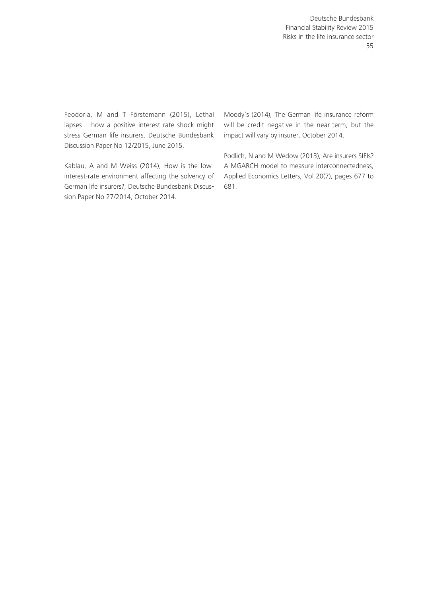Feodoria, M and T Förstemann (2015), Lethal lapses – how a positive interest rate shock might stress German life insurers, Deutsche Bundesbank Discussion Paper No 12/2015, June 2015.

Kablau, A and M Weiss (2014), How is the lowinterest-rate environment affecting the solvency of German life insurers?, Deutsche Bundesbank Discussion Paper No 27/2014, October 2014.

Moody's (2014), The German life insurance reform will be credit negative in the near-term, but the impact will vary by insurer, October 2014.

Podlich, N and M Wedow (2013), Are insurers SIFIs? A MGARCH model to measure interconnectedness, Applied Economics Letters, Vol 20(7), pages 677 to 681.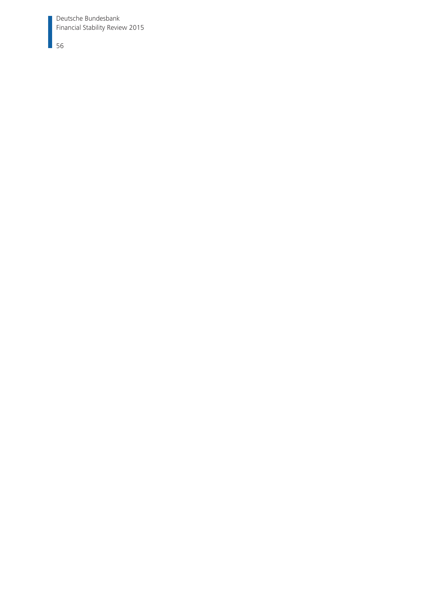Deutsche Bundesbank Financial Stability Review 2015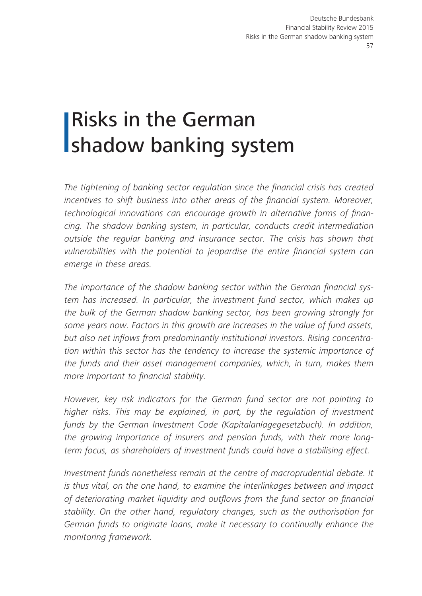# **Risks in the German** shadow banking system

*The tightening of banking sector regulation since the financial crisis has created incentives to shift business into other areas of the financial system. Moreover, technological innovations can encourage growth in alternative forms of financing. The shadow banking system, in particular, conducts credit intermediation outside the regular banking and insurance sector. The crisis has shown that vulnerabilities with the potential to jeopardise the entire financial system can emerge in these areas.* 

*The importance of the shadow banking sector within the German financial system has increased. In particular, the investment fund sector, which makes up the bulk of the German shadow banking sector, has been growing strongly for some years now. Factors in this growth are increases in the value of fund assets, but also net inflows from predominantly institutional investors. Rising concentration within this sector has the tendency to increase the systemic importance of the funds and their asset management companies, which, in turn, makes them more important to financial stability.* 

*However, key risk indicators for the German fund sector are not pointing to higher risks. This may be explained, in part, by the regulation of investment*  funds by the German Investment Code (Kapitalanlagegesetzbuch). In addition, *the growing importance of insurers and pension funds, with their more longterm focus, as shareholders of investment funds could have a stabilising effect.* 

*Investment funds nonetheless remain at the centre of macroprudential debate. It is thus vital, on the one hand, to examine the interlinkages between and impact of deteriorating market liquidity and outflows from the fund sector on financial stability. On the other hand, regulatory changes, such as the authorisation for German funds to originate loans, make it necessary to continually enhance the monitoring framework.*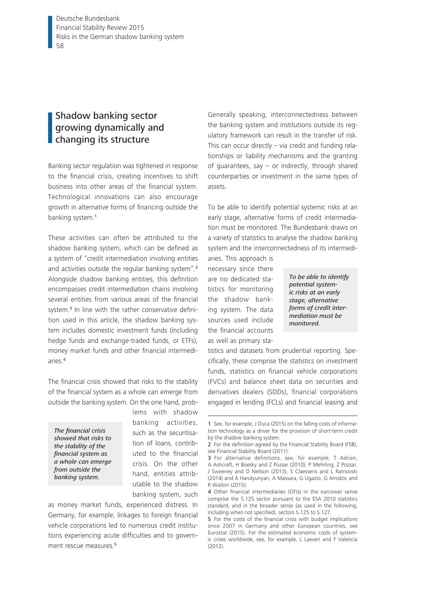# Shadow banking sector growing dynamically and changing its structure

Banking sector regulation was tightened in response to the financial crisis, creating incentives to shift business into other areas of the financial system. Technological innovations can also encourage growth in alternative forms of financing outside the banking system.<sup>1</sup>

These activities can often be attributed to the shadow banking system, which can be defined as a system of "credit intermediation involving entities and activities outside the regular banking system".<sup>2</sup> Alongside shadow banking entities, this definition encompasses credit intermediation chains involving several entities from various areas of the financial system.<sup>3</sup> In line with the rather conservative definition used in this article, the shadow banking system includes domestic investment funds (including hedge funds and exchange-traded funds, or ETFs), money market funds and other financial intermediaries.<sup>4</sup>

The financial crisis showed that risks to the stability of the financial system as a whole can emerge from outside the banking system. On the one hand, prob-

*The financial crisis showed that risks to the stability of the financial system as a whole can emerge from outside the banking system.*

lems with shadow banking activities, such as the securitisation of loans, contributed to the financial crisis. On the other hand, entities attributable to the shadow banking system, such

as money market funds, experienced distress. In Germany, for example, linkages to foreign financial vehicle corporations led to numerous credit institutions experiencing acute difficulties and to government rescue measures.<sup>5</sup>

Generally speaking, interconnectedness between the banking system and institutions outside its regulatory framework can result in the transfer of risk. This can occur directly – via credit and funding relationships or liability mechanisms and the granting of guarantees, say  $-$  or indirectly, through shared counterparties or investment in the same types of assets.

To be able to identify potential systemic risks at an early stage, alternative forms of credit intermediation must be monitored. The Bundesbank draws on a variety of statistics to analyse the shadow banking system and the interconnectedness of its intermediaries. This approach is

necessary since there are no dedicated statistics for monitoring the shadow banking system. The data sources used include the financial accounts as well as primary sta-

*To be able to identify potential systemic risks at an early stage, alternative forms of credit intermediation must be monitored.*

tistics and datasets from prudential reporting. Specifically, these comprise the statistics on investment funds, statistics on financial vehicle corporations (FVCs) and balance sheet data on securities and derivatives dealers (SDDs), financial corporations engaged in lending (FCLs) and financial leasing and

<sup>1</sup> See, for example, J Duca (2015) on the falling costs of information technology as a driver for the provision of short-term credit by the shadow banking system.

<sup>2</sup> For the definition agreed by the Financial Stability Board (FSB), see Financial Stability Board (2011).

<sup>3</sup> For alternative definitions, see, for example, T Adrian, A Ashcraft, H Boesky and Z Pozsar (2010), P Mehrling, Z Pozsar, J Sweeney and D Neilson (2013), S Claessens and L Ratnovski (2014) and A Harutyunyan, A Massara, G Ugazio, G Amidzic and R Walton (2015).

<sup>4</sup> Other financial intermediaries (OFIs) in the narrower sense comprise the S.125 sector pursuant to the ESA 2010 statistics standard, and in the broader sense (as used in the following, including when not specified), sectors S.125 to S.127.

<sup>5</sup> For the costs of the financial crisis with budget implications since 2007 in Germany and other European countries, see Eurostat (2015). For the estimated economic costs of systemic crises worldwide, see, for example, L Laeven and F Valencia (2012).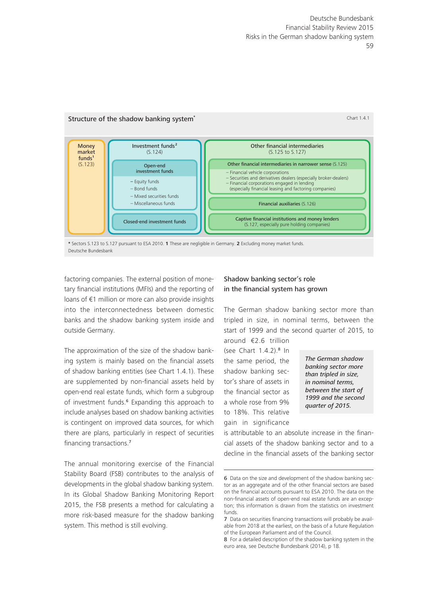

factoring companies. The external position of monetary financial institutions (MFIs) and the reporting of loans of €1 million or more can also provide insights into the interconnectedness between domestic banks and the shadow banking system inside and outside Germany.

The approximation of the size of the shadow banking system is mainly based on the financial assets of shadow banking entities (see Chart 1.4.1). These are supplemented by non-financial assets held by open-end real estate funds, which form a subgroup of investment funds.<sup>6</sup> Expanding this approach to include analyses based on shadow banking activities is contingent on improved data sources, for which there are plans, particularly in respect of securities financing transactions.<sup>7</sup>

The annual monitoring exercise of the Financial Stability Board (FSB) contributes to the analysis of developments in the global shadow banking system. In its Global Shadow Banking Monitoring Report 2015, the FSB presents a method for calculating a more risk-based measure for the shadow banking system. This method is still evolving.

## Shadow banking sector's role in the financial system has grown

The German shadow banking sector more than tripled in size, in nominal terms, between the start of 1999 and the second quarter of 2015, to around €2.6 trillion

(see Chart  $1.4.2$ ).<sup>8</sup> In the same period, the shadow banking sector's share of assets in the financial sector as a whole rose from 9% to 18%. This relative gain in significance

*The German shadow banking sector more than tripled in size, in nominal terms, between the start of 1999 and the second quarter of 2015.*

is attributable to an absolute increase in the financial assets of the shadow banking sector and to a decline in the financial assets of the banking sector

<sup>6</sup> Data on the size and development of the shadow banking sector as an aggregate and of the other financial sectors are based on the financial accounts pursuant to ESA 2010. The data on the non-financial assets of open-end real estate funds are an exception; this information is drawn from the statistics on investment funds.

<sup>7</sup> Data on securities financing transactions will probably be available from 2018 at the earliest, on the basis of a future Regulation of the European Parliament and of the Council.

<sup>8</sup> For a detailed description of the shadow banking system in the euro area, see Deutsche Bundesbank (2014), p 18.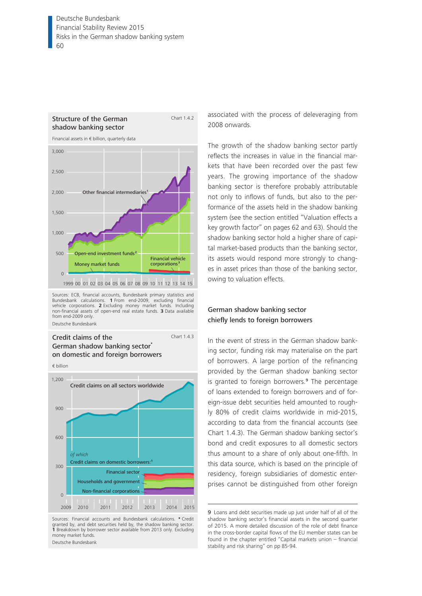#### Structure of the German shadow banking sector Chart 1.4.2

Financial assets in € billion, quarterly data



Sources: ECB, financial accounts, Bundesbank primary statistics and Bundesbank calculations. **1** From end-2009, excluding financial vehicle corporations. **2** Excluding money market funds. Including non-financial assets of open-end real estate funds. **3** Data available from end-2009 only. Deutsche Bundesbank

#### Credit claims of the German shadow banking sector**\*** on domestic and foreign borrowers  $Char143$

€ billion



Sources: Financial accounts and Bundesbank calculations. **\*** Credit granted by, and debt securities held by, the shadow banking sector. **1** Breakdown by borrower sector available from 2013 only. Excluding money market funds. Deutsche Bundesbank

associated with the process of deleveraging from 2008 onwards.

The growth of the shadow banking sector partly reflects the increases in value in the financial markets that have been recorded over the past few years. The growing importance of the shadow banking sector is therefore probably attributable not only to inflows of funds, but also to the performance of the assets held in the shadow banking system (see the section entitled "Valuation effects a key growth factor" on pages 62 and 63). Should the shadow banking sector hold a higher share of capital market-based products than the banking sector, its assets would respond more strongly to changes in asset prices than those of the banking sector, owing to valuation effects.

## German shadow banking sector chiefly lends to foreign borrowers

In the event of stress in the German shadow banking sector, funding risk may materialise on the part of borrowers. A large portion of the refinancing provided by the German shadow banking sector is granted to foreign borrowers.<sup>9</sup> The percentage of loans extended to foreign borrowers and of foreign-issue debt securities held amounted to roughly 80% of credit claims worldwide in mid-2015, according to data from the financial accounts (see Chart 1.4.3). The German shadow banking sector's bond and credit exposures to all domestic sectors thus amount to a share of only about one-fifth. In this data source, which is based on the principle of residency, foreign subsidiaries of domestic enterprises cannot be distinguished from other foreign

<sup>9</sup> Loans and debt securities made up just under half of all of the shadow banking sector's financial assets in the second quarter of 2015. A more detailed discussion of the role of debt finance in the cross-border capital flows of the EU member states can be found in the chapter entitled "Capital markets union – financial stability and risk sharing" on pp 85-94.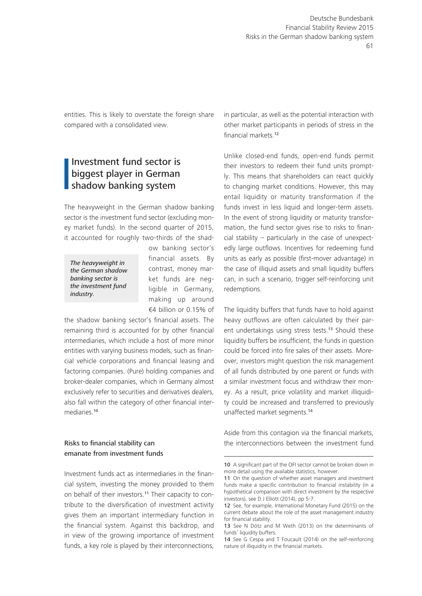entities. This is likely to overstate the foreign share compared with a consolidated view.

# Investment fund sector is biggest player in German shadow banking system

The heavyweight in the German shadow banking sector is the investment fund sector (excluding money market funds). In the second quarter of 2015, it accounted for roughly two-thirds of the shad-

*The heavyweight in the German shadow banking sector is the investment fund industry.*

ow banking sector's financial assets. By contrast, money market funds are negligible in Germany, making up around €4 billion or 0.15% of

the shadow banking sector's financial assets. The remaining third is accounted for by other financial intermediaries, which include a host of more minor entities with varying business models, such as financial vehicle corporations and financial leasing and factoring companies. (Pure) holding companies and broker-dealer companies, which in Germany almost exclusively refer to securities and derivatives dealers, also fall within the category of other financial intermediaries.<sup>10</sup>

## Risks to financial stability can emanate from investment funds

Investment funds act as intermediaries in the financial system, investing the money provided to them on behalf of their investors.11 Their capacity to contribute to the diversification of investment activity gives them an important intermediary function in the financial system. Against this backdrop, and in view of the growing importance of investment funds, a key role is played by their interconnections,

in particular, as well as the potential interaction with other market participants in periods of stress in the financial markets.<sup>12</sup>

Unlike closed-end funds, open-end funds permit their investors to redeem their fund units promptly. This means that shareholders can react quickly to changing market conditions. However, this may entail liquidity or maturity transformation if the funds invest in less liquid and longer-term assets. In the event of strong liquidity or maturity transformation, the fund sector gives rise to risks to financial stability – particularly in the case of unexpectedly large outflows. Incentives for redeeming fund units as early as possible (first-mover advantage) in the case of illiquid assets and small liquidity buffers can, in such a scenario, trigger self-reinforcing unit redemptions.

The liquidity buffers that funds have to hold against heavy outflows are often calculated by their parent undertakings using stress tests.<sup>13</sup> Should these liquidity buffers be insufficient, the funds in question could be forced into fire sales of their assets. Moreover, investors might question the risk management of all funds distributed by one parent or funds with a similar investment focus and withdraw their money. As a result, price volatility and market illiquidity could be increased and transferred to previously unaffected market segments.<sup>14</sup>

Aside from this contagion via the financial markets, the interconnections between the investment fund

<sup>10</sup> A significant part of the OFI sector cannot be broken down in more detail using the available statistics, however.

<sup>11</sup> On the question of whether asset managers and investment funds make a specific contribution to financial instability (in a hypothetical comparison with direct investment by the respective investors), see D J Elliott (2014), pp 5-7.

<sup>12</sup> See, for example, International Monetary Fund (2015) on the current debate about the role of the asset management industry for financial stability.

<sup>13</sup> See N Dötz and M Weth (2013) on the determinants of funds' liquidity buffers.

<sup>14</sup> See G Cespa and T Foucault (2014) on the self-reinforcing nature of illiquidity in the financial markets.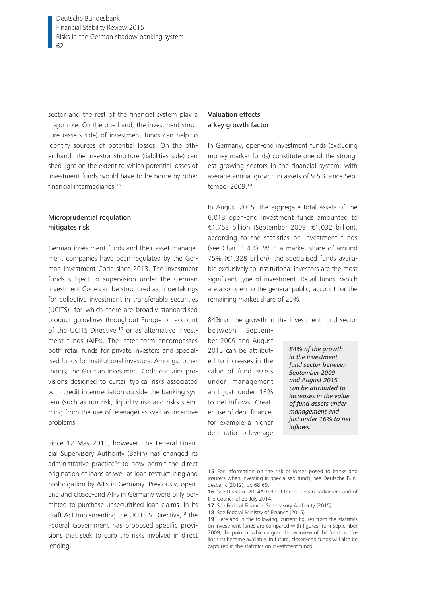sector and the rest of the financial system play a major role. On the one hand, the investment structure (assets side) of investment funds can help to identify sources of potential losses. On the other hand, the investor structure (liabilities side) can shed light on the extent to which potential losses of investment funds would have to be borne by other financial intermediaries.<sup>15</sup>

## Microprudential regulation mitigates risk

German investment funds and their asset management companies have been regulated by the German Investment Code since 2013. The investment funds subject to supervision under the German Investment Code can be structured as undertakings for collective investment in transferable securities (UCITS), for which there are broadly standardised product guidelines throughout Europe on account of the UCITS Directive,<sup>16</sup> or as alternative investment funds (AIFs). The latter form encompasses both retail funds for private investors and specialised funds for institutional investors. Amongst other things, the German Investment Code contains provisions designed to curtail typical risks associated with credit intermediation outside the banking system (such as run risk, liquidity risk and risks stemming from the use of leverage) as well as incentive problems.

Since 12 May 2015, however, the Federal Financial Supervisory Authority (BaFin) has changed its administrative practice<sup>17</sup> to now permit the direct origination of loans as well as loan restructuring and prolongation by AIFs in Germany. Previously, openend and closed-end AIFs in Germany were only permitted to purchase unsecuritised loan claims. In its draft Act Implementing the UCITS V Directive,<sup>18</sup> the Federal Government has proposed specific provisions that seek to curb the risks involved in direct lending.

## Valuation effects a key growth factor

In Germany, open-end investment funds (excluding money market funds) constitute one of the strongest growing sectors in the financial system, with average annual growth in assets of 9.5% since September 2009.<sup>19</sup>

In August 2015, the aggregate total assets of the 6,013 open-end investment funds amounted to €1,753 billion (September 2009: €1,032 billion), according to the statistics on investment funds (see Chart 1.4.4). With a market share of around 75% (€1,328 billion), the specialised funds available exclusively to institutional investors are the most significant type of investment. Retail funds, which are also open to the general public, account for the remaining market share of 25%.

84% of the growth in the investment fund sector between Septem-

ber 2009 and August 2015 can be attributed to increases in the value of fund assets under management and just under 16% to net inflows. Greater use of debt finance, for example a higher debt ratio to leverage

*84% of the growth in the investment fund sector between September 2009 and August 2015 can be attributed to increases in the value of fund assets under management and just under 16% to net inflows.*

<sup>15</sup> For information on the risk of losses posed to banks and insurers when investing in specialised funds, see Deutsche Bundesbank (2012), pp 68-69.

<sup>16</sup> See Directive 2014/91/EU of the European Parliament and of the Council of 23 July 2014.

<sup>17</sup> See Federal Financial Supervisory Authority (2015).

<sup>18</sup> See Federal Ministry of Finance (2015).

<sup>19</sup> Here and in the following, current figures from the statistics on investment funds are compared with figures from September 2009, the point at which a granular overview of the fund portfolios first became available. In future, closed-end funds will also be captured in the statistics on investment funds.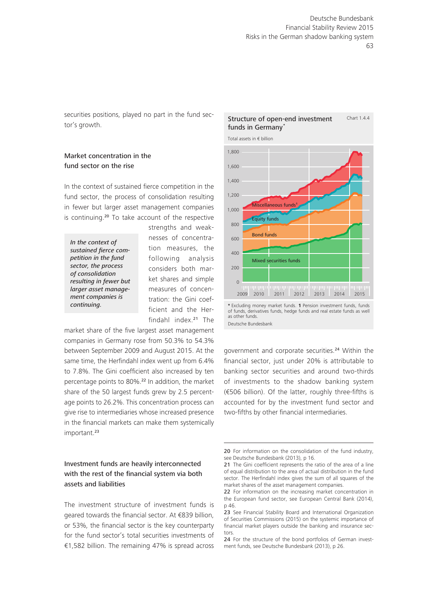securities positions, played no part in the fund sector's growth.

## Market concentration in the fund sector on the rise

In the context of sustained fierce competition in the fund sector, the process of consolidation resulting in fewer but larger asset management companies is continuing.<sup>20</sup> To take account of the respective

*In the context of sustained fierce competition in the fund sector, the process of consolidation resulting in fewer but larger asset management companies is continuing.*

strengths and weaknesses of concentration measures, the following analysis considers both market shares and simple measures of concentration: the Gini coefficient and the Herfindahl index.<sup>21</sup> The

market share of the five largest asset management companies in Germany rose from 50.3% to 54.3% between September 2009 and August 2015. At the same time, the Herfindahl index went up from 6.4% to 7.8%. The Gini coefficient also increased by ten percentage points to 80%.<sup>22</sup> In addition, the market share of the 50 largest funds grew by 2.5 percentage points to 26.2%. This concentration process can give rise to intermediaries whose increased presence in the financial markets can make them systemically important.<sup>23</sup>

## Investment funds are heavily interconnected with the rest of the financial system via both assets and liabilities

The investment structure of investment funds is geared towards the financial sector. At €839 billion, or 53%, the financial sector is the key counterparty for the fund sector's total securities investments of €1,582 billion. The remaining 47% is spread across

#### Structure of open-end investment funds in Germany **\*** Chart 1.4.4



**\*** Excluding money market funds. **1** Pension investment funds, funds of funds, derivatives funds, hedge funds and real estate funds as well as other funds.

Deutsche Bundesbank

government and corporate securities.<sup>24</sup> Within the financial sector, just under 20% is attributable to banking sector securities and around two-thirds of investments to the shadow banking system (€506 billion). Of the latter, roughly three-fifths is accounted for by the investment fund sector and two-fifths by other financial intermediaries.

<sup>20</sup> For information on the consolidation of the fund industry, see Deutsche Bundesbank (2013), p 16.

<sup>21</sup> The Gini coefficient represents the ratio of the area of a line of equal distribution to the area of actual distribution in the fund sector. The Herfindahl index gives the sum of all squares of the market shares of the asset management companies.

<sup>22</sup> For information on the increasing market concentration in the European fund sector, see European Central Bank (2014), p 46.

<sup>23</sup> See Financial Stability Board and International Organization of Securities Commissions (2015) on the systemic importance of financial market players outside the banking and insurance sectors.

<sup>24</sup> For the structure of the bond portfolios of German investment funds, see Deutsche Bundesbank (2013), p 26.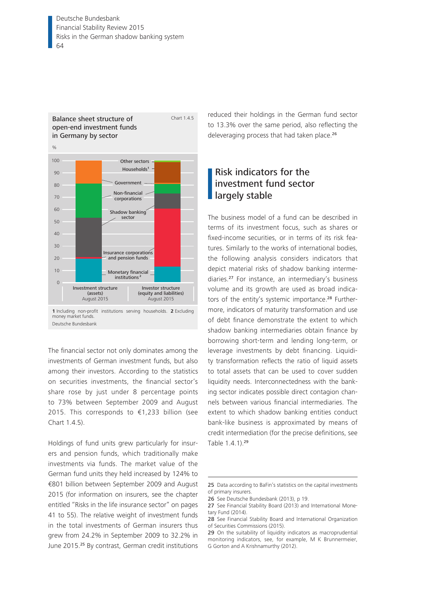

Deutsche Bundesbank

The financial sector not only dominates among the investments of German investment funds, but also among their investors. According to the statistics on securities investments, the financial sector's share rose by just under 8 percentage points to 73% between September 2009 and August 2015. This corresponds to €1,233 billion (see Chart 1.4.5).

Holdings of fund units grew particularly for insurers and pension funds, which traditionally make investments via funds. The market value of the German fund units they held increased by 124% to €801 billion between September 2009 and August 2015 (for information on insurers, see the chapter entitled "Risks in the life insurance sector" on pages 41 to 55). The relative weight of investment funds in the total investments of German insurers thus grew from 24.2% in September 2009 to 32.2% in June 2015.<sup>25</sup> By contrast, German credit institutions

reduced their holdings in the German fund sector to 13.3% over the same period, also reflecting the deleveraging process that had taken place.<sup>26</sup>

# Risk indicators for the investment fund sector largely stable

The business model of a fund can be described in terms of its investment focus, such as shares or fixed-income securities, or in terms of its risk features. Similarly to the works of international bodies, the following analysis considers indicators that depict material risks of shadow banking intermediaries.<sup>27</sup> For instance, an intermediary's business volume and its growth are used as broad indicators of the entity's systemic importance.<sup>28</sup> Furthermore, indicators of maturity transformation and use of debt finance demonstrate the extent to which shadow banking intermediaries obtain finance by borrowing short-term and lending long-term, or leverage investments by debt financing. Liquidity transformation reflects the ratio of liquid assets to total assets that can be used to cover sudden liquidity needs. Interconnectedness with the banking sector indicates possible direct contagion channels between various financial intermediaries. The extent to which shadow banking entities conduct bank-like business is approximated by means of credit intermediation (for the precise definitions, see Table 1.4.1).<sup>29</sup>

<sup>25</sup> Data according to BaFin's statistics on the capital investments of primary insurers.

<sup>26</sup> See Deutsche Bundesbank (2013), p 19.

<sup>27</sup> See Financial Stability Board (2013) and International Monetary Fund (2014).

<sup>28</sup> See Financial Stability Board and International Organization of Securities Commissions (2015).

<sup>29</sup> On the suitability of liquidity indicators as macroprudential monitoring indicators, see, for example, M K Brunnermeier, G Gorton and A Krishnamurthy (2012).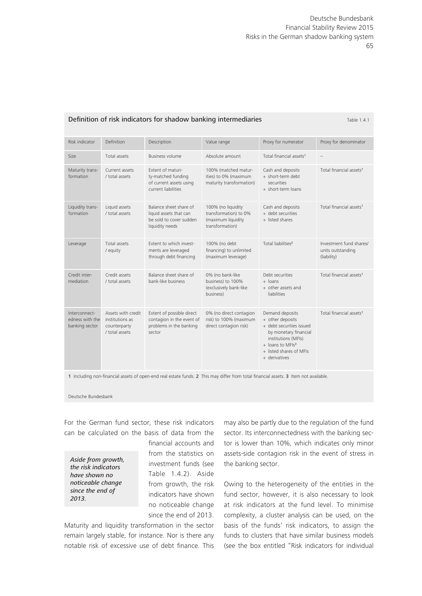| Risk indicator                                     | Definition                                                              | Description                                                                                    | Value range                                                                          | Proxy for numerator                                                                                                                                                                           | Proxy for denominator                                       |
|----------------------------------------------------|-------------------------------------------------------------------------|------------------------------------------------------------------------------------------------|--------------------------------------------------------------------------------------|-----------------------------------------------------------------------------------------------------------------------------------------------------------------------------------------------|-------------------------------------------------------------|
| <b>Size</b>                                        | Total assets                                                            | <b>Business volume</b>                                                                         | Absolute amount                                                                      | Total financial assets <sup>1</sup>                                                                                                                                                           |                                                             |
| Maturity trans-<br>formation                       | Current assets<br>/ total assets                                        | Extent of maturi-<br>ty-matched funding<br>of current assets using<br>current liabilities      | 100% (matched matur-<br>ities) to 0% (maximum<br>maturity transformation)            | Cash and deposits<br>$+$ short-term debt<br>securities<br>+ short-term loans                                                                                                                  | Total financial assets <sup>1</sup>                         |
| Liquidity trans-<br>formation                      | Liquid assets<br>/ total assets                                         | Balance sheet share of<br>liquid assets that can<br>he sold to cover sudden<br>liquidity needs | 100% (no liquidity<br>transformation) to 0%<br>(maximum liquidity<br>transformation) | Cash and deposits<br>$+$ debt securities<br>+ listed shares                                                                                                                                   | Total financial assets <sup>1</sup>                         |
| Leverage                                           | Total assets<br>/ equity                                                | Extent to which invest-<br>ments are leveraged<br>through debt financing                       | 100% (no debt<br>financing) to unlimited<br>(maximum leverage)                       | Total liabilities <sup>2</sup>                                                                                                                                                                | Investment fund shares/<br>units outstanding<br>(liability) |
| Credit inter-<br>mediation                         | Credit assets<br>/ total assets                                         | Balance sheet share of<br>bank-like business                                                   | 0% (no bank-like<br>business) to 100%<br>(exclusively bank-like<br>business)         | Debt securities<br>$+$ loans<br>$+$ other assets and<br>liabilities                                                                                                                           | Total financial assets <sup>1</sup>                         |
| Interconnect-<br>edness with the<br>banking sector | Assets with credit<br>institutions as<br>counterparty<br>/ total assets | Extent of possible direct<br>contagion in the event of<br>problems in the banking<br>sector    | 0% (no direct contagion<br>risk) to 100% (maximum<br>direct contagion risk)          | Demand deposits<br>+ other deposits<br>+ debt securities issued<br>by monetary financial<br>institutions (MFIs)<br>$+$ loans to MFIs <sup>3</sup><br>+ listed shares of MFIs<br>+ derivatives | Total financial assets <sup>1</sup>                         |

### Definition of risk indicators for shadow banking intermediaries Table 1.4.1

1 Including non-financial assets of open-end real estate funds. 2 This may differ from total financial assets. 3 Item not available.

Deutsche Bundesbank

For the German fund sector, these risk indicators can be calculated on the basis of data from the

*Aside from growth, the risk indicators have shown no noticeable change since the end of 2013.*

financial accounts and from the statistics on investment funds (see Table 1.4.2). Aside from growth, the risk indicators have shown no noticeable change since the end of 2013.

Maturity and liquidity transformation in the sector remain largely stable, for instance. Nor is there any notable risk of excessive use of debt finance. This may also be partly due to the regulation of the fund sector. Its interconnectedness with the banking sector is lower than 10%, which indicates only minor assets-side contagion risk in the event of stress in the banking sector.

Owing to the heterogeneity of the entities in the fund sector, however, it is also necessary to look at risk indicators at the fund level. To minimise complexity, a cluster analysis can be used, on the basis of the funds' risk indicators, to assign the funds to clusters that have similar business models (see the box entitled "Risk indicators for individual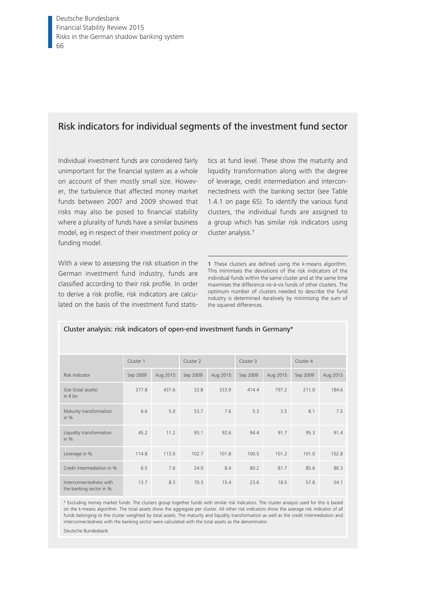# Risk indicators for individual segments of the investment fund sector

Individual investment funds are considered fairly unimportant for the financial system as a whole on account of their mostly small size. However, the turbulence that affected money market funds between 2007 and 2009 showed that risks may also be posed to financial stability where a plurality of funds have a similar business model, eg in respect of their investment policy or funding model.

With a view to assessing the risk situation in the German investment fund industry, funds are classified according to their risk profile. In order to derive a risk profile, risk indicators are calculated on the basis of the investment fund statistics at fund level. These show the maturity and liquidity transformation along with the degree of leverage, credit intermediation and interconnectedness with the banking sector (see Table 1.4.1 on page 65). To identify the various fund clusters, the individual funds are assigned to a group which has similar risk indicators using cluster analysis.<sup>1</sup>

1 These clusters are defined using the k-means algorithm. This minimises the deviations of the risk indicators of the individual funds within the same cluster and at the same time maximises the difference vis-à-vis funds of other clusters. The optimum number of clusters needed to describe the fund industry is determined iteratively by minimising the sum of the squared differences.

|                                                    | Cluster 1 |          | Cluster 2 |          | Cluster 3 |          | Cluster 4 |          |
|----------------------------------------------------|-----------|----------|-----------|----------|-----------|----------|-----------|----------|
| Risk indicator                                     | Sep 2009  | Aug 2015 | Sep 2009  | Aug 2015 | Sep 2009  | Aug 2015 | Sep 2009  | Aug 2015 |
| Size (total assets)<br>in $\notin$ bn              | 377.8     | 437.6    | 32.8      | 333.9    | 414.4     | 797.2    | 211.0     | 184.6    |
| Maturity transformation<br>in $%$                  | 6.6       | 5.0      | 53.7      | 7.6      | 5.3       | 3.5      | 8.1       | 7.5      |
| Liquidity transformation<br>in $%$                 | 45.2      | 11.2     | 93.1      | 92.6     | 94.4      | 91.7     | 95.3      | 91.4     |
| Leverage in %                                      | 114.8     | 113.0    | 102.7     | 101.8    | 100.5     | 101.2    | 101.0     | 102.8    |
| Credit intermediation in %                         | 6.5       | 7.6      | 24.0      | 8.4      | 80.2      | 81.7     | 85.6      | 80.3     |
| Interconnectedness with<br>the banking sector in % | 13.7      | 8.3      | 70.3      | 15.4     | 23.6      | 18.5     | 57.8      | 54.1     |

## Cluster analysis: risk indicators of open-end investment funds in Germany\*

\* Excluding money market funds. The clusters group together funds with similar risk indicators. The cluster analysis used for this is based on the k-means algorithm. The total assets show the aggregate per cluster. All other risk indicators show the average risk indicator of all funds belonging to the cluster weighted by total assets. The maturity and liquidity transformation as well as the credit intermediation and interconnectedness with the banking sector were calculated with the total assets as the denominator.

Deutsche Bundesbank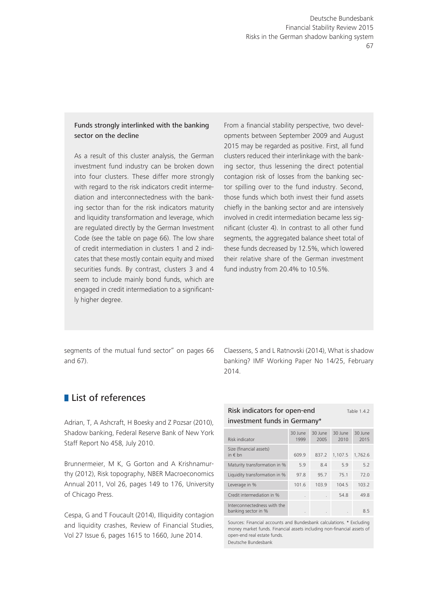## Funds strongly interlinked with the banking sector on the decline

As a result of this cluster analysis, the German investment fund industry can be broken down into four clusters. These differ more strongly with regard to the risk indicators credit intermediation and interconnectedness with the banking sector than for the risk indicators maturity and liquidity transformation and leverage, which are regulated directly by the German Investment Code (see the table on page 66). The low share of credit intermediation in clusters 1 and 2 indicates that these mostly contain equity and mixed securities funds. By contrast, clusters 3 and 4 seem to include mainly bond funds, which are engaged in credit intermediation to a significantly higher degree.

From a financial stability perspective, two developments between September 2009 and August 2015 may be regarded as positive. First, all fund clusters reduced their interlinkage with the banking sector, thus lessening the direct potential contagion risk of losses from the banking sector spilling over to the fund industry. Second, those funds which both invest their fund assets chiefly in the banking sector and are intensively involved in credit intermediation became less significant (cluster 4). In contrast to all other fund segments, the aggregated balance sheet total of these funds decreased by 12.5%, which lowered their relative share of the German investment fund industry from 20.4% to 10.5%.

segments of the mutual fund sector" on pages 66 and 67).

Claessens, S and L Ratnovski (2014), What is shadow banking? IMF Working Paper No 14/25, February 2014.

# **List of references**

Adrian, T, A Ashcraft, H Boesky and Z Pozsar (2010), Shadow banking, Federal Reserve Bank of New York Staff Report No 458, July 2010.

Brunnermeier, M K, G Gorton and A Krishnamurthy (2012), Risk topography, NBER Macroeconomics Annual 2011, Vol 26, pages 149 to 176, University of Chicago Press.

Cespa, G and T Foucault (2014), Illiquidity contagion and liquidity crashes, Review of Financial Studies, Vol 27 Issue 6, pages 1615 to 1660, June 2014.

## **Risk indicators for open-end** Table 1.4.2 investment funds in Germany\*

| TADIE 1.4.2 |  |
|-------------|--|
|             |  |

| Risk indicator                                     | 30 lune<br>1999 | 30 lune<br>2005      | 30 June<br>2010 | 30 June<br>2015 |
|----------------------------------------------------|-----------------|----------------------|-----------------|-----------------|
| Size (financial assets)<br>in $\notin$ bn          | 609.9           | 837.2                | 1.107.5         | 1.762.6         |
| Maturity transformation in %                       | 5.9             | 84                   | 5.9             | 5.2             |
| Liquidity transformation in %                      | 97.8            | 95.7                 | 751             | 720             |
| Leverage in %                                      | 101.6           | 103.9                | 104.5           | 103.2           |
| Credit intermediation in %                         | ×.              | ÷.                   | 54.8            | 49.8            |
| Interconnectedness with the<br>banking sector in % | ٠               | $\ddot{\phantom{0}}$ | $\cdot$         | 85              |

Sources: Financial accounts and Bundesbank calculations. \* Excluding money market funds. Financial assets including non-financial assets of open-end real estate funds. Deutsche Bundesbank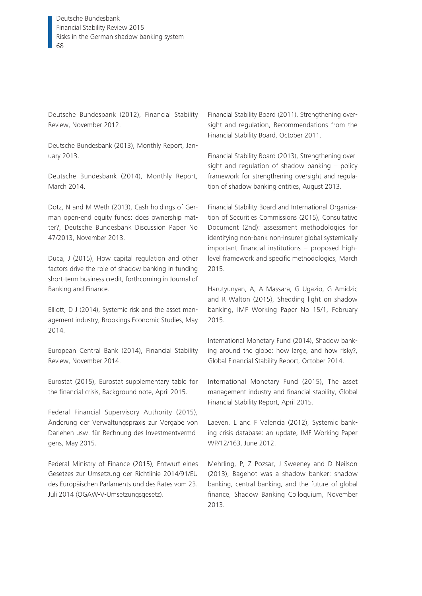Deutsche Bundesbank (2012), Financial Stability Review, November 2012.

Deutsche Bundesbank (2013), Monthly Report, January 2013.

Deutsche Bundesbank (2014), Monthly Report, March 2014.

Dötz, N and M Weth (2013), Cash holdings of German open-end equity funds: does ownership matter?, Deutsche Bundesbank Discussion Paper No 47/2013, November 2013.

Duca, J (2015), How capital regulation and other factors drive the role of shadow banking in funding short-term business credit, forthcoming in Journal of Banking and Finance.

Elliott, D J (2014), Systemic risk and the asset management industry, Brookings Economic Studies, May 2014.

European Central Bank (2014), Financial Stability Review, November 2014.

Eurostat (2015), Eurostat supplementary table for the financial crisis, Background note, April 2015.

Federal Financial Supervisory Authority (2015), Änderung der Verwaltungspraxis zur Vergabe von Darlehen usw. für Rechnung des Investmentvermögens, May 2015.

Federal Ministry of Finance (2015), Entwurf eines Gesetzes zur Umsetzung der Richtlinie 2014/91/EU des Europäischen Parlaments und des Rates vom 23. Juli 2014 (OGAW-V-Umsetzungsgesetz).

Financial Stability Board (2011), Strengthening oversight and regulation, Recommendations from the Financial Stability Board, October 2011.

Financial Stability Board (2013), Strengthening oversight and regulation of shadow banking – policy framework for strengthening oversight and regulation of shadow banking entities, August 2013.

Financial Stability Board and International Organization of Securities Commissions (2015), Consultative Document (2nd): assessment methodologies for identifying non-bank non-insurer global systemically important financial institutions – proposed highlevel framework and specific methodologies, March 2015.

Harutyunyan, A, A Massara, G Ugazio, G Amidzic and R Walton (2015), Shedding light on shadow banking, IMF Working Paper No 15/1, February 2015.

International Monetary Fund (2014), Shadow banking around the globe: how large, and how risky?, Global Financial Stability Report, October 2014.

International Monetary Fund (2015), The asset management industry and financial stability, Global Financial Stability Report, April 2015.

Laeven, L and F Valencia (2012), Systemic banking crisis database: an update, IMF Working Paper WP/12/163, June 2012.

Mehrling, P, Z Pozsar, J Sweeney and D Neilson (2013), Bagehot was a shadow banker: shadow banking, central banking, and the future of global finance, Shadow Banking Colloquium, November 2013.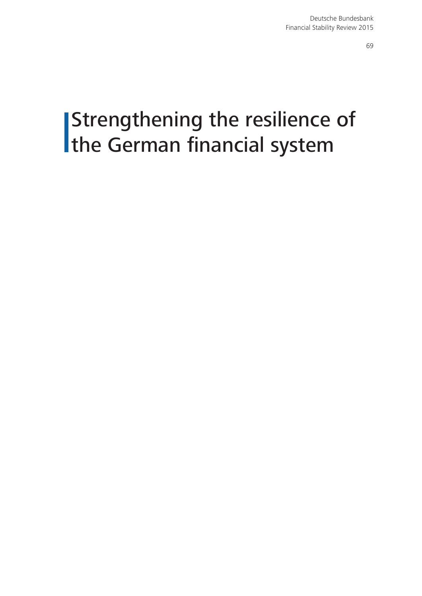# **Strengthening the resilience of** the German financial system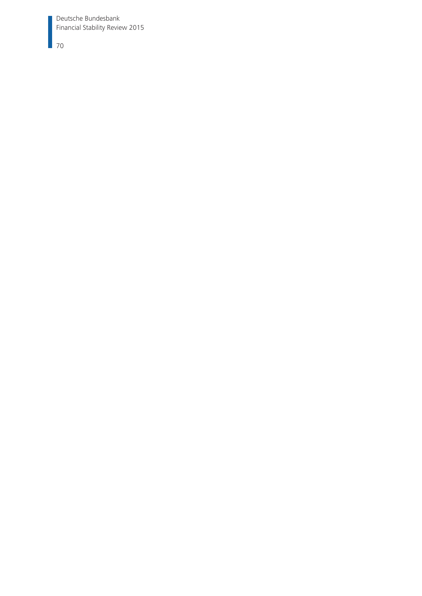Deutsche Bundesbank Financial Stability Review 2015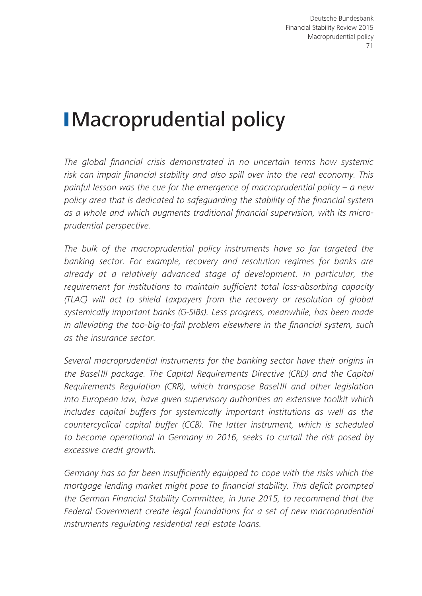# **I** Macroprudential policy

*The global financial crisis demonstrated in no uncertain terms how systemic risk can impair financial stability and also spill over into the real economy. This painful lesson was the cue for the emergence of macroprudential policy – a new policy area that is dedicated to safeguarding the stability of the financial system as a whole and which augments traditional financial supervision, with its microprudential perspective.*

*The bulk of the macroprudential policy instruments have so far targeted the banking sector. For example, recovery and resolution regimes for banks are already at a relatively advanced stage of development. In particular, the requirement for institutions to maintain sufficient total loss-absorbing capacity (TLAC) will act to shield taxpayers from the recovery or resolution of global systemically important banks (G-SIBs). Less progress, meanwhile, has been made in alleviating the too-big-to-fail problem elsewhere in the financial system, such as the insurance sector.*

*Several macroprudential instruments for the banking sector have their origins in the Basel III package. The Capital Requirements Directive (CRD) and the Capital Requirements Regulation (CRR), which transpose Basel III and other legislation into European law, have given supervisory authorities an extensive toolkit which*  includes capital buffers for systemically important institutions as well as the *countercyclical capital buffer (CCB). The latter instrument, which is scheduled to become operational in Germany in 2016, seeks to curtail the risk posed by excessive credit growth.*

*Germany has so far been insufficiently equipped to cope with the risks which the mortgage lending market might pose to financial stability. This deficit prompted the German Financial Stability Committee, in June 2015, to recommend that the Federal Government create legal foundations for a set of new macroprudential instruments regulating residential real estate loans.*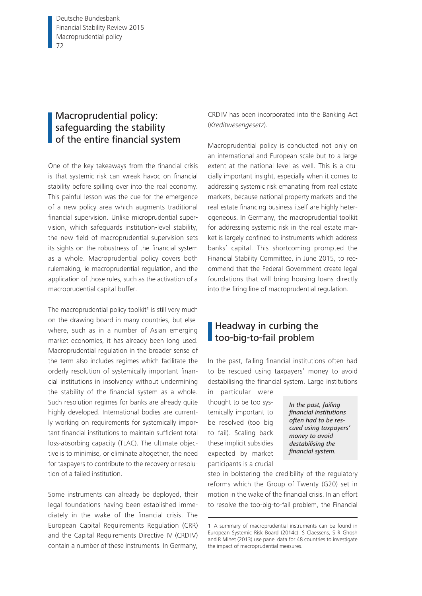Deutsche Bundesbank Financial Stability Review 2015 Macroprudential policy 72

# Macroprudential policy: safeguarding the stability of the entire financial system

One of the key takeaways from the financial crisis is that systemic risk can wreak havoc on financial stability before spilling over into the real economy. This painful lesson was the cue for the emergence of a new policy area which augments traditional financial supervision. Unlike microprudential supervision, which safeguards institution-level stability, the new field of macroprudential supervision sets its sights on the robustness of the financial system as a whole. Macroprudential policy covers both rulemaking, ie macroprudential regulation, and the application of those rules, such as the activation of a macroprudential capital buffer.

The macroprudential policy toolkit<sup>1</sup> is still very much on the drawing board in many countries, but elsewhere, such as in a number of Asian emerging market economies, it has already been long used. Macroprudential regulation in the broader sense of the term also includes regimes which facilitate the orderly resolution of systemically important financial institutions in insolvency without undermining the stability of the financial system as a whole. Such resolution regimes for banks are already quite highly developed. International bodies are currently working on requirements for systemically important financial institutions to maintain sufficient total loss-absorbing capacity (TLAC). The ultimate objective is to minimise, or eliminate altogether, the need for taxpayers to contribute to the recovery or resolution of a failed institution.

Some instruments can already be deployed, their legal foundations having been established immediately in the wake of the financial crisis. The European Capital Requirements Regulation (CRR) and the Capital Requirements Directive IV (CRDIV) contain a number of these instruments. In Germany,

CRDIV has been incorporated into the Banking Act (*Kreditwesengesetz*).

Macroprudential policy is conducted not only on an international and European scale but to a large extent at the national level as well. This is a crucially important insight, especially when it comes to addressing systemic risk emanating from real estate markets, because national property markets and the real estate financing business itself are highly heterogeneous. In Germany, the macroprudential toolkit for addressing systemic risk in the real estate market is largely confined to instruments which address banks' capital. This shortcoming prompted the Financial Stability Committee, in June 2015, to recommend that the Federal Government create legal foundations that will bring housing loans directly into the firing line of macroprudential regulation.

# Headway in curbing the too-big-to-fail problem

In the past, failing financial institutions often had to be rescued using taxpayers' money to avoid destabilising the financial system. Large institutions

in particular were thought to be too systemically important to be resolved (too big to fail). Scaling back these implicit subsidies expected by market participants is a crucial

*In the past, failing financial institutions often had to be rescued using taxpayers' money to avoid destabilising the financial system.*

step in bolstering the credibility of the regulatory reforms which the Group of Twenty (G20) set in motion in the wake of the financial crisis. In an effort to resolve the too-big-to-fail problem, the Financial

<sup>1</sup> A summary of macroprudential instruments can be found in European Systemic Risk Board (2014c). S Claessens, S R Ghosh and R Mihet (2013) use panel data for 48 countries to investigate the impact of macroprudential measures.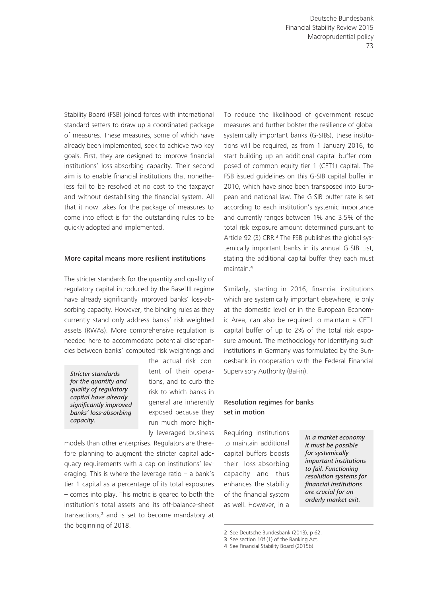Stability Board (FSB) joined forces with international standard-setters to draw up a coordinated package of measures. These measures, some of which have already been implemented, seek to achieve two key goals. First, they are designed to improve financial institutions' loss-absorbing capacity. Their second aim is to enable financial institutions that nonetheless fail to be resolved at no cost to the taxpayer and without destabilising the financial system. All that it now takes for the package of measures to come into effect is for the outstanding rules to be quickly adopted and implemented.

#### More capital means more resilient institutions

The stricter standards for the quantity and quality of regulatory capital introduced by the Basel III regime have already significantly improved banks' loss-absorbing capacity. However, the binding rules as they currently stand only address banks' risk-weighted assets (RWAs). More comprehensive regulation is needed here to accommodate potential discrepancies between banks' computed risk weightings and

*Stricter standards for the quantity and quality of regulatory capital have already significantly improved banks' loss-absorbing capacity.*

the actual risk content of their operations, and to curb the risk to which banks in general are inherently exposed because they run much more highly leveraged business

models than other enterprises. Regulators are therefore planning to augment the stricter capital adequacy requirements with a cap on institutions' leveraging. This is where the leverage ratio  $-$  a bank's tier 1 capital as a percentage of its total exposures – comes into play. This metric is geared to both the institution's total assets and its off-balance-sheet transactions,<sup>2</sup> and is set to become mandatory at the beginning of 2018.

To reduce the likelihood of government rescue measures and further bolster the resilience of global systemically important banks (G-SIBs), these institutions will be required, as from 1 January 2016, to start building up an additional capital buffer composed of common equity tier 1 (CET1) capital. The FSB issued guidelines on this G-SIB capital buffer in 2010, which have since been transposed into European and national law. The G-SIB buffer rate is set according to each institution's systemic importance and currently ranges between 1% and 3.5% of the total risk exposure amount determined pursuant to Article 92 (3) CRR.<sup>3</sup> The FSB publishes the global systemically important banks in its annual G-SIB List, stating the additional capital buffer they each must maintain.<sup>4</sup>

Similarly, starting in 2016, financial institutions which are systemically important elsewhere, ie only at the domestic level or in the European Economic Area, can also be required to maintain a CET1 capital buffer of up to 2% of the total risk exposure amount. The methodology for identifying such institutions in Germany was formulated by the Bundesbank in cooperation with the Federal Financial Supervisory Authority (BaFin).

#### Resolution regimes for banks set in motion

Requiring institutions to maintain additional capital buffers boosts their loss-absorbing capacity and thus enhances the stability of the financial system as well. However, in a

*In a market economy it must be possible for systemically important institutions to fail. Functioning resolution systems for financial institutions are crucial for an orderly market exit.*

<sup>2</sup> See Deutsche Bundesbank (2013), p 62.

<sup>3</sup> See section 10f (1) of the Banking Act.

<sup>4</sup> See Financial Stability Board (2015b).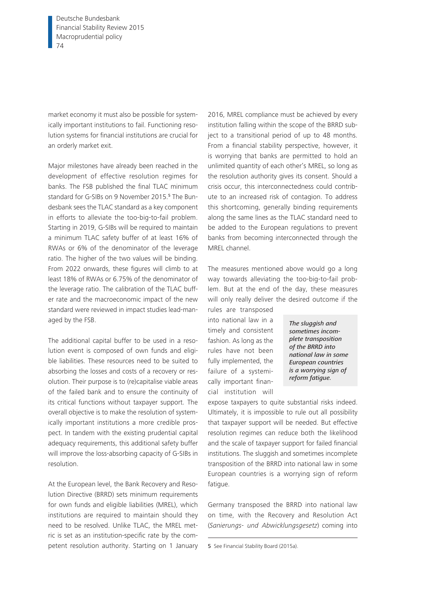market economy it must also be possible for systemically important institutions to fail. Functioning resolution systems for financial institutions are crucial for an orderly market exit.

Major milestones have already been reached in the development of effective resolution regimes for banks. The FSB published the final TLAC minimum standard for G-SIBs on 9 November 2015.<sup>5</sup> The Bundesbank sees the TLAC standard as a key component in efforts to alleviate the too-big-to-fail problem. Starting in 2019, G-SIBs will be required to maintain a minimum TLAC safety buffer of at least 16% of RWAs or 6% of the denominator of the leverage ratio. The higher of the two values will be binding. From 2022 onwards, these figures will climb to at least 18% of RWAs or 6.75% of the denominator of the leverage ratio. The calibration of the TLAC buffer rate and the macroeconomic impact of the new standard were reviewed in impact studies lead-managed by the FSB.

The additional capital buffer to be used in a resolution event is composed of own funds and eligible liabilities. These resources need to be suited to absorbing the losses and costs of a recovery or resolution. Their purpose is to (re)capitalise viable areas of the failed bank and to ensure the continuity of its critical functions without taxpayer support. The overall objective is to make the resolution of systemically important institutions a more credible prospect. In tandem with the existing prudential capital adequacy requirements, this additional safety buffer will improve the loss-absorbing capacity of G-SIBs in resolution.

At the European level, the Bank Recovery and Resolution Directive (BRRD) sets minimum requirements for own funds and eligible liabilities (MREL), which institutions are required to maintain should they need to be resolved. Unlike TLAC, the MREL metric is set as an institution-specific rate by the competent resolution authority. Starting on 1 January

2016, MREL compliance must be achieved by every institution falling within the scope of the BRRD subject to a transitional period of up to 48 months. From a financial stability perspective, however, it is worrying that banks are permitted to hold an unlimited quantity of each other's MREL, so long as the resolution authority gives its consent. Should a crisis occur, this interconnectedness could contribute to an increased risk of contagion. To address this shortcoming, generally binding requirements along the same lines as the TLAC standard need to be added to the European regulations to prevent banks from becoming interconnected through the MREL channel.

The measures mentioned above would go a long way towards alleviating the too-big-to-fail problem. But at the end of the day, these measures will only really deliver the desired outcome if the

rules are transposed into national law in a timely and consistent fashion. As long as the rules have not been fully implemented, the failure of a systemically important financial institution will

*The sluggish and sometimes incomplete transposition of the BRRD into national law in some European countries is a worrying sign of reform fatigue.*

expose taxpayers to quite substantial risks indeed. Ultimately, it is impossible to rule out all possibility that taxpayer support will be needed. But effective resolution regimes can reduce both the likelihood and the scale of taxpayer support for failed financial institutions. The sluggish and sometimes incomplete transposition of the BRRD into national law in some European countries is a worrying sign of reform fatigue.

Germany transposed the BRRD into national law on time, with the Recovery and Resolution Act (*Sanierungs- und Abwicklungsgesetz*) coming into

<sup>5</sup> See Financial Stability Board (2015a).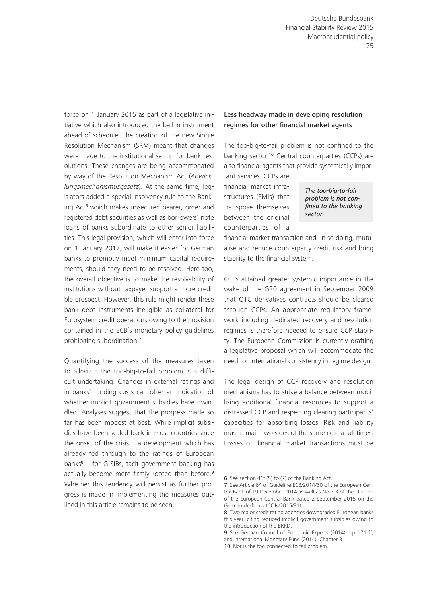force on 1 January 2015 as part of a legislative initiative which also introduced the bail-in instrument ahead of schedule. The creation of the new Single Resolution Mechanism (SRM) meant that changes were made to the institutional set-up for bank resolutions. These changes are being accommodated by way of the Resolution Mechanism Act (*Abwicklungsmechanismusgesetz*). At the same time, legislators added a special insolvency rule to the Banking Act<sup>6</sup> which makes unsecured bearer, order and registered debt securities as well as borrowers' note loans of banks subordinate to other senior liabilities. This legal provision, which will enter into force on 1 January 2017, will make it easier for German banks to promptly meet minimum capital requirements, should they need to be resolved. Here too, the overall objective is to make the resolvability of institutions without taxpayer support a more credible prospect. However, this rule might render these bank debt instruments ineligible as collateral for Eurosystem credit operations owing to the provision contained in the ECB's monetary policy guidelines prohibiting subordination.<sup>7</sup>

Quantifying the success of the measures taken to alleviate the too-big-to-fail problem is a difficult undertaking. Changes in external ratings and in banks' funding costs can offer an indication of whether implicit government subsidies have dwindled. Analyses suggest that the progress made so far has been modest at best. While implicit subsidies have been scaled back in most countries since the onset of the crisis  $-$  a development which has already fed through to the ratings of European  $banks<sup>8</sup> - for G-SIBs, tacit government backing has$ actually become more firmly rooted than before.<sup>9</sup> Whether this tendency will persist as further progress is made in implementing the measures outlined in this article remains to be seen.

#### Less headway made in developing resolution regimes for other financial market agents

The too-big-to-fail problem is not confined to the banking sector.<sup>10</sup> Central counterparties (CCPs) are also financial agents that provide systemically impor-

tant services. CCPs are financial market infrastructures (FMIs) that transpose themselves between the original counterparties of a

*The too-big-to-fail problem is not confined to the banking sector.*

financial market transaction and, in so doing, mutualise and reduce counterparty credit risk and bring stability to the financial system.

CCPs attained greater systemic importance in the wake of the G20 agreement in September 2009 that OTC derivatives contracts should be cleared through CCPs. An appropriate regulatory framework including dedicated recovery and resolution regimes is therefore needed to ensure CCP stability. The European Commission is currently drafting a legislative proposal which will accommodate the need for international consistency in regime design.

The legal design of CCP recovery and resolution mechanisms has to strike a balance between mobilising additional financial resources to support a distressed CCP and respecting clearing participants' capacities for absorbing losses. Risk and liability must remain two sides of the same coin at all times. Losses on financial market transactions must be

<sup>6</sup> See section 46f (5) to (7) of the Banking Act.

<sup>7</sup> See Article 64 of Guideline ECB/2014/60 of the European Central Bank of 19 December 2014 as well as No 3.3 of the Opinion of the European Central Bank dated 2 September 2015 on the German draft law (CON/2015/31).

<sup>8</sup> Two major credit rating agencies downgraded European banks this year, citing reduced implicit government subsidies owing to the introduction of the BRRD.

<sup>9</sup> See German Council of Economic Experts (2014), pp 171 ff: and International Monetary Fund (2014), Chapter 3.

<sup>10</sup> Nor is the too-connected-to-fail problem.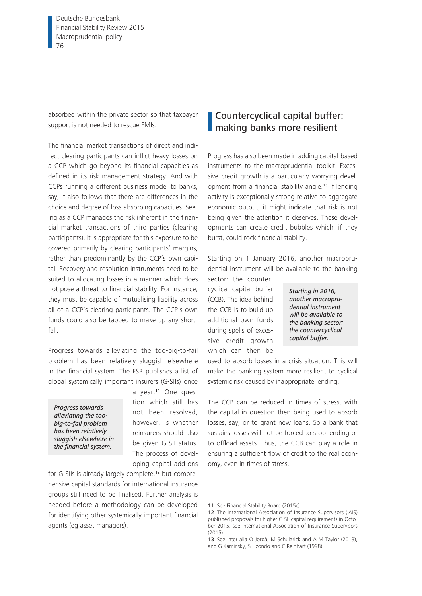absorbed within the private sector so that taxpayer support is not needed to rescue FMIs.

The financial market transactions of direct and indirect clearing participants can inflict heavy losses on a CCP which go beyond its financial capacities as defined in its risk management strategy. And with CCPs running a different business model to banks, say, it also follows that there are differences in the choice and degree of loss-absorbing capacities. Seeing as a CCP manages the risk inherent in the financial market transactions of third parties (clearing participants), it is appropriate for this exposure to be covered primarily by clearing participants' margins, rather than predominantly by the CCP's own capital. Recovery and resolution instruments need to be suited to allocating losses in a manner which does not pose a threat to financial stability. For instance, they must be capable of mutualising liability across all of a CCP's clearing participants. The CCP's own funds could also be tapped to make up any shortfall.

Progress towards alleviating the too-big-to-fail problem has been relatively sluggish elsewhere in the financial system. The FSB publishes a list of global systemically important insurers (G-SIIs) once



a year.11 One question which still has not been resolved, however, is whether reinsurers should also be given G-SII status. The process of developing capital add-ons

for G-SIIs is already largely complete,<sup>12</sup> but comprehensive capital standards for international insurance groups still need to be finalised. Further analysis is needed before a methodology can be developed for identifying other systemically important financial agents (eg asset managers).

# Countercyclical capital buffer: making banks more resilient

Progress has also been made in adding capital-based instruments to the macroprudential toolkit. Excessive credit growth is a particularly worrying development from a financial stability angle.<sup>13</sup> If lending activity is exceptionally strong relative to aggregate economic output, it might indicate that risk is not being given the attention it deserves. These developments can create credit bubbles which, if they burst, could rock financial stability.

Starting on 1 January 2016, another macroprudential instrument will be available to the banking

sector: the countercyclical capital buffer (CCB). The idea behind the CCB is to build up additional own funds during spells of excessive credit growth which can then be

*Starting in 2016, another macroprudential instrument will be available to the banking sector: the countercyclical capital buffer.*

used to absorb losses in a crisis situation. This will make the banking system more resilient to cyclical systemic risk caused by inappropriate lending.

The CCB can be reduced in times of stress, with the capital in question then being used to absorb losses, say, or to grant new loans. So a bank that sustains losses will not be forced to stop lending or to offload assets. Thus, the CCB can play a role in ensuring a sufficient flow of credit to the real economy, even in times of stress.

<sup>11</sup> See Financial Stability Board (2015c).

<sup>12</sup> The International Association of Insurance Supervisors (IAIS) published proposals for higher G-SII capital requirements in October 2015; see International Association of Insurance Supervisors (2015).

<sup>13</sup> See inter alia Ò Jordà, M Schularick and A M Taylor (2013), and G Kaminsky, S Lizondo and C Reinhart (1998).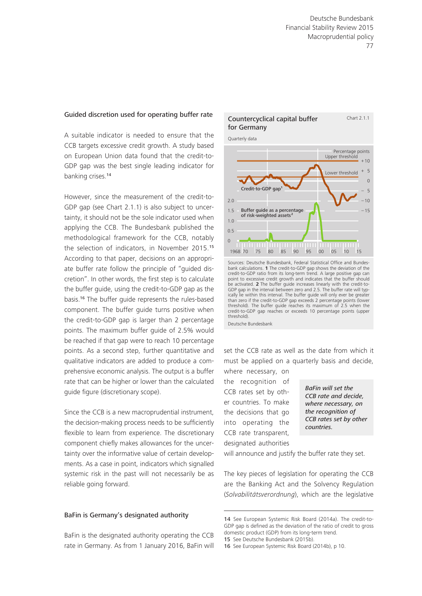Chart 2.1.1

#### Guided discretion used for operating buffer rate

A suitable indicator is needed to ensure that the CCB targets excessive credit growth. A study based on European Union data found that the credit-to-GDP gap was the best single leading indicator for banking crises.<sup>14</sup>

However, since the measurement of the credit-to-GDP gap (see Chart 2.1.1) is also subject to uncertainty, it should not be the sole indicator used when applying the CCB. The Bundesbank published the methodological framework for the CCB, notably the selection of indicators, in November 2015.<sup>15</sup> According to that paper, decisions on an appropriate buffer rate follow the principle of "guided discretion". In other words, the first step is to calculate the buffer guide, using the credit-to-GDP gap as the basis.<sup>16</sup> The buffer guide represents the rules-based component. The buffer guide turns positive when the credit-to-GDP gap is larger than 2 percentage points. The maximum buffer guide of 2.5% would be reached if that gap were to reach 10 percentage points. As a second step, further quantitative and qualitative indicators are added to produce a comprehensive economic analysis. The output is a buffer rate that can be higher or lower than the calculated guide figure (discretionary scope).

Since the CCB is a new macroprudential instrument, the decision-making process needs to be sufficiently flexible to learn from experience. The discretionary component chiefly makes allowances for the uncertainty over the informative value of certain developments. As a case in point, indicators which signalled systemic risk in the past will not necessarily be as reliable going forward.

#### BaFin is Germany's designated authority

BaFin is the designated authority operating the CCB rate in Germany. As from 1 January 2016, BaFin will

#### Countercyclical capital buffer for Germany

Quarterly data



Sources: Deutsche Bundesbank, Federal Statistical Office and Bundesbank calculations. **1** The credit-to-GDP gap shows the deviation of the credit-to-GDP ratio from its long-term trend. A large positive gap can point to excessive credit growth and indicates that the buffer should be activated. **2** The buffer guide increases linearly with the credit-to-GDP gap in the interval between zero and 2.5. The buffer rate will typically lie within this interval. The buffer guide will only ever be greater than zero if the credit-to-GDP gap exceeds 2 percentage points (lower threshold). The buffer guide reaches its maximum of 2.5 when the credit-to-GDP gap reaches or exceeds 10 percentage points (upper threshold).

Deutsche Bundesbank

set the CCB rate as well as the date from which it must be applied on a quarterly basis and decide, where necessary, on

the recognition of CCB rates set by other countries. To make the decisions that go into operating the CCB rate transparent, designated authorities

*BaFin will set the CCB rate and decide, where necessary, on the recognition of CCB rates set by other countries.*

will announce and justify the buffer rate they set.

The key pieces of legislation for operating the CCB are the Banking Act and the Solvency Regulation (*Solvabilitätsverordnung*), which are the legislative

<sup>14</sup> See European Systemic Risk Board (2014a). The credit-to-GDP gap is defined as the deviation of the ratio of credit to gross domestic product (GDP) from its long-term trend.

<sup>15</sup> See Deutsche Bundesbank (2015b).

<sup>16</sup> See European Systemic Risk Board (2014b), p 10.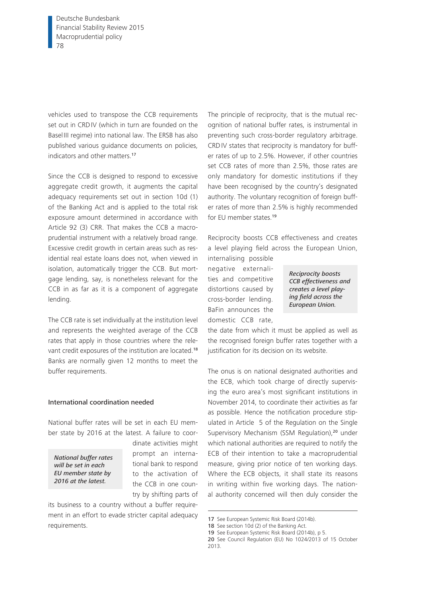vehicles used to transpose the CCB requirements set out in CRDIV (which in turn are founded on the Basel III regime) into national law. The ERSB has also published various guidance documents on policies, indicators and other matters.<sup>17</sup>

Since the CCB is designed to respond to excessive aggregate credit growth, it augments the capital adequacy requirements set out in section 10d (1) of the Banking Act and is applied to the total risk exposure amount determined in accordance with Article 92 (3) CRR. That makes the CCB a macroprudential instrument with a relatively broad range. Excessive credit growth in certain areas such as residential real estate loans does not, when viewed in isolation, automatically trigger the CCB. But mortgage lending, say, is nonetheless relevant for the CCB in as far as it is a component of aggregate lending.

The CCB rate is set individually at the institution level and represents the weighted average of the CCB rates that apply in those countries where the relevant credit exposures of the institution are located.<sup>18</sup> Banks are normally given 12 months to meet the buffer requirements.

#### International coordination needed

National buffer rates will be set in each EU member state by 2016 at the latest. A failure to coor-

*National buffer rates will be set in each EU member state by 2016 at the latest.*

dinate activities might prompt an international bank to respond to the activation of the CCB in one country by shifting parts of

its business to a country without a buffer requirement in an effort to evade stricter capital adequacy requirements.

The principle of reciprocity, that is the mutual recognition of national buffer rates, is instrumental in preventing such cross-border regulatory arbitrage. CRDIV states that reciprocity is mandatory for buffer rates of up to 2.5%. However, if other countries set CCB rates of more than 2.5%, those rates are only mandatory for domestic institutions if they have been recognised by the country's designated authority. The voluntary recognition of foreign buffer rates of more than 2.5% is highly recommended for EU member states.<sup>19</sup>

Reciprocity boosts CCB effectiveness and creates a level playing field across the European Union, internalising possible

negative externalities and competitive distortions caused by cross-border lending. BaFin announces the domestic CCB rate,

*Reciprocity boosts CCB effectiveness and creates a level playing field across the European Union.*

the date from which it must be applied as well as the recognised foreign buffer rates together with a justification for its decision on its website.

The onus is on national designated authorities and the ECB, which took charge of directly supervising the euro area's most significant institutions in November 2014, to coordinate their activities as far as possible. Hence the notification procedure stipulated in Article 5 of the Regulation on the Single Supervisory Mechanism (SSM Regulation),<sup>20</sup> under which national authorities are required to notify the ECB of their intention to take a macroprudential measure, giving prior notice of ten working days. Where the ECB objects, it shall state its reasons in writing within five working days. The national authority concerned will then duly consider the

<sup>17</sup> See European Systemic Risk Board (2014b).

<sup>18</sup> See section 10d (2) of the Banking Act.

<sup>19</sup> See European Systemic Risk Board (2014b), p 5.

<sup>20</sup> See Council Regulation (EU) No 1024/2013 of 15 October

<sup>2013.</sup>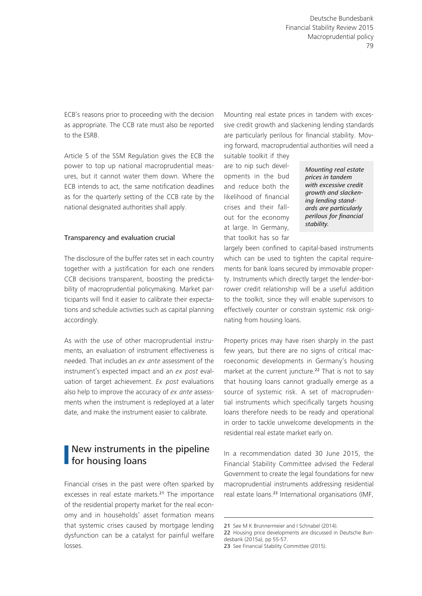ECB's reasons prior to proceeding with the decision as appropriate. The CCB rate must also be reported to the ESRB.

Article 5 of the SSM Regulation gives the ECB the power to top up national macroprudential measures, but it cannot water them down. Where the ECB intends to act, the same notification deadlines as for the quarterly setting of the CCB rate by the national designated authorities shall apply.

#### Transparency and evaluation crucial

The disclosure of the buffer rates set in each country together with a justification for each one renders CCB decisions transparent, boosting the predictability of macroprudential policymaking. Market participants will find it easier to calibrate their expectations and schedule activities such as capital planning accordingly.

As with the use of other macroprudential instruments, an evaluation of instrument effectiveness is needed. That includes an *ex ante* assessment of the instrument's expected impact and an *ex post* evaluation of target achievement. *Ex post* evaluations also help to improve the accuracy of *ex ante* assessments when the instrument is redeployed at a later date, and make the instrument easier to calibrate.

# New instruments in the pipeline for housing loans

Financial crises in the past were often sparked by excesses in real estate markets.<sup>21</sup> The importance of the residential property market for the real economy and in households' asset formation means that systemic crises caused by mortgage lending dysfunction can be a catalyst for painful welfare losses.

Mounting real estate prices in tandem with excessive credit growth and slackening lending standards are particularly perilous for financial stability. Moving forward, macroprudential authorities will need a

suitable toolkit if they are to nip such developments in the bud and reduce both the likelihood of financial crises and their fallout for the economy at large. In Germany, that toolkit has so far

*Mounting real estate prices in tandem with excessive credit growth and slackening lending standards are particularly perilous for financial stability.*

largely been confined to capital-based instruments which can be used to tighten the capital requirements for bank loans secured by immovable property. Instruments which directly target the lender-borrower credit relationship will be a useful addition to the toolkit, since they will enable supervisors to effectively counter or constrain systemic risk originating from housing loans.

Property prices may have risen sharply in the past few years, but there are no signs of critical macroeconomic developments in Germany's housing market at the current juncture.<sup>22</sup> That is not to say that housing loans cannot gradually emerge as a source of systemic risk. A set of macroprudential instruments which specifically targets housing loans therefore needs to be ready and operational in order to tackle unwelcome developments in the residential real estate market early on.

In a recommendation dated 30 June 2015, the Financial Stability Committee advised the Federal Government to create the legal foundations for new macroprudential instruments addressing residential real estate loans.<sup>23</sup> International organisations (IMF,

<sup>21</sup> See M K Brunnermeier and I Schnabel (2014).

<sup>22</sup> Housing price developments are discussed in Deutsche Bundesbank (2015a), pp 55-57.

<sup>23</sup> See Financial Stability Committee (2015).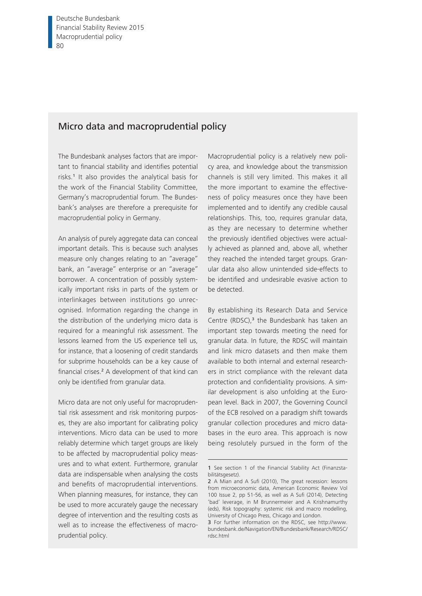## Micro data and macroprudential policy

The Bundesbank analyses factors that are important to financial stability and identifies potential risks.<sup>1</sup> It also provides the analytical basis for the work of the Financial Stability Committee, Germany's macroprudential forum. The Bundesbank's analyses are therefore a prerequisite for macroprudential policy in Germany.

An analysis of purely aggregate data can conceal important details. This is because such analyses measure only changes relating to an "average" bank, an "average" enterprise or an "average" borrower. A concentration of possibly systemically important risks in parts of the system or interlinkages between institutions go unrecognised. Information regarding the change in the distribution of the underlying micro data is required for a meaningful risk assessment. The lessons learned from the US experience tell us, for instance, that a loosening of credit standards for subprime households can be a key cause of financial crises.<sup>2</sup> A development of that kind can only be identified from granular data.

Micro data are not only useful for macroprudential risk assessment and risk monitoring purposes, they are also important for calibrating policy interventions. Micro data can be used to more reliably determine which target groups are likely to be affected by macroprudential policy measures and to what extent. Furthermore, granular data are indispensable when analysing the costs and benefits of macroprudential interventions. When planning measures, for instance, they can be used to more accurately gauge the necessary degree of intervention and the resulting costs as well as to increase the effectiveness of macroprudential policy.

Macroprudential policy is a relatively new policy area, and knowledge about the transmission channels is still very limited. This makes it all the more important to examine the effectiveness of policy measures once they have been implemented and to identify any credible causal relationships. This, too, requires granular data, as they are necessary to determine whether the previously identified objectives were actually achieved as planned and, above all, whether they reached the intended target groups. Granular data also allow unintended side-effects to be identified and undesirable evasive action to be detected.

By establishing its Research Data and Service Centre (RDSC), $3$  the Bundesbank has taken an important step towards meeting the need for granular data. In future, the RDSC will maintain and link micro datasets and then make them available to both internal and external researchers in strict compliance with the relevant data protection and confidentiality provisions. A similar development is also unfolding at the European level. Back in 2007, the Governing Council of the ECB resolved on a paradigm shift towards granular collection procedures and micro databases in the euro area. This approach is now being resolutely pursued in the form of the

<sup>1</sup> See section 1 of the Financial Stability Act (Finanzstabilitätsgesetz).

<sup>2</sup> A Mian and A Sufi (2010), The great recession: lessons from microeconomic data, American Economic Review Vol 100 Issue 2, pp 51-56, as well as A Sufi (2014), Detecting 'bad' leverage, in M Brunnermeier and A Krishnamurthy (eds), Risk topography: systemic risk and macro modelling, University of Chicago Press, Chicago and London.

<sup>3</sup> For further information on the RDSC, see http://www. bundesbank.de/Navigation/EN/Bundesbank/Research/RDSC/ rdsc.html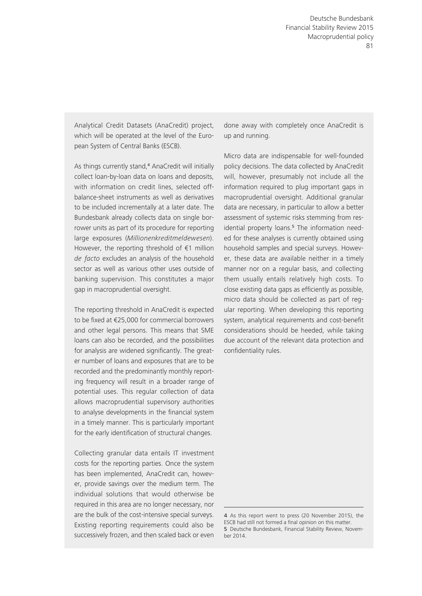Analytical Credit Datasets (AnaCredit) project, which will be operated at the level of the European System of Central Banks (ESCB).

As things currently stand,<sup>4</sup> AnaCredit will initially collect loan-by-loan data on loans and deposits, with information on credit lines, selected offbalance-sheet instruments as well as derivatives to be included incrementally at a later date. The Bundesbank already collects data on single borrower units as part of its procedure for reporting large exposures (*Millionenkreditmeldewesen*). However, the reporting threshold of €1 million *de facto* excludes an analysis of the household sector as well as various other uses outside of banking supervision. This constitutes a major gap in macroprudential oversight.

The reporting threshold in AnaCredit is expected to be fixed at €25,000 for commercial borrowers and other legal persons. This means that SME loans can also be recorded, and the possibilities for analysis are widened significantly. The greater number of loans and exposures that are to be recorded and the predominantly monthly reporting frequency will result in a broader range of potential uses. This regular collection of data allows macroprudential supervisory authorities to analyse developments in the financial system in a timely manner. This is particularly important for the early identification of structural changes.

Collecting granular data entails IT investment costs for the reporting parties. Once the system has been implemented, AnaCredit can, however, provide savings over the medium term. The individual solutions that would otherwise be required in this area are no longer necessary, nor are the bulk of the cost-intensive special surveys. Existing reporting requirements could also be successively frozen, and then scaled back or even done away with completely once AnaCredit is up and running.

Micro data are indispensable for well-founded policy decisions. The data collected by AnaCredit will, however, presumably not include all the information required to plug important gaps in macroprudential oversight. Additional granular data are necessary, in particular to allow a better assessment of systemic risks stemming from residential property loans.<sup>5</sup> The information needed for these analyses is currently obtained using household samples and special surveys. However, these data are available neither in a timely manner nor on a regular basis, and collecting them usually entails relatively high costs. To close existing data gaps as efficiently as possible, micro data should be collected as part of regular reporting. When developing this reporting system, analytical requirements and cost-benefit considerations should be heeded, while taking due account of the relevant data protection and confidentiality rules.

<sup>4</sup> As this report went to press (20 November 2015), the ESCB had still not formed a final opinion on this matter. 5 Deutsche Bundesbank, Financial Stability Review, November 2014.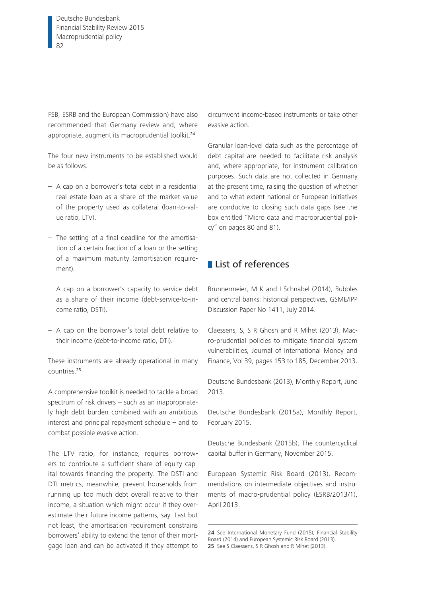FSB, ESRB and the European Commission) have also recommended that Germany review and, where appropriate, augment its macroprudential toolkit.<sup>24</sup>

The four new instruments to be established would be as follows.

- A cap on a borrower's total debt in a residential real estate loan as a share of the market value of the property used as collateral (loan-to-value ratio, LTV).
- The setting of a final deadline for the amortisation of a certain fraction of a loan or the setting of a maximum maturity (amortisation requirement).
- A cap on a borrower's capacity to service debt as a share of their income (debt-service-to-income ratio, DSTI).
- A cap on the borrower's total debt relative to their income (debt-to-income ratio, DTI).

These instruments are already operational in many countries.<sup>25</sup>

A comprehensive toolkit is needed to tackle a broad spectrum of risk drivers – such as an inappropriately high debt burden combined with an ambitious interest and principal repayment schedule – and to combat possible evasive action.

The LTV ratio, for instance, requires borrowers to contribute a sufficient share of equity capital towards financing the property. The DSTI and DTI metrics, meanwhile, prevent households from running up too much debt overall relative to their income, a situation which might occur if they overestimate their future income patterns, say. Last but not least, the amortisation requirement constrains borrowers' ability to extend the tenor of their mortgage loan and can be activated if they attempt to

circumvent income-based instruments or take other evasive action.

Granular loan-level data such as the percentage of debt capital are needed to facilitate risk analysis and, where appropriate, for instrument calibration purposes. Such data are not collected in Germany at the present time, raising the question of whether and to what extent national or European initiatives are conducive to closing such data gaps (see the box entitled "Micro data and macroprudential policy" on pages 80 and 81).

## **List of references**

Brunnermeier, M K and I Schnabel (2014), Bubbles and central banks: historical perspectives, GSME/IPP Discussion Paper No 1411, July 2014.

Claessens, S, S R Ghosh and R Mihet (2013), Macro-prudential policies to mitigate financial system vulnerabilities, Journal of International Money and Finance, Vol 39, pages 153 to 185, December 2013.

Deutsche Bundesbank (2013), Monthly Report, June 2013.

Deutsche Bundesbank (2015a), Monthly Report, February 2015.

Deutsche Bundesbank (2015b), The countercyclical capital buffer in Germany, November 2015.

European Systemic Risk Board (2013), Recommendations on intermediate objectives and instruments of macro-prudential policy (ESRB/2013/1), April 2013.

24 See International Monetary Fund (2015), Financial Stability Board (2014) and European Systemic Risk Board (2013). 25 See S Claessens, S R Ghosh and R Mihet (2013).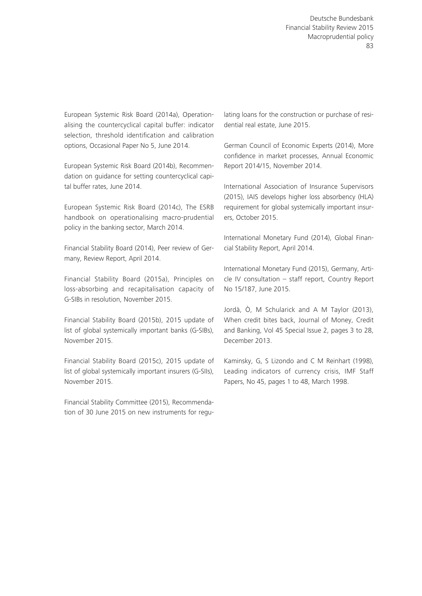European Systemic Risk Board (2014a), Operationalising the countercyclical capital buffer: indicator selection, threshold identification and calibration options, Occasional Paper No 5, June 2014.

European Systemic Risk Board (2014b), Recommendation on guidance for setting countercyclical capital buffer rates, June 2014.

European Systemic Risk Board (2014c), The ESRB handbook on operationalising macro-prudential policy in the banking sector, March 2014.

Financial Stability Board (2014), Peer review of Germany, Review Report, April 2014.

Financial Stability Board (2015a), Principles on loss-absorbing and recapitalisation capacity of G-SIBs in resolution, November 2015.

Financial Stability Board (2015b), 2015 update of list of global systemically important banks (G-SIBs), November 2015.

Financial Stability Board (2015c), 2015 update of list of global systemically important insurers (G-SIIs), November 2015.

Financial Stability Committee (2015), Recommendation of 30 June 2015 on new instruments for regulating loans for the construction or purchase of residential real estate, June 2015.

German Council of Economic Experts (2014), More confidence in market processes, Annual Economic Report 2014/15, November 2014.

International Association of Insurance Supervisors (2015), IAIS develops higher loss absorbency (HLA) requirement for global systemically important insurers, October 2015.

International Monetary Fund (2014), Global Financial Stability Report, April 2014.

International Monetary Fund (2015), Germany, Article IV consultation – staff report, Country Report No 15/187, June 2015.

Jordà, Ò, M Schularick and A M Taylor (2013), When credit bites back, Journal of Money, Credit and Banking, Vol 45 Special Issue 2, pages 3 to 28, December 2013.

Kaminsky, G, S Lizondo and C M Reinhart (1998), Leading indicators of currency crisis, IMF Staff Papers, No 45, pages 1 to 48, March 1998.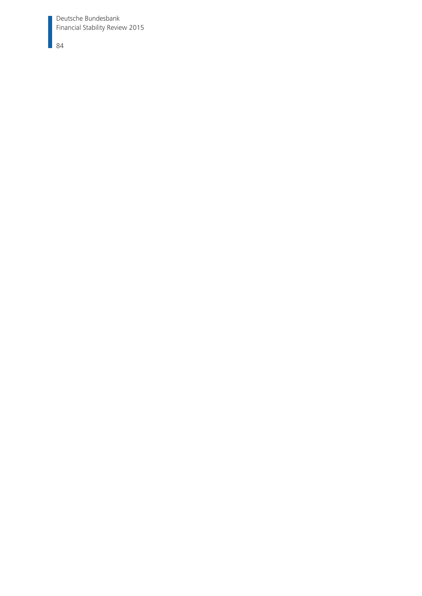Deutsche Bundesbank Financial Stability Review 2015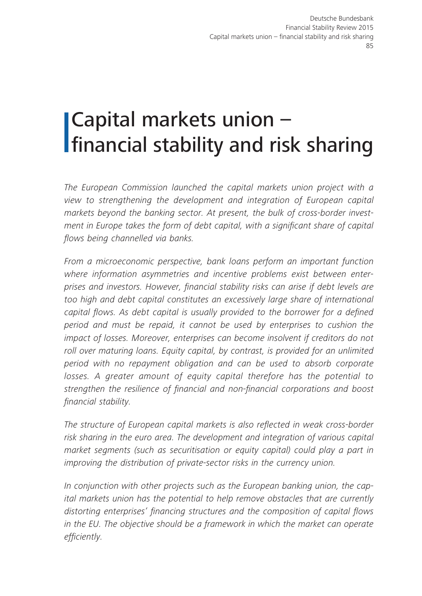# Capital markets union – financial stability and risk sharing

*The European Commission launched the capital markets union project with a view to strengthening the development and integration of European capital markets beyond the banking sector. At present, the bulk of cross-border investment in Europe takes the form of debt capital, with a significant share of capital flows being channelled via banks.* 

*From a microeconomic perspective, bank loans perform an important function where information asymmetries and incentive problems exist between enterprises and investors. However, financial stability risks can arise if debt levels are too high and debt capital constitutes an excessively large share of international capital flows. As debt capital is usually provided to the borrower for a defined period and must be repaid, it cannot be used by enterprises to cushion the impact of losses. Moreover, enterprises can become insolvent if creditors do not roll over maturing loans. Equity capital, by contrast, is provided for an unlimited period with no repayment obligation and can be used to absorb corporate losses. A greater amount of equity capital therefore has the potential to strengthen the resilience of financial and non-financial corporations and boost financial stability.*

*The structure of European capital markets is also reflected in weak cross-border risk sharing in the euro area. The development and integration of various capital market segments (such as securitisation or equity capital) could play a part in improving the distribution of private-sector risks in the currency union.*

*In conjunction with other projects such as the European banking union, the capital markets union has the potential to help remove obstacles that are currently distorting enterprises' financing structures and the composition of capital flows in the EU. The objective should be a framework in which the market can operate efficiently.*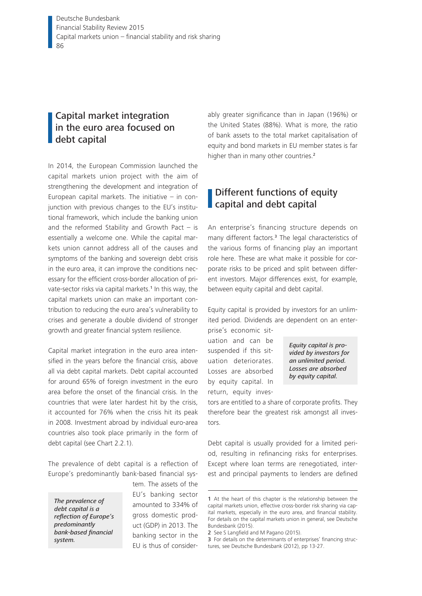# Capital market integration in the euro area focused on debt capital

In 2014, the European Commission launched the capital markets union project with the aim of strengthening the development and integration of European capital markets. The initiative  $-$  in conjunction with previous changes to the EU's institutional framework, which include the banking union and the reformed Stability and Growth Pact  $-$  is essentially a welcome one. While the capital markets union cannot address all of the causes and symptoms of the banking and sovereign debt crisis in the euro area, it can improve the conditions necessary for the efficient cross-border allocation of private-sector risks via capital markets.<sup>1</sup> In this way, the capital markets union can make an important contribution to reducing the euro area's vulnerability to crises and generate a double dividend of stronger growth and greater financial system resilience.

Capital market integration in the euro area intensified in the years before the financial crisis, above all via debt capital markets. Debt capital accounted for around 65% of foreign investment in the euro area before the onset of the financial crisis. In the countries that were later hardest hit by the crisis, it accounted for 76% when the crisis hit its peak in 2008. Investment abroad by individual euro-area countries also took place primarily in the form of debt capital (see Chart 2.2.1).

The prevalence of debt capital is a reflection of Europe's predominantly bank-based financial sys-

*The prevalence of debt capital is a reflection of Europe's predominantly bank-based financial system.*

tem. The assets of the EU's banking sector amounted to 334% of gross domestic product (GDP) in 2013. The banking sector in the EU is thus of considerably greater significance than in Japan (196%) or the United States (88%). What is more, the ratio of bank assets to the total market capitalisation of equity and bond markets in EU member states is far higher than in many other countries.<sup>2</sup>

# Different functions of equity capital and debt capital

An enterprise's financing structure depends on many different factors.<sup>3</sup> The legal characteristics of the various forms of financing play an important role here. These are what make it possible for corporate risks to be priced and split between different investors. Major differences exist, for example, between equity capital and debt capital.

Equity capital is provided by investors for an unlimited period. Dividends are dependent on an enterprise's economic sit-

uation and can be suspended if this situation deteriorates. Losses are absorbed by equity capital. In return, equity inves-

*Equity capital is provided by investors for an unlimited period. Losses are absorbed by equity capital.*

tors are entitled to a share of corporate profits. They therefore bear the greatest risk amongst all investors.

Debt capital is usually provided for a limited period, resulting in refinancing risks for enterprises. Except where loan terms are renegotiated, interest and principal payments to lenders are defined

<sup>1</sup> At the heart of this chapter is the relationship between the capital markets union, effective cross-border risk sharing via capital markets, especially in the euro area, and financial stability. For details on the capital markets union in general, see Deutsche Bundesbank (2015).

<sup>2</sup> See S Langfield and M Pagano (2015).

<sup>3</sup> For details on the determinants of enterprises' financing structures, see Deutsche Bundesbank (2012), pp 13-27.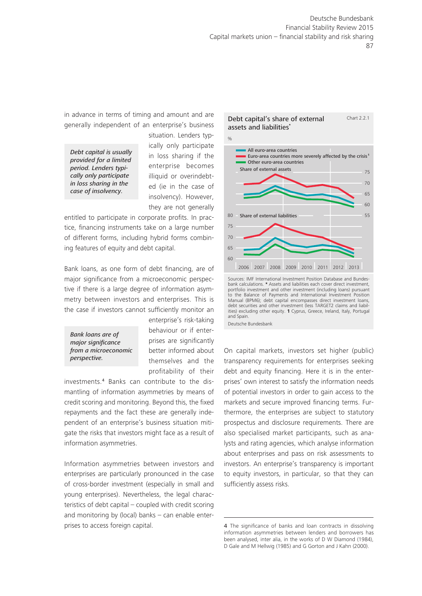in advance in terms of timing and amount and are generally independent of an enterprise's business

*Debt capital is usually provided for a limited period. Lenders typically only participate in loss sharing in the case of insolvency.*

situation. Lenders typically only participate in loss sharing if the enterprise becomes illiquid or overindebted (ie in the case of insolvency). However, they are not generally

entitled to participate in corporate profits. In practice, financing instruments take on a large number of different forms, including hybrid forms combining features of equity and debt capital.

Bank loans, as one form of debt financing, are of major significance from a microeconomic perspective if there is a large degree of information asymmetry between investors and enterprises. This is the case if investors cannot sufficiently monitor an

*Bank loans are of major significance from a microeconomic perspective.*

enterprise's risk-taking behaviour or if enterprises are significantly better informed about themselves and the profitability of their

investments.4 Banks can contribute to the dismantling of information asymmetries by means of credit scoring and monitoring. Beyond this, the fixed repayments and the fact these are generally independent of an enterprise's business situation mitigate the risks that investors might face as a result of information asymmetries.

Information asymmetries between investors and enterprises are particularly pronounced in the case of cross-border investment (especially in small and young enterprises). Nevertheless, the legal characteristics of debt capital – coupled with credit scoring and monitoring by (local) banks – can enable enterprises to access foreign capital.  $\overline{a}$  and  $\overline{a}$  The significance of banks and loan contracts in dissolving

#### Debt capital's share of external assets and liabilities**\***

Chart 2.2.1





Sources: IMF International Investment Position Database and Bundesbank calculations. **\*** Assets and liabilities each cover direct investment, portfolio investment and other investment (including loans) pursuant to the Balance of Payments and International Investment Position Manual (BPM6); debt capital encompasses direct investment loans, debt securities and other investment (less TARGET2 claims and liabilities) excluding other equity. **1** Cyprus, Greece, Ireland, Italy, Portugal and Spain.

Deutsche Bundesbank

On capital markets, investors set higher (public) transparency requirements for enterprises seeking debt and equity financing. Here it is in the enterprises' own interest to satisfy the information needs of potential investors in order to gain access to the markets and secure improved financing terms. Furthermore, the enterprises are subject to statutory prospectus and disclosure requirements. There are also specialised market participants, such as analysts and rating agencies, which analyse information about enterprises and pass on risk assessments to investors. An enterprise's transparency is important to equity investors, in particular, so that they can sufficiently assess risks.

information asymmetries between lenders and borrowers has been analysed, inter alia, in the works of D W Diamond (1984), D Gale and M Hellwig (1985) and G Gorton and J Kahn (2000).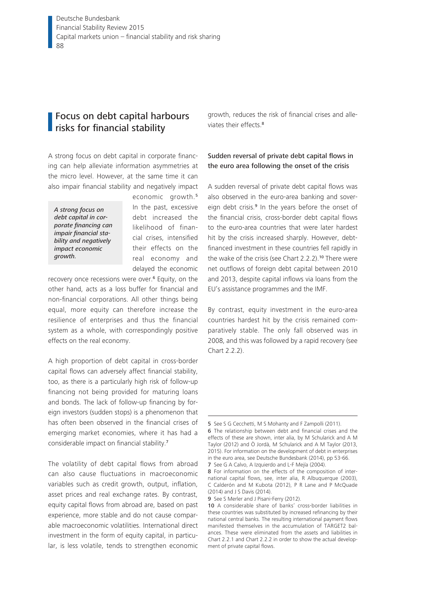### Focus on debt capital harbours **T** risks for financial stability

A strong focus on debt capital in corporate financing can help alleviate information asymmetries at the micro level. However, at the same time it can also impair financial stability and negatively impact

| A strong focus on      |
|------------------------|
| debt capital in cor-   |
| porate financing can   |
| impair financial sta-  |
| bility and negatively  |
| <i>impact economic</i> |
| growth.                |

economic growth.<sup>5</sup> In the past, excessive debt increased the likelihood of financial crises, intensified their effects on the real economy and delayed the economic

recovery once recessions were over.<sup>6</sup> Equity, on the other hand, acts as a loss buffer for financial and non-financial corporations. All other things being equal, more equity can therefore increase the resilience of enterprises and thus the financial system as a whole, with correspondingly positive effects on the real economy.

A high proportion of debt capital in cross-border capital flows can adversely affect financial stability, too, as there is a particularly high risk of follow-up financing not being provided for maturing loans and bonds. The lack of follow-up financing by foreign investors (sudden stops) is a phenomenon that has often been observed in the financial crises of emerging market economies, where it has had a considerable impact on financial stability.<sup>7</sup>

The volatility of debt capital flows from abroad can also cause fluctuations in macroeconomic variables such as credit growth, output, inflation, asset prices and real exchange rates. By contrast, equity capital flows from abroad are, based on past experience, more stable and do not cause comparable macroeconomic volatilities. International direct investment in the form of equity capital, in particular, is less volatile, tends to strengthen economic

growth, reduces the risk of financial crises and alleviates their effects.<sup>8</sup>

#### Sudden reversal of private debt capital flows in the euro area following the onset of the crisis

A sudden reversal of private debt capital flows was also observed in the euro-area banking and sovereign debt crisis.<sup>9</sup> In the years before the onset of the financial crisis, cross-border debt capital flows to the euro-area countries that were later hardest hit by the crisis increased sharply. However, debtfinanced investment in these countries fell rapidly in the wake of the crisis (see Chart 2.2.2).<sup>10</sup> There were net outflows of foreign debt capital between 2010 and 2013, despite capital inflows via loans from the EU's assistance programmes and the IMF.

By contrast, equity investment in the euro-area countries hardest hit by the crisis remained comparatively stable. The only fall observed was in 2008, and this was followed by a rapid recovery (see Chart 2.2.2).

7 See G A Calvo, A Izquierdo and L-F Mejía (2004).

9 See S Merler and J Pisani-Ferry (2012).

<sup>5</sup> See S G Cecchetti, M S Mohanty and F Zampolli (2011).

<sup>6</sup> The relationship between debt and financial crises and the effects of these are shown, inter alia, by M Schularick and A M Taylor (2012) and Ò Jordà, M Schularick and A M Taylor (2013, 2015). For information on the development of debt in enterprises in the euro area, see Deutsche Bundesbank (2014), pp 53-66.

<sup>8</sup> For information on the effects of the composition of international capital flows, see, inter alia, R Albuquerque (2003), C Calderón and M Kubota (2012), P R Lane and P McQuade (2014) and J S Davis (2014).

<sup>10</sup> A considerable share of banks' cross-border liabilities in these countries was substituted by increased refinancing by their national central banks. The resulting international payment flows manifested themselves in the accumulation of TARGET2 balances. These were eliminated from the assets and liabilities in Chart 2.2.1 and Chart 2.2.2 in order to show the actual development of private capital flows.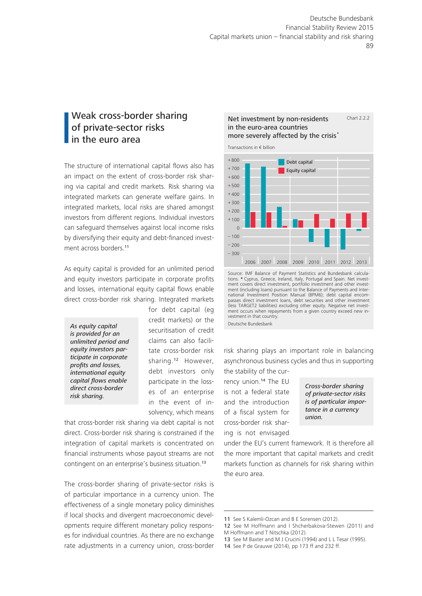## Weak cross-border sharing of private-sector risks in the euro area

The structure of international capital flows also has an impact on the extent of cross-border risk sharing via capital and credit markets. Risk sharing via integrated markets can generate welfare gains. In integrated markets, local risks are shared amongst investors from different regions. Individual investors can safeguard themselves against local income risks by diversifying their equity and debt-financed investment across borders.<sup>11</sup>

As equity capital is provided for an unlimited period and equity investors participate in corporate profits and losses, international equity capital flows enable direct cross-border risk sharing. Integrated markets

*As equity capital is provided for an unlimited period and equity investors participate in corporate profits and losses, international equity capital flows enable direct cross-border risk sharing.*

for debt capital (eg credit markets) or the securitisation of credit claims can also facilitate cross-border risk sharing.<sup>12</sup> However, debt investors only participate in the losses of an enterprise in the event of insolvency, which means

that cross-border risk sharing via debt capital is not direct. Cross-border risk sharing is constrained if the integration of capital markets is concentrated on financial instruments whose payout streams are not contingent on an enterprise's business situation.<sup>13</sup>

The cross-border sharing of private-sector risks is of particular importance in a currency union. The effectiveness of a single monetary policy diminishes if local shocks and divergent macroeconomic developments require different monetary policy responses for individual countries. As there are no exchange rate adjustments in a currency union, cross-border

#### Net investment by non-residents in the euro-area countries more severely affected by the crisis **\*** Chart 2.2.2





Source: IMF Balance of Payment Statistics and Bundesbank calculations. **\*** Cyprus, Greece, Ireland, Italy, Portugal and Spain. Net invest-ment covers direct investment, portfolio investment and other investment (including loans) pursuant to the Balance of Payments and International Investment Position Manual (BPM6); debt capital encom-passes direct investment loans, debt securities and other investment (less TARGET2 liabilities) excluding other equity. Negative net investment occurs when repayments from a given country exceed new investment in that country.

Deutsche Bundesbank

risk sharing plays an important role in balancing asynchronous business cycles and thus in supporting

the stability of the currency union.<sup>14</sup> The EU is not a federal state and the introduction of a fiscal system for cross-border risk sharing is not envisaged

*Cross-border sharing of private-sector risks is of particular importance in a currency union.*

under the EU's current framework. It is therefore all the more important that capital markets and credit markets function as channels for risk sharing within the euro area.

<sup>11</sup> See S Kalemli-Ozcan and B E Sorensen (2012).

<sup>12</sup> See M Hoffmann and I Shcherbakova-Stewen (2011) and M Hoffmann and T Nitschka (2012).

<sup>13</sup> See M Baxter and M J Crucini (1994) and L L Tesar (1995).

<sup>14</sup> See P de Grauwe (2014), pp 173 ff and 232 ff.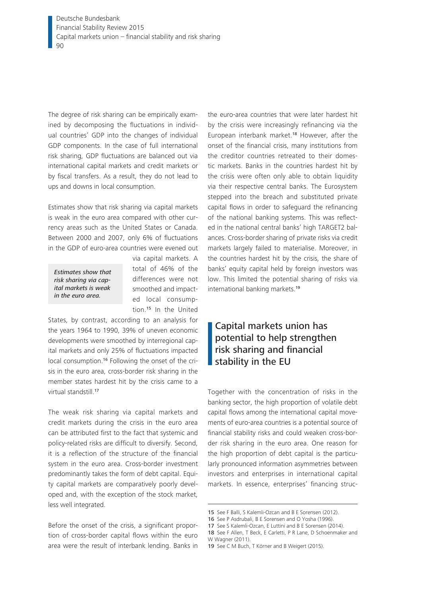The degree of risk sharing can be empirically examined by decomposing the fluctuations in individual countries' GDP into the changes of individual GDP components. In the case of full international risk sharing, GDP fluctuations are balanced out via international capital markets and credit markets or by fiscal transfers. As a result, they do not lead to ups and downs in local consumption.

Estimates show that risk sharing via capital markets is weak in the euro area compared with other currency areas such as the United States or Canada. Between 2000 and 2007, only 6% of fluctuations in the GDP of euro-area countries were evened out

*Estimates show that risk sharing via capital markets is weak in the euro area.*

via capital markets. A total of 46% of the differences were not smoothed and impacted local consumption.<sup>15</sup> In the United

States, by contrast, according to an analysis for the years 1964 to 1990, 39% of uneven economic developments were smoothed by interregional capital markets and only 25% of fluctuations impacted local consumption.<sup>16</sup> Following the onset of the crisis in the euro area, cross-border risk sharing in the member states hardest hit by the crisis came to a virtual standstill.<sup>17</sup>

The weak risk sharing via capital markets and credit markets during the crisis in the euro area can be attributed first to the fact that systemic and policy-related risks are difficult to diversify. Second, it is a reflection of the structure of the financial system in the euro area. Cross-border investment predominantly takes the form of debt capital. Equity capital markets are comparatively poorly developed and, with the exception of the stock market, less well integrated.

Before the onset of the crisis, a significant proportion of cross-border capital flows within the euro area were the result of interbank lending. Banks in

the euro-area countries that were later hardest hit by the crisis were increasingly refinancing via the European interbank market.<sup>18</sup> However, after the onset of the financial crisis, many institutions from the creditor countries retreated to their domestic markets. Banks in the countries hardest hit by the crisis were often only able to obtain liquidity via their respective central banks. The Eurosystem stepped into the breach and substituted private capital flows in order to safeguard the refinancing of the national banking systems. This was reflected in the national central banks' high TARGET2 balances. Cross-border sharing of private risks via credit markets largely failed to materialise. Moreover, in the countries hardest hit by the crisis, the share of banks' equity capital held by foreign investors was low. This limited the potential sharing of risks via international banking markets.<sup>19</sup>

# Capital markets union has potential to help strengthen risk sharing and financial stability in the EU

Together with the concentration of risks in the banking sector, the high proportion of volatile debt capital flows among the international capital movements of euro-area countries is a potential source of financial stability risks and could weaken cross-border risk sharing in the euro area. One reason for the high proportion of debt capital is the particularly pronounced information asymmetries between investors and enterprises in international capital markets. In essence, enterprises' financing struc-

- 17 See S Kalemli-Ozcan, E Luttini and B E Sorensen (2014).
- 18 See F Allen, T Beck, E Carletti, P R Lane, D Schoenmaker and W Wagner (2011).

<sup>15</sup> See F Balli, S Kalemli-Ozcan and B E Sorensen (2012).

<sup>16</sup> See P Asdrubali, B E Sorensen and O Yosha (1996).

<sup>19</sup> See C M Buch, T Körner and B Weigert (2015).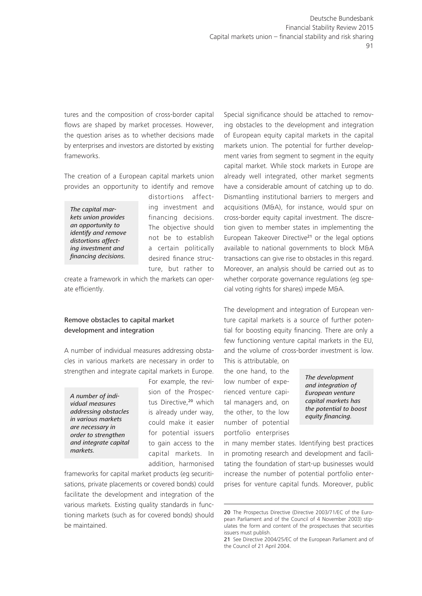tures and the composition of cross-border capital flows are shaped by market processes. However, the question arises as to whether decisions made by enterprises and investors are distorted by existing frameworks.

The creation of a European capital markets union provides an opportunity to identify and remove

*The capital markets union provides an opportunity to identify and remove distortions affecting investment and financing decisions.*

distortions affecting investment and financing decisions. The objective should not be to establish a certain politically desired finance structure, but rather to

create a framework in which the markets can operate efficiently.

#### Remove obstacles to capital market development and integration

A number of individual measures addressing obstacles in various markets are necessary in order to strengthen and integrate capital markets in Europe.

*A number of individual measures addressing obstacles in various markets are necessary in order to strengthen and integrate capital markets.*

For example, the revision of the Prospectus Directive,<sup>20</sup> which is already under way, could make it easier for potential issuers to gain access to the capital markets. In addition, harmonised

frameworks for capital market products (eg securitisations, private placements or covered bonds) could facilitate the development and integration of the various markets. Existing quality standards in functioning markets (such as for covered bonds) should be maintained.

Special significance should be attached to removing obstacles to the development and integration of European equity capital markets in the capital markets union. The potential for further development varies from segment to segment in the equity capital market. While stock markets in Europe are already well integrated, other market segments have a considerable amount of catching up to do. Dismantling institutional barriers to mergers and acquisitions (M&A), for instance, would spur on cross-border equity capital investment. The discretion given to member states in implementing the European Takeover Directive<sup>21</sup> or the legal options available to national governments to block M&A transactions can give rise to obstacles in this regard. Moreover, an analysis should be carried out as to whether corporate governance regulations (eg special voting rights for shares) impede M&A.

The development and integration of European venture capital markets is a source of further potential for boosting equity financing. There are only a few functioning venture capital markets in the EU, and the volume of cross-border investment is low.

This is attributable, on the one hand, to the low number of experienced venture capital managers and, on the other, to the low number of potential portfolio enterprises

*The development and integration of European venture capital markets has the potential to boost equity financing.*

in many member states. Identifying best practices in promoting research and development and facilitating the foundation of start-up businesses would increase the number of potential portfolio enterprises for venture capital funds. Moreover, public

<sup>20</sup> The Prospectus Directive (Directive 2003/71/EC of the European Parliament and of the Council of 4 November 2003) stipulates the form and content of the prospectuses that securities issuers must publish.

<sup>21</sup> See Directive 2004/25/EC of the European Parliament and of the Council of 21 April 2004.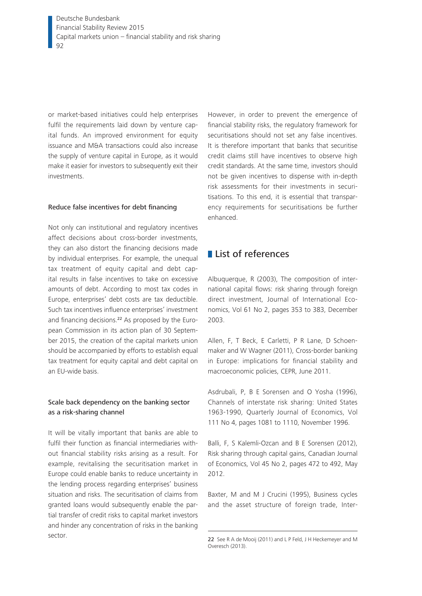or market-based initiatives could help enterprises fulfil the requirements laid down by venture capital funds. An improved environment for equity issuance and M&A transactions could also increase the supply of venture capital in Europe, as it would make it easier for investors to subsequently exit their investments.

#### Reduce false incentives for debt financing

Not only can institutional and regulatory incentives affect decisions about cross-border investments, they can also distort the financing decisions made by individual enterprises. For example, the unequal tax treatment of equity capital and debt capital results in false incentives to take on excessive amounts of debt. According to most tax codes in Europe, enterprises' debt costs are tax deductible. Such tax incentives influence enterprises' investment and financing decisions.<sup>22</sup> As proposed by the European Commission in its action plan of 30 September 2015, the creation of the capital markets union should be accompanied by efforts to establish equal tax treatment for equity capital and debt capital on an EU-wide basis.

#### Scale back dependency on the banking sector as a risk-sharing channel

It will be vitally important that banks are able to fulfil their function as financial intermediaries without financial stability risks arising as a result. For example, revitalising the securitisation market in Europe could enable banks to reduce uncertainty in the lending process regarding enterprises' business situation and risks. The securitisation of claims from granted loans would subsequently enable the partial transfer of credit risks to capital market investors and hinder any concentration of risks in the banking sector.

However, in order to prevent the emergence of financial stability risks, the regulatory framework for securitisations should not set any false incentives. It is therefore important that banks that securitise credit claims still have incentives to observe high credit standards. At the same time, investors should not be given incentives to dispense with in-depth risk assessments for their investments in securitisations. To this end, it is essential that transparency requirements for securitisations be further enhanced.

## **List of references**

Albuquerque, R (2003), The composition of international capital flows: risk sharing through foreign direct investment, Journal of International Economics, Vol 61 No 2, pages 353 to 383, December 2003.

Allen, F, T Beck, E Carletti, P R Lane, D Schoenmaker and W Wagner (2011), Cross-border banking in Europe: implications for financial stability and macroeconomic policies, CEPR, June 2011.

Asdrubali, P, B E Sorensen and O Yosha (1996), Channels of interstate risk sharing: United States 1963-1990, Quarterly Journal of Economics, Vol 111 No 4, pages 1081 to 1110, November 1996.

Balli, F, S Kalemli-Ozcan and B E Sorensen (2012), Risk sharing through capital gains, Canadian Journal of Economics, Vol 45 No 2, pages 472 to 492, May 2012.

Baxter, M and M J Crucini (1995), Business cycles and the asset structure of foreign trade, Inter-

<sup>22</sup> See R A de Mooij (2011) and L P Feld, J H Heckemeyer and M Overesch (2013).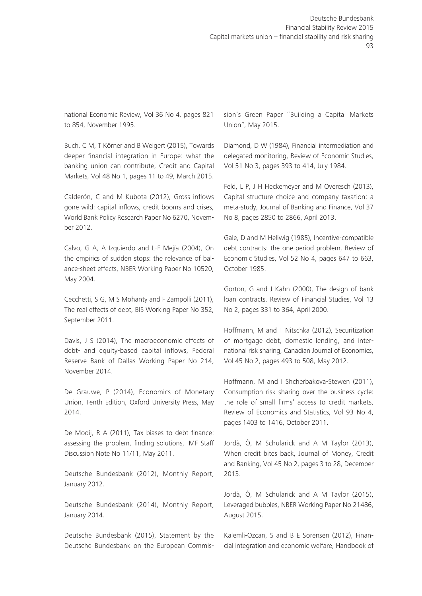national Economic Review, Vol 36 No 4, pages 821 to 854, November 1995.

Buch, C M, T Körner and B Weigert (2015), Towards deeper financial integration in Europe: what the banking union can contribute, Credit and Capital Markets, Vol 48 No 1, pages 11 to 49, March 2015.

Calderón, C and M Kubota (2012), Gross inflows gone wild: capital inflows, credit booms and crises, World Bank Policy Research Paper No 6270, November 2012.

Calvo, G A, A Izquierdo and L-F Mejía (2004), On the empirics of sudden stops: the relevance of balance-sheet effects, NBER Working Paper No 10520, May 2004.

Cecchetti, S G, M S Mohanty and F Zampolli (2011), The real effects of debt, BIS Working Paper No 352, September 2011.

Davis, J S (2014), The macroeconomic effects of debt- and equity-based capital inflows, Federal Reserve Bank of Dallas Working Paper No 214, November 2014.

De Grauwe, P (2014), Economics of Monetary Union, Tenth Edition, Oxford University Press, May 2014.

De Mooij, R A (2011), Tax biases to debt finance: assessing the problem, finding solutions, IMF Staff Discussion Note No 11/11, May 2011.

Deutsche Bundesbank (2012), Monthly Report, January 2012.

Deutsche Bundesbank (2014), Monthly Report, January 2014.

Deutsche Bundesbank (2015), Statement by the Deutsche Bundesbank on the European Commission's Green Paper "Building a Capital Markets Union", May 2015.

Diamond, D W (1984), Financial intermediation and delegated monitoring, Review of Economic Studies, Vol 51 No 3, pages 393 to 414, July 1984.

Feld, L P, J H Heckemeyer and M Overesch (2013), Capital structure choice and company taxation: a meta-study, Journal of Banking and Finance, Vol 37 No 8, pages 2850 to 2866, April 2013.

Gale, D and M Hellwig (1985), Incentive-compatible debt contracts: the one-period problem, Review of Economic Studies, Vol 52 No 4, pages 647 to 663, October 1985.

Gorton, G and J Kahn (2000), The design of bank loan contracts, Review of Financial Studies, Vol 13 No 2, pages 331 to 364, April 2000.

Hoffmann, M and T Nitschka (2012), Securitization of mortgage debt, domestic lending, and international risk sharing, Canadian Journal of Economics, Vol 45 No 2, pages 493 to 508, May 2012.

Hoffmann, M and I Shcherbakova-Stewen (2011), Consumption risk sharing over the business cycle: the role of small firms' access to credit markets, Review of Economics and Statistics, Vol 93 No 4, pages 1403 to 1416, October 2011.

Jordà, Ò, M Schularick and A M Taylor (2013), When credit bites back, Journal of Money, Credit and Banking, Vol 45 No 2, pages 3 to 28, December 2013.

Jordà, Ò, M Schularick and A M Taylor (2015), Leveraged bubbles, NBER Working Paper No 21486, August 2015.

Kalemli-Ozcan, S and B E Sorensen (2012), Financial integration and economic welfare, Handbook of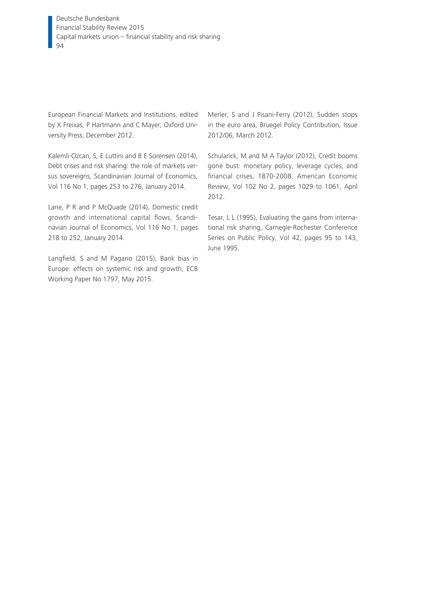European Financial Markets and Institutions, edited by X Freixas, P Hartmann and C Mayer, Oxford University Press, December 2012.

Kalemli-Ozcan, S, E Luttini and B E Sorensen (2014), Debt crises and risk sharing: the role of markets versus sovereigns, Scandinavian Journal of Economics, Vol 116 No 1, pages 253 to 276, January 2014.

Lane, P R and P McQuade (2014), Domestic credit growth and international capital flows, Scandinavian Journal of Economics, Vol 116 No 1, pages 218 to 252, January 2014.

Langfield, S and M Pagano (2015), Bank bias in Europe: effects on systemic risk and growth, ECB Working Paper No 1797, May 2015.

Merler, S and J Pisani-Ferry (2012), Sudden stops in the euro area, Bruegel Policy Contribution, Issue 2012/06, March 2012.

Schularick, M and M A Taylor (2012), Credit booms gone bust: monetary policy, leverage cycles, and financial crises, 1870-2008, American Economic Review, Vol 102 No 2, pages 1029 to 1061, April 2012.

Tesar, L L (1995), Evaluating the gains from international risk sharing, Carnegie-Rochester Conference Series on Public Policy, Vol 42, pages 95 to 143, June 1995.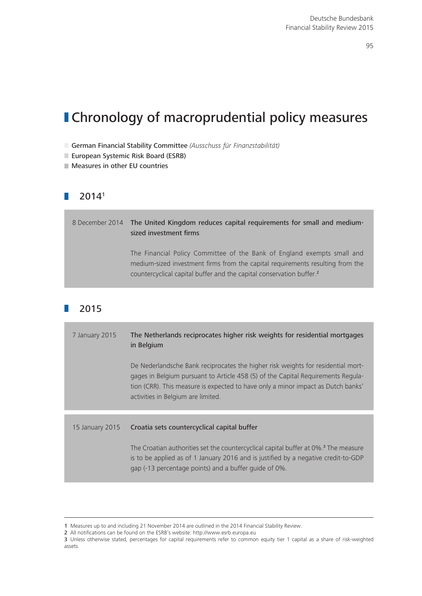# **Chronology of macroprudential policy measures**

- German Financial Stability Committee *(Ausschuss für Finanzstabilität)*
- **European Systemic Risk Board (ESRB)**
- Measures in other EU countries

### 20141

| 8 December 2014 | The United Kingdom reduces capital requirements for small and medium-<br>sized investment firms                                                                                                                                               |
|-----------------|-----------------------------------------------------------------------------------------------------------------------------------------------------------------------------------------------------------------------------------------------|
|                 | The Financial Policy Committee of the Bank of England exempts small and<br>medium-sized investment firms from the capital requirements resulting from the<br>countercyclical capital buffer and the capital conservation buffer. <sup>2</sup> |

### 2015

# 7 January 2015 The Netherlands reciprocates higher risk weights for residential mortgages in Belgium De Nederlandsche Bank reciprocates the higher risk weights for residential mortgages in Belgium pursuant to Article 458 (5) of the Capital Requirements Regulation (CRR). This measure is expected to have only a minor impact as Dutch banks' activities in Belgium are limited. 15 January 2015 Croatia sets countercyclical capital buffer The Croatian authorities set the countercyclical capital buffer at 0%.<sup>3</sup> The measure is to be applied as of 1 January 2016 and is justified by a negative credit-to-GDP gap (-13 percentage points) and a buffer guide of 0%.

1 Measures up to and including 21 November 2014 are outlined in the 2014 Financial Stability Review.

<sup>2</sup> All notifications can be found on the ESRB's website: http://www.esrb.europa.eu

<sup>3</sup> Unless otherwise stated, percentages for capital requirements refer to common equity tier 1 capital as a share of risk-weighted assets.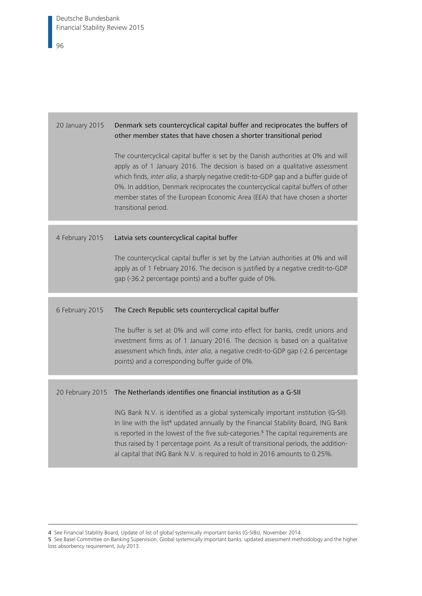# other member states that have chosen a shorter transitional period The countercyclical capital buffer is set by the Danish authorities at 0% and will apply as of 1 January 2016. The decision is based on a qualitative assessment which finds, *inter alia*, a sharply negative credit-to-GDP gap and a buffer guide of 0%. In addition, Denmark reciprocates the countercyclical capital buffers of other member states of the European Economic Area (EEA) that have chosen a shorter transitional period. 4 February 2015 Latvia sets countercyclical capital buffer The countercyclical capital buffer is set by the Latvian authorities at 0% and will apply as of 1 February 2016. The decision is justified by a negative credit-to-GDP gap (-36.2 percentage points) and a buffer guide of 0%. 6 February 2015 The Czech Republic sets countercyclical capital buffer The buffer is set at 0% and will come into effect for banks, credit unions and investment firms as of 1 January 2016. The decision is based on a qualitative assessment which finds, *inter alia*, a negative credit-to-GDP gap (-2.6 percentage points) and a corresponding buffer guide of 0%. 20 February 2015 The Netherlands identifies one financial institution as a G-SII ING Bank N.V. is identified as a global systemically important institution (G-SII). In line with the list<sup>4</sup> updated annually by the Financial Stability Board, ING Bank is reported in the lowest of the five sub-categories.<sup>5</sup> The capital requirements are thus raised by 1 percentage point. As a result of transitional periods, the additional capital that ING Bank N.V. is required to hold in 2016 amounts to 0.25%. 4 See Financial Stability Board, Update of list of global systemically important banks (G-SIBs), November 2014.

20 January 2015 Denmark sets countercyclical capital buffer and reciprocates the buffers of

5 See Basel Committee on Banking Supervision, Global systemically important banks: updated assessment methodology and the higher loss absorbency requirement, July 2013.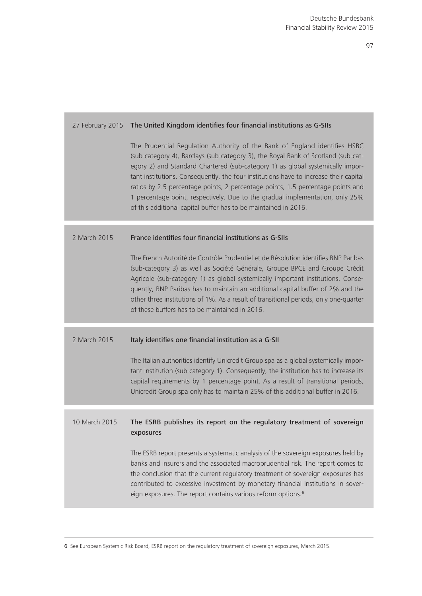| ۰.<br>×          |  |
|------------------|--|
| I<br>٠<br>$\sim$ |  |

| 27 February 2015 | The United Kingdom identifies four financial institutions as G-SIIs                                                                                                                                                                                                                                                                                                                                                                                                                                                                                                               |
|------------------|-----------------------------------------------------------------------------------------------------------------------------------------------------------------------------------------------------------------------------------------------------------------------------------------------------------------------------------------------------------------------------------------------------------------------------------------------------------------------------------------------------------------------------------------------------------------------------------|
|                  | The Prudential Regulation Authority of the Bank of England identifies HSBC<br>(sub-category 4), Barclays (sub-category 3), the Royal Bank of Scotland (sub-cat-<br>egory 2) and Standard Chartered (sub-category 1) as global systemically impor-<br>tant institutions. Consequently, the four institutions have to increase their capital<br>ratios by 2.5 percentage points, 2 percentage points, 1.5 percentage points and<br>1 percentage point, respectively. Due to the gradual implementation, only 25%<br>of this additional capital buffer has to be maintained in 2016. |
| 2 March 2015     | France identifies four financial institutions as G-SIIs                                                                                                                                                                                                                                                                                                                                                                                                                                                                                                                           |
|                  | The French Autorité de Contrôle Prudentiel et de Résolution identifies BNP Paribas<br>(sub-category 3) as well as Société Générale, Groupe BPCE and Groupe Crédit<br>Agricole (sub-category 1) as global systemically important institutions. Conse-<br>quently, BNP Paribas has to maintain an additional capital buffer of 2% and the<br>other three institutions of 1%. As a result of transitional periods, only one-quarter<br>of these buffers has to be maintained in 2016.                                                                                                |
|                  |                                                                                                                                                                                                                                                                                                                                                                                                                                                                                                                                                                                   |
| 2 March 2015     | Italy identifies one financial institution as a G-SII                                                                                                                                                                                                                                                                                                                                                                                                                                                                                                                             |
|                  | The Italian authorities identify Unicredit Group spa as a global systemically impor-<br>tant institution (sub-category 1). Consequently, the institution has to increase its<br>capital requirements by 1 percentage point. As a result of transitional periods,<br>Unicredit Group spa only has to maintain 25% of this additional buffer in 2016.                                                                                                                                                                                                                               |
| 10 March 2015    | The ESRB publishes its report on the regulatory treatment of sovereign                                                                                                                                                                                                                                                                                                                                                                                                                                                                                                            |
|                  | exposures                                                                                                                                                                                                                                                                                                                                                                                                                                                                                                                                                                         |
|                  | The ESRB report presents a systematic analysis of the sovereign exposures held by<br>banks and insurers and the associated macroprudential risk. The report comes to<br>the conclusion that the current regulatory treatment of sovereign exposures has<br>contributed to excessive investment by monetary financial institutions in sover-<br>eign exposures. The report contains various reform options. <sup>6</sup>                                                                                                                                                           |

6 See European Systemic Risk Board, ESRB report on the regulatory treatment of sovereign exposures, March 2015.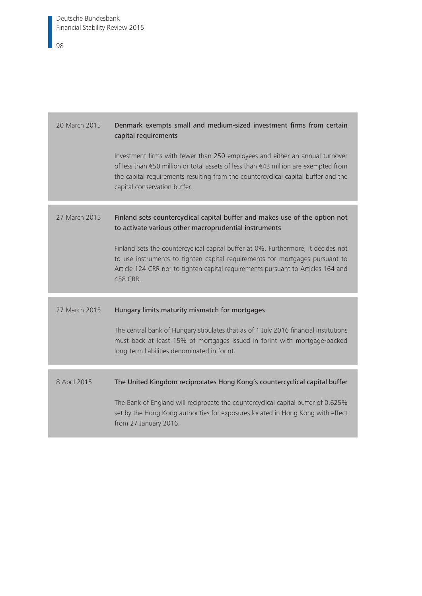| 20 March 2015 | Denmark exempts small and medium-sized investment firms from certain<br>capital requirements<br>Investment firms with fewer than 250 employees and either an annual turnover<br>of less than €50 million or total assets of less than €43 million are exempted from<br>the capital requirements resulting from the countercyclical capital buffer and the<br>capital conservation buffer.                  |
|---------------|------------------------------------------------------------------------------------------------------------------------------------------------------------------------------------------------------------------------------------------------------------------------------------------------------------------------------------------------------------------------------------------------------------|
| 27 March 2015 | Finland sets countercyclical capital buffer and makes use of the option not<br>to activate various other macroprudential instruments<br>Finland sets the countercyclical capital buffer at 0%. Furthermore, it decides not<br>to use instruments to tighten capital requirements for mortgages pursuant to<br>Article 124 CRR nor to tighten capital requirements pursuant to Articles 164 and<br>458 CRR. |
| 27 March 2015 | Hungary limits maturity mismatch for mortgages<br>The central bank of Hungary stipulates that as of 1 July 2016 financial institutions<br>must back at least 15% of mortgages issued in forint with mortgage-backed<br>long-term liabilities denominated in forint.                                                                                                                                        |
| 8 April 2015  | The United Kingdom reciprocates Hong Kong's countercyclical capital buffer<br>The Bank of England will reciprocate the countercyclical capital buffer of 0.625%<br>set by the Hong Kong authorities for exposures located in Hong Kong with effect<br>from 27 January 2016.                                                                                                                                |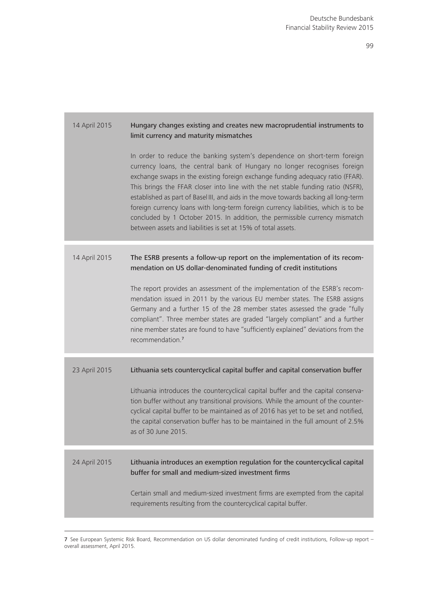#### **99**

#### 14 April 2015 Hungary changes existing and creates new macroprudential instruments to limit currency and maturity mismatches

In order to reduce the banking system's dependence on short-term foreign currency loans, the central bank of Hungary no longer recognises foreign exchange swaps in the existing foreign exchange funding adequacy ratio (FFAR). This brings the FFAR closer into line with the net stable funding ratio (NSFR), established as part of Basel III, and aids in the move towards backing all long-term foreign currency loans with long-term foreign currency liabilities, which is to be concluded by 1 October 2015. In addition, the permissible currency mismatch between assets and liabilities is set at 15% of total assets.

#### 14 April 2015 The ESRB presents a follow-up report on the implementation of its recommendation on US dollar-denominated funding of credit institutions

The report provides an assessment of the implementation of the ESRB's recommendation issued in 2011 by the various EU member states. The ESRB assigns Germany and a further 15 of the 28 member states assessed the grade "fully compliant". Three member states are graded "largely compliant" and a further nine member states are found to have "sufficiently explained" deviations from the recommendation<sup>7</sup>

#### 23 April 2015 Lithuania sets countercyclical capital buffer and capital conservation buffer

Lithuania introduces the countercyclical capital buffer and the capital conservation buffer without any transitional provisions. While the amount of the countercyclical capital buffer to be maintained as of 2016 has yet to be set and notified, the capital conservation buffer has to be maintained in the full amount of 2.5% as of 30 June 2015.

#### 24 April 2015 Lithuania introduces an exemption regulation for the countercyclical capital buffer for small and medium-sized investment firms

Certain small and medium-sized investment firms are exempted from the capital requirements resulting from the countercyclical capital buffer.

<sup>7</sup> See European Systemic Risk Board, Recommendation on US dollar denominated funding of credit institutions, Follow-up report – overall assessment, April 2015.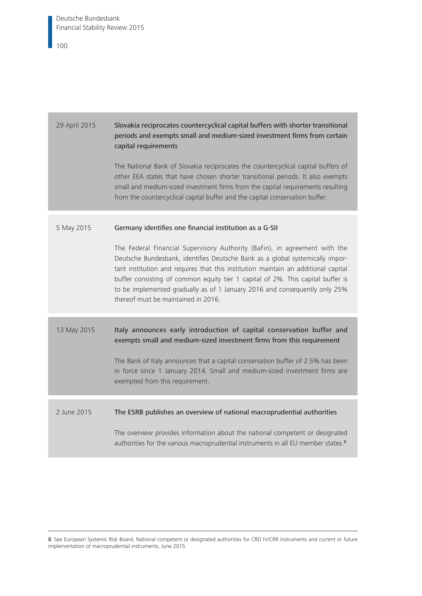# 29 April 2015 Slovakia reciprocates countercyclical capital buffers with shorter transitional periods and exempts small and medium-sized investment firms from certain capital requirements The National Bank of Slovakia reciprocates the countercyclical capital buffers of other EEA states that have chosen shorter transitional periods. It also exempts small and medium-sized investment firms from the capital requirements resulting from the countercyclical capital buffer and the capital conservation buffer. 5 May 2015 Germany identifies one financial institution as a G-SII The Federal Financial Supervisory Authority (BaFin), in agreement with the Deutsche Bundesbank, identifies Deutsche Bank as a global systemically important institution and requires that this institution maintain an additional capital buffer consisting of common equity tier 1 capital of 2%. This capital buffer is to be implemented gradually as of 1 January 2016 and consequently only 25% thereof must be maintained in 2016. 13 May 2015 Italy announces early introduction of capital conservation buffer and exempts small and medium-sized investment firms from this requirement The Bank of Italy announces that a capital conservation buffer of 2.5% has been in force since 1 January 2014. Small and medium-sized investment firms are exempted from this requirement. 2 June 2015 The ESRB publishes an overview of national macroprudential authorities The overview provides information about the national competent or designated authorities for the various macroprudential instruments in all EU member states.<sup>8</sup>

8 See European Systemic Risk Board, National competent or designated authorities for CRD IV/CRR instruments and current or future implementation of macroprudential instruments, June 2015.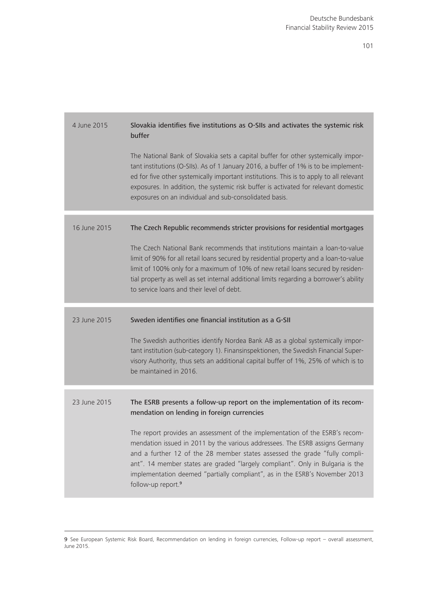| 4 June 2015  | Slovakia identifies five institutions as O-SIIs and activates the systemic risk<br>buffer<br>The National Bank of Slovakia sets a capital buffer for other systemically impor-<br>tant institutions (O-SIIs). As of 1 January 2016, a buffer of 1% is to be implement-<br>ed for five other systemically important institutions. This is to apply to all relevant<br>exposures. In addition, the systemic risk buffer is activated for relevant domestic<br>exposures on an individual and sub-consolidated basis.                                                      |
|--------------|-------------------------------------------------------------------------------------------------------------------------------------------------------------------------------------------------------------------------------------------------------------------------------------------------------------------------------------------------------------------------------------------------------------------------------------------------------------------------------------------------------------------------------------------------------------------------|
| 16 June 2015 | The Czech Republic recommends stricter provisions for residential mortgages<br>The Czech National Bank recommends that institutions maintain a loan-to-value<br>limit of 90% for all retail loans secured by residential property and a loan-to-value<br>limit of 100% only for a maximum of 10% of new retail loans secured by residen-<br>tial property as well as set internal additional limits regarding a borrower's ability<br>to service loans and their level of debt.                                                                                         |
| 23 June 2015 | Sweden identifies one financial institution as a G-SII<br>The Swedish authorities identify Nordea Bank AB as a global systemically impor-<br>tant institution (sub-category 1). Finansinspektionen, the Swedish Financial Super-<br>visory Authority, thus sets an additional capital buffer of 1%, 25% of which is to<br>be maintained in 2016.                                                                                                                                                                                                                        |
| 23 June 2015 | The ESRB presents a follow-up report on the implementation of its recom-<br>mendation on lending in foreign currencies<br>The report provides an assessment of the implementation of the ESRB's recom-<br>mendation issued in 2011 by the various addressees. The ESRB assigns Germany<br>and a further 12 of the 28 member states assessed the grade "fully compli-<br>ant". 14 member states are graded "largely compliant". Only in Bulgaria is the<br>implementation deemed "partially compliant", as in the ESRB's November 2013<br>follow-up report. <sup>9</sup> |

<sup>9</sup> See European Systemic Risk Board, Recommendation on lending in foreign currencies, Follow-up report – overall assessment, June 2015.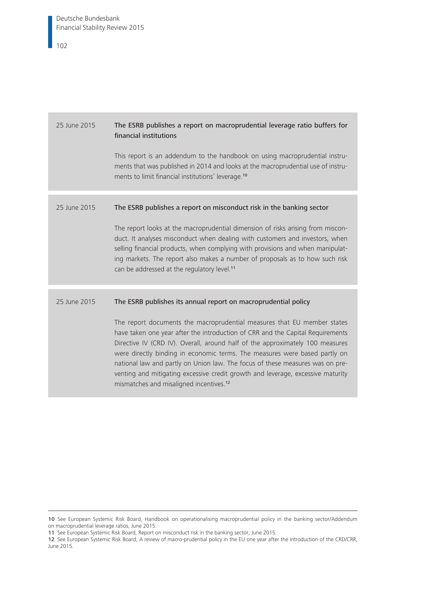# 25 June 2015 The ESRB publishes a report on macroprudential leverage ratio buffers for financial institutions This report is an addendum to the handbook on using macroprudential instruments that was published in 2014 and looks at the macroprudential use of instruments to limit financial institutions' leverage.<sup>10</sup> 25 June 2015 The ESRB publishes a report on misconduct risk in the banking sector The report looks at the macroprudential dimension of risks arising from misconduct. It analyses misconduct when dealing with customers and investors, when selling financial products, when complying with provisions and when manipulating markets. The report also makes a number of proposals as to how such risk can be addressed at the regulatory level.<sup>11</sup> 25 June 2015 The ESRB publishes its annual report on macroprudential policy The report documents the macroprudential measures that EU member states have taken one year after the introduction of CRR and the Capital Requirements Directive IV (CRD IV). Overall, around half of the approximately 100 measures were directly binding in economic terms. The measures were based partly on national law and partly on Union law. The focus of these measures was on preventing and mitigating excessive credit growth and leverage, excessive maturity mismatches and misaligned incentives.<sup>12</sup>

<sup>10</sup> See European Systemic Risk Board, Handbook on operationalising macroprudential policy in the banking sector/Addendum on macroprudential leverage ratios, June 2015.

<sup>11</sup> See European Systemic Risk Board, Report on misconduct risk in the banking sector, June 2015.

<sup>12</sup> See European Systemic Risk Board, A review of macro-prudential policy in the EU one year after the introduction of the CRD/CRR, June 2015.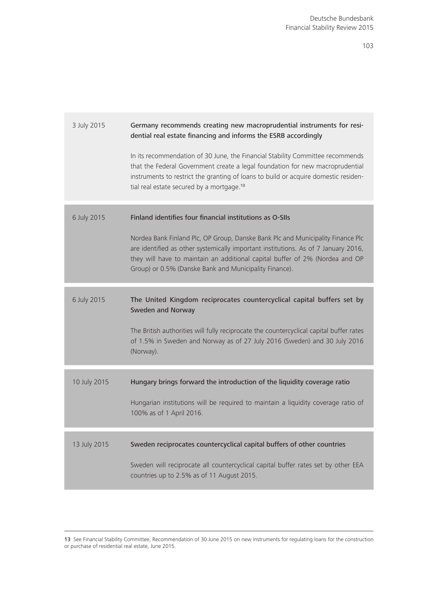| 3 July 2015  | Germany recommends creating new macroprudential instruments for resi-<br>dential real estate financing and informs the ESRB accordingly                                                                                                                                                                         |
|--------------|-----------------------------------------------------------------------------------------------------------------------------------------------------------------------------------------------------------------------------------------------------------------------------------------------------------------|
|              | In its recommendation of 30 June, the Financial Stability Committee recommends<br>that the Federal Government create a legal foundation for new macroprudential<br>instruments to restrict the granting of loans to build or acquire domestic residen-<br>tial real estate secured by a mortgage. <sup>13</sup> |
| 6 July 2015  | Finland identifies four financial institutions as O-SIIs                                                                                                                                                                                                                                                        |
|              | Nordea Bank Finland Plc, OP Group, Danske Bank Plc and Municipality Finance Plc<br>are identified as other systemically important institutions. As of 7 January 2016,<br>they will have to maintain an additional capital buffer of 2% (Nordea and OP<br>Group) or 0.5% (Danske Bank and Municipality Finance). |
| 6 July 2015  | The United Kingdom reciprocates countercyclical capital buffers set by<br>Sweden and Norway                                                                                                                                                                                                                     |
|              | The British authorities will fully reciprocate the countercyclical capital buffer rates<br>of 1.5% in Sweden and Norway as of 27 July 2016 (Sweden) and 30 July 2016<br>(Norway).                                                                                                                               |
| 10 July 2015 | Hungary brings forward the introduction of the liquidity coverage ratio                                                                                                                                                                                                                                         |
|              | Hungarian institutions will be required to maintain a liquidity coverage ratio of<br>100% as of 1 April 2016.                                                                                                                                                                                                   |
| 13 July 2015 | Sweden reciprocates countercyclical capital buffers of other countries                                                                                                                                                                                                                                          |
|              | Sweden will reciprocate all countercyclical capital buffer rates set by other EEA<br>countries up to 2.5% as of 11 August 2015.                                                                                                                                                                                 |

<sup>13</sup> See Financial Stability Committee, Recommendation of 30 June 2015 on new instruments for regulating loans for the construction or purchase of residential real estate, June 2015.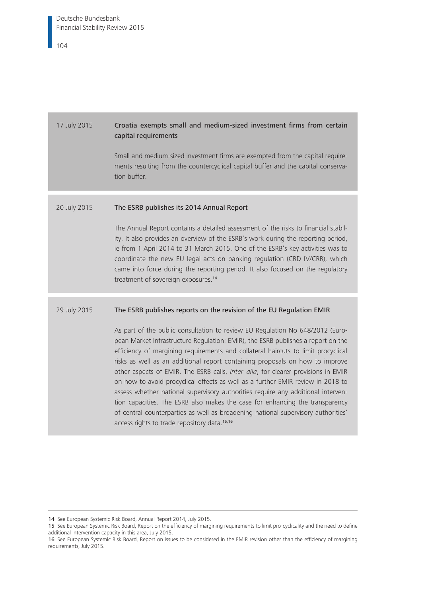# 17 July 2015 Croatia exempts small and medium-sized investment firms from certain capital requirements

Small and medium-sized investment firms are exempted from the capital requirements resulting from the countercyclical capital buffer and the capital conservation buffer.

#### 20 July 2015 The ESRB publishes its 2014 Annual Report

The Annual Report contains a detailed assessment of the risks to financial stability. It also provides an overview of the ESRB's work during the reporting period, ie from 1 April 2014 to 31 March 2015. One of the ESRB's key activities was to coordinate the new EU legal acts on banking regulation (CRD IV/CRR), which came into force during the reporting period. It also focused on the regulatory treatment of sovereign exposures.<sup>14</sup>

#### 29 July 2015 The ESRB publishes reports on the revision of the EU Regulation EMIR

As part of the public consultation to review EU Regulation No 648/2012 (European Market Infrastructure Regulation: EMIR), the ESRB publishes a report on the efficiency of margining requirements and collateral haircuts to limit procyclical risks as well as an additional report containing proposals on how to improve other aspects of EMIR. The ESRB calls, *inter alia*, for clearer provisions in EMIR on how to avoid procyclical effects as well as a further EMIR review in 2018 to assess whether national supervisory authorities require any additional intervention capacities. The ESRB also makes the case for enhancing the transparency of central counterparties as well as broadening national supervisory authorities' access rights to trade repository data.<sup>15,16</sup>

<sup>14</sup> See European Systemic Risk Board, Annual Report 2014, July 2015.

<sup>15</sup> See European Systemic Risk Board, Report on the efficiency of margining requirements to limit pro-cyclicality and the need to define additional intervention capacity in this area, July 2015.

<sup>16</sup> See European Systemic Risk Board, Report on issues to be considered in the EMIR revision other than the efficiency of margining requirements, July 2015.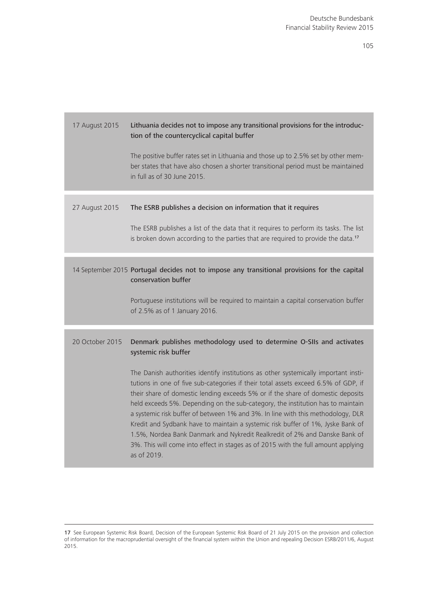| 17 August 2015  | Lithuania decides not to impose any transitional provisions for the introduc-<br>tion of the countercyclical capital buffer                                                                                                                                                                                                                                                                                                                                                                                                                                                                         |
|-----------------|-----------------------------------------------------------------------------------------------------------------------------------------------------------------------------------------------------------------------------------------------------------------------------------------------------------------------------------------------------------------------------------------------------------------------------------------------------------------------------------------------------------------------------------------------------------------------------------------------------|
|                 | The positive buffer rates set in Lithuania and those up to 2.5% set by other mem-<br>ber states that have also chosen a shorter transitional period must be maintained<br>in full as of 30 June 2015.                                                                                                                                                                                                                                                                                                                                                                                               |
| 27 August 2015  | The ESRB publishes a decision on information that it requires                                                                                                                                                                                                                                                                                                                                                                                                                                                                                                                                       |
|                 | The ESRB publishes a list of the data that it requires to perform its tasks. The list<br>is broken down according to the parties that are required to provide the data. <sup>17</sup>                                                                                                                                                                                                                                                                                                                                                                                                               |
|                 | 14 September 2015 Portugal decides not to impose any transitional provisions for the capital<br>conservation buffer                                                                                                                                                                                                                                                                                                                                                                                                                                                                                 |
|                 | Portuguese institutions will be required to maintain a capital conservation buffer<br>of 2.5% as of 1 January 2016.                                                                                                                                                                                                                                                                                                                                                                                                                                                                                 |
| 20 October 2015 | Denmark publishes methodology used to determine O-SIIs and activates<br>systemic risk buffer                                                                                                                                                                                                                                                                                                                                                                                                                                                                                                        |
|                 | The Danish authorities identify institutions as other systemically important insti-<br>tutions in one of five sub-categories if their total assets exceed 6.5% of GDP, if<br>their share of domestic lending exceeds 5% or if the share of domestic deposits<br>held exceeds 5%. Depending on the sub-category, the institution has to maintain<br>a systemic risk buffer of between 1% and 3%. In line with this methodology, DLR<br>Kredit and Sydbank have to maintain a systemic risk buffer of 1%, Jyske Bank of<br>1.5%, Nordea Bank Danmark and Nykredit Realkredit of 2% and Danske Bank of |

<sup>17</sup> See European Systemic Risk Board, Decision of the European Systemic Risk Board of 21 July 2015 on the provision and collection of information for the macroprudential oversight of the financial system within the Union and repealing Decision ESRB/2011/6, August 2015.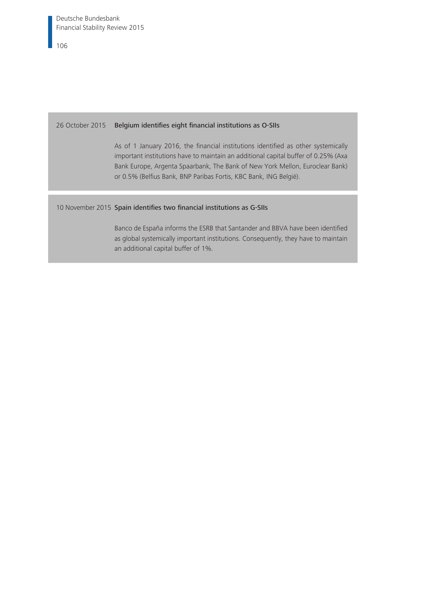106

#### 26 October 2015 Belgium identifies eight financial institutions as O-SIIs

As of 1 January 2016, the financial institutions identified as other systemically important institutions have to maintain an additional capital buffer of 0.25% (Axa Bank Europe, Argenta Spaarbank, The Bank of New York Mellon, Euroclear Bank) or 0.5% (Belfius Bank, BNP Paribas Fortis, KBC Bank, ING België).

#### 10 November 2015 Spain identifies two financial institutions as G-SIIs

Banco de España informs the ESRB that Santander and BBVA have been identified as global systemically important institutions. Consequently, they have to maintain an additional capital buffer of 1%.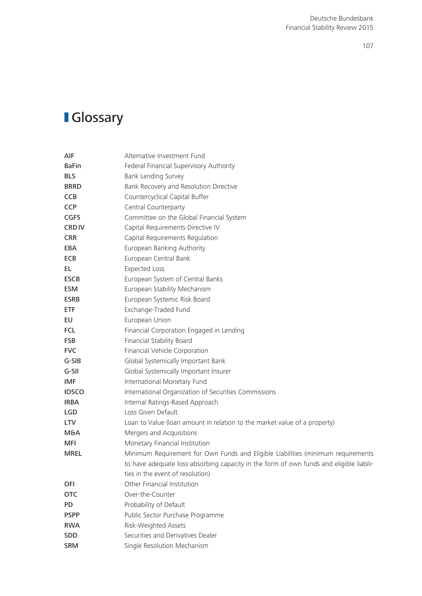107

# **Glossary**

| AIF          | Alternative Investment Fund                                                             |
|--------------|-----------------------------------------------------------------------------------------|
| <b>BaFin</b> | Federal Financial Supervisory Authority                                                 |
| <b>BLS</b>   | Bank Lending Survey                                                                     |
| <b>BRRD</b>  | Bank Recovery and Resolution Directive                                                  |
| <b>CCB</b>   | Countercyclical Capital Buffer                                                          |
| <b>CCP</b>   | Central Counterparty                                                                    |
| <b>CGFS</b>  | Committee on the Global Financial System                                                |
| <b>CRDIV</b> | Capital Requirements Directive IV                                                       |
| <b>CRR</b>   | Capital Requirements Regulation                                                         |
| EBA          | European Banking Authority                                                              |
| ECB          | European Central Bank                                                                   |
| EL           | <b>Expected Loss</b>                                                                    |
| <b>ESCB</b>  | European System of Central Banks                                                        |
| ESM          | European Stability Mechanism                                                            |
| <b>ESRB</b>  | European Systemic Risk Board                                                            |
| ETF          | Exchange-Traded Fund                                                                    |
| EU           | European Union                                                                          |
| <b>FCL</b>   | Financial Corporation Engaged in Lending                                                |
| FSB          | Financial Stability Board                                                               |
| <b>FVC</b>   | Financial Vehicle Corporation                                                           |
| G-SIB        | Global Systemically Important Bank                                                      |
| G-SII        | Global Systemically Important Insurer                                                   |
| IMF          | International Monetary Fund                                                             |
| <b>IOSCO</b> | International Organization of Securities Commissions                                    |
| <b>IRBA</b>  | Internal Ratings-Based Approach                                                         |
| LGD          | Loss Given Default                                                                      |
| LTV          | Loan to Value (loan amount in relation to the market value of a property)               |
| M&A          | Mergers and Acquisitions                                                                |
| MFI          | Monetary Financial Institution                                                          |
| <b>MREL</b>  | Minimum Requirement for Own Funds and Eligible Liabilities (minimum requirements        |
|              | to have adequate loss-absorbing capacity in the form of own funds and eligible liabili- |
|              | ties in the event of resolution)                                                        |
| OFI          | Other Financial Institution                                                             |
| <b>OTC</b>   | Over-the-Counter                                                                        |
| PD           | Probability of Default                                                                  |
| <b>PSPP</b>  | Public Sector Purchase Programme                                                        |
| <b>RWA</b>   | Risk-Weighted Assets                                                                    |
| SDD          | Securities and Derivatives Dealer                                                       |
| SRM          | Single Resolution Mechanism                                                             |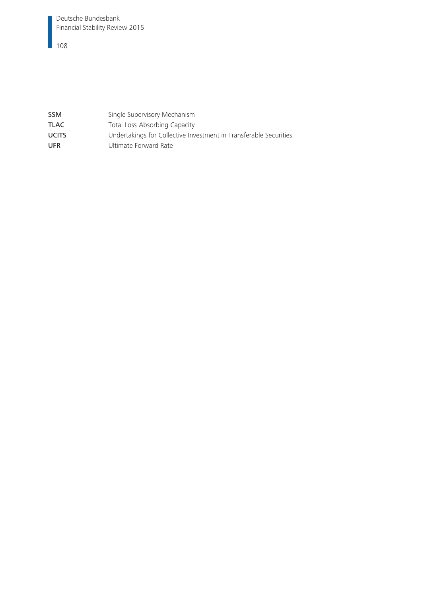Deutsche Bundesbank Financial Stability Review 2015

 $\overline{\phantom{1}}$  108

| SSM   | Single Supervisory Mechanism                                      |
|-------|-------------------------------------------------------------------|
| TLAC  | Total Loss-Absorbing Capacity                                     |
| UCITS | Undertakings for Collective Investment in Transferable Securities |
| UFR   | Ultimate Forward Rate                                             |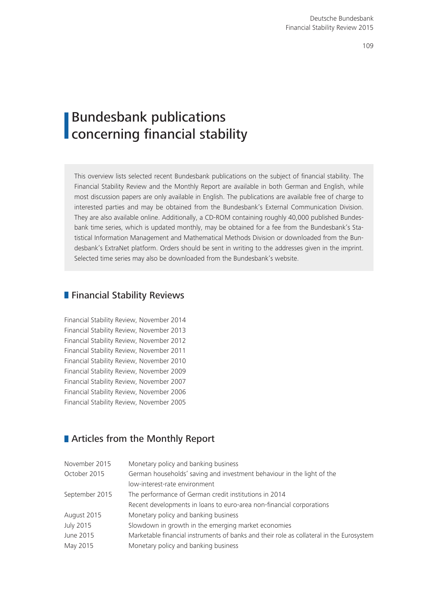#### 109

# Bundesbank publications **Concerning financial stability**

This overview lists selected recent Bundesbank publications on the subject of financial stability. The Financial Stability Review and the Monthly Report are available in both German and English, while most discussion papers are only available in English. The publications are available free of charge to interested parties and may be obtained from the Bundesbank's External Communication Division. They are also available online. Additionally, a CD-ROM containing roughly 40,000 published Bundesbank time series, which is updated monthly, may be obtained for a fee from the Bundesbank's Statistical Information Management and Mathematical Methods Division or downloaded from the Bundesbank's ExtraNet platform. Orders should be sent in writing to the addresses given in the imprint. Selected time series may also be downloaded from the Bundesbank's website.

#### **Financial Stability Reviews**

Financial Stability Review, November 2014 Financial Stability Review, November 2013 Financial Stability Review, November 2012 Financial Stability Review, November 2011 Financial Stability Review, November 2010 Financial Stability Review, November 2009 Financial Stability Review, November 2007 Financial Stability Review, November 2006 Financial Stability Review, November 2005

### **Articles from the Monthly Report**

| November 2015    | Monetary policy and banking business                                                     |
|------------------|------------------------------------------------------------------------------------------|
| October 2015     | German households' saving and investment behaviour in the light of the                   |
|                  | low-interest-rate environment                                                            |
| September 2015   | The performance of German credit institutions in 2014                                    |
|                  | Recent developments in loans to euro-area non-financial corporations                     |
| August 2015      | Monetary policy and banking business                                                     |
| <b>July 2015</b> | Slowdown in growth in the emerging market economies                                      |
| June 2015        | Marketable financial instruments of banks and their role as collateral in the Eurosystem |
| May 2015         | Monetary policy and banking business                                                     |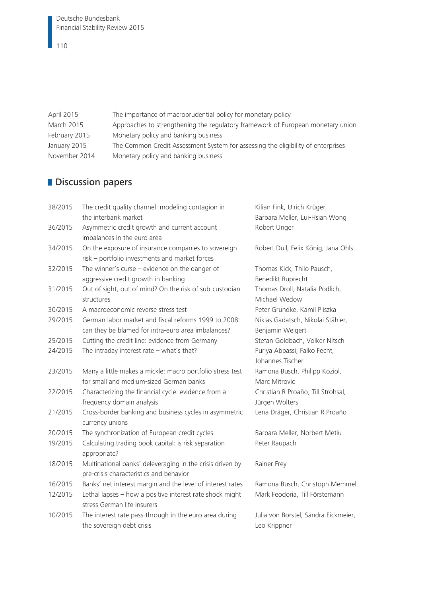Deutsche Bundesbank Financial Stability Review 2015

#### $\overline{110}$

| April 2015    | The importance of macroprudential policy for monetary policy                     |
|---------------|----------------------------------------------------------------------------------|
| March 2015    | Approaches to strengthening the regulatory framework of European monetary union  |
| February 2015 | Monetary policy and banking business                                             |
| January 2015  | The Common Credit Assessment System for assessing the eligibility of enterprises |
| November 2014 | Monetary policy and banking business                                             |

## **Discussion papers**

| 38/2015 | The credit quality channel: modeling contagion in                                                    | Kilian Fink, Ulrich Krüger,                          |
|---------|------------------------------------------------------------------------------------------------------|------------------------------------------------------|
|         | the interbank market                                                                                 | Barbara Meller, Lui-Hsian Wong                       |
| 36/2015 | Asymmetric credit growth and current account                                                         | Robert Unger                                         |
|         | imbalances in the euro area                                                                          |                                                      |
| 34/2015 | On the exposure of insurance companies to sovereign                                                  | Robert Düll, Felix König, Jana Ohls                  |
|         | risk - portfolio investments and market forces                                                       |                                                      |
| 32/2015 | The winner's curse $-$ evidence on the danger of                                                     | Thomas Kick, Thilo Pausch,                           |
|         | aggressive credit growth in banking                                                                  | Benedikt Ruprecht                                    |
| 31/2015 | Out of sight, out of mind? On the risk of sub-custodian                                              | Thomas Droll, Natalia Podlich,                       |
|         | structures                                                                                           | Michael Wedow                                        |
| 30/2015 | A macroeconomic reverse stress test                                                                  | Peter Grundke, Kamil Pliszka                         |
| 29/2015 | German labor market and fiscal reforms 1999 to 2008:                                                 | Niklas Gadatsch, Nikolai Stähler,                    |
|         | can they be blamed for intra-euro area imbalances?                                                   | Benjamin Weigert                                     |
| 25/2015 | Cutting the credit line: evidence from Germany                                                       | Stefan Goldbach, Volker Nitsch                       |
| 24/2015 | The intraday interest rate $-$ what's that?                                                          | Puriya Abbassi, Falko Fecht,                         |
|         |                                                                                                      | Johannes Tischer                                     |
| 23/2015 | Many a little makes a mickle: macro portfolio stress test                                            | Ramona Busch, Philipp Koziol,                        |
|         | for small and medium-sized German banks                                                              | Marc Mitrovic                                        |
| 22/2015 | Characterizing the financial cycle: evidence from a                                                  | Christian R Proaño, Till Strohsal,                   |
|         | frequency domain analysis                                                                            | Jürgen Wolters                                       |
| 21/2015 | Cross-border banking and business cycles in asymmetric<br>currency unions                            | Lena Dräger, Christian R Proaño                      |
| 20/2015 | The synchronization of European credit cycles                                                        | Barbara Meller, Norbert Metiu                        |
| 19/2015 | Calculating trading book capital: is risk separation<br>appropriate?                                 | Peter Raupach                                        |
| 18/2015 | Multinational banks' deleveraging in the crisis driven by<br>pre-crisis characteristics and behavior | Rainer Frey                                          |
| 16/2015 | Banks' net interest margin and the level of interest rates                                           | Ramona Busch, Christoph Memmel                       |
| 12/2015 | Lethal lapses - how a positive interest rate shock might<br>stress German life insurers              | Mark Feodoria, Till Förstemann                       |
| 10/2015 | The interest rate pass-through in the euro area during<br>the sovereign debt crisis                  | Julia von Borstel, Sandra Eickmeier,<br>Leo Krippner |
|         |                                                                                                      |                                                      |